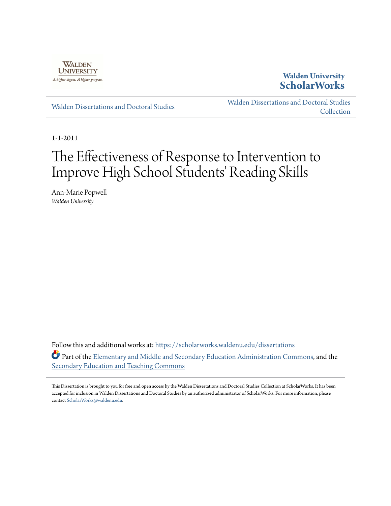

# **Walden University [ScholarWorks](https://scholarworks.waldenu.edu?utm_source=scholarworks.waldenu.edu%2Fdissertations%2F1161&utm_medium=PDF&utm_campaign=PDFCoverPages)**

[Walden Dissertations and Doctoral Studies](https://scholarworks.waldenu.edu/dissertations?utm_source=scholarworks.waldenu.edu%2Fdissertations%2F1161&utm_medium=PDF&utm_campaign=PDFCoverPages)

[Walden Dissertations and Doctoral Studies](https://scholarworks.waldenu.edu/dissanddoc?utm_source=scholarworks.waldenu.edu%2Fdissertations%2F1161&utm_medium=PDF&utm_campaign=PDFCoverPages) **[Collection](https://scholarworks.waldenu.edu/dissanddoc?utm_source=scholarworks.waldenu.edu%2Fdissertations%2F1161&utm_medium=PDF&utm_campaign=PDFCoverPages)** 

1-1-2011

# The Effectiveness of Response to Intervention to Improve High School Students' Reading Skills

Ann-Marie Popwell *Walden University*

Follow this and additional works at: [https://scholarworks.waldenu.edu/dissertations](https://scholarworks.waldenu.edu/dissertations?utm_source=scholarworks.waldenu.edu%2Fdissertations%2F1161&utm_medium=PDF&utm_campaign=PDFCoverPages) Part of the [Elementary and Middle and Secondary Education Administration Commons,](http://network.bepress.com/hgg/discipline/790?utm_source=scholarworks.waldenu.edu%2Fdissertations%2F1161&utm_medium=PDF&utm_campaign=PDFCoverPages) and the [Secondary Education and Teaching Commons](http://network.bepress.com/hgg/discipline/809?utm_source=scholarworks.waldenu.edu%2Fdissertations%2F1161&utm_medium=PDF&utm_campaign=PDFCoverPages)

This Dissertation is brought to you for free and open access by the Walden Dissertations and Doctoral Studies Collection at ScholarWorks. It has been accepted for inclusion in Walden Dissertations and Doctoral Studies by an authorized administrator of ScholarWorks. For more information, please contact [ScholarWorks@waldenu.edu](mailto:ScholarWorks@waldenu.edu).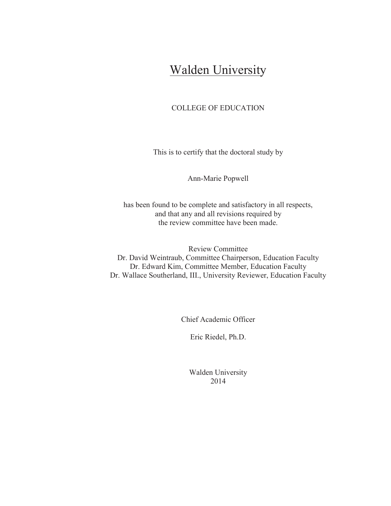# Walden University

### COLLEGE OF EDUCATION

This is to certify that the doctoral study by

Ann-Marie Popwell

has been found to be complete and satisfactory in all respects, and that any and all revisions required by the review committee have been made.

Review Committee Dr. David Weintraub, Committee Chairperson, Education Faculty Dr. Edward Kim, Committee Member, Education Faculty Dr. Wallace Southerland, III., University Reviewer, Education Faculty

Chief Academic Officer

Eric Riedel, Ph.D.

Walden University 2014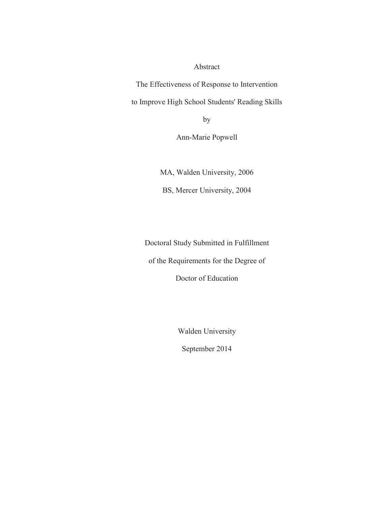Abstract

The Effectiveness of Response to Intervention

to Improve High School Students' Reading Skills

by

Ann-Marie Popwell

MA, Walden University, 2006

BS, Mercer University, 2004

Doctoral Study Submitted in Fulfillment of the Requirements for the Degree of

Doctor of Education

Walden University

September 2014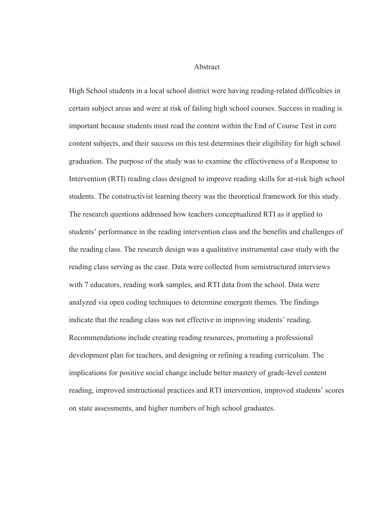Abstract

High School students in a local school district were having reading-related difficulties in certain subject areas and were at risk of failing high school courses. Success in reading is important because students must read the content within the End of Course Test in core content subjects, and their success on this test determines their eligibility for high school graduation. The purpose of the study was to examine the effectiveness of a Response to Intervention (RTI) reading class designed to improve reading skills for at-risk high school students. The constructivist learning theory was the theoretical framework for this study. The research questions addressed how teachers conceptualized RTI as it applied to students' performance in the reading intervention class and the benefits and challenges of the reading class. The research design was a qualitative instrumental case study with the reading class serving as the case. Data were collected from semistructured interviews with 7 educators, reading work samples, and RTI data from the school. Data were analyzed via open coding techniques to determine emergent themes. The findings indicate that the reading class was not effective in improving students' reading. Recommendations include creating reading resources, promoting a professional development plan for teachers, and designing or refining a reading curriculum. The implications for positive social change include better mastery of grade-level content reading, improved instructional practices and RTI intervention, improved students' scores on state assessments, and higher numbers of high school graduates.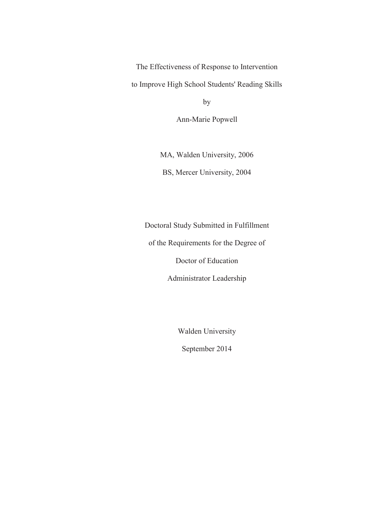The Effectiveness of Response to Intervention

to Improve High School Students' Reading Skills

by

Ann-Marie Popwell

MA, Walden University, 2006 BS, Mercer University, 2004

Doctoral Study Submitted in Fulfillment

of the Requirements for the Degree of

Doctor of Education

Administrator Leadership

Walden University

September 2014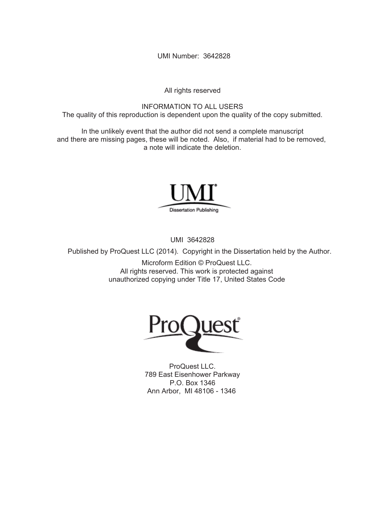UMI Number: 3642828

All rights reserved

INFORMATION TO ALL USERS The quality of this reproduction is dependent upon the quality of the copy submitted.

In the unlikely event that the author did not send a complete manuscript and there are missing pages, these will be noted. Also, if material had to be removed, a note will indicate the deletion.



UMI 3642828

Published by ProQuest LLC (2014). Copyright in the Dissertation held by the Author.

Microform Edition © ProQuest LLC. All rights reserved. This work is protected against unauthorized copying under Title 17, United States Code



ProQuest LLC. 789 East Eisenhower Parkway P.O. Box 1346 Ann Arbor, MI 48106 - 1346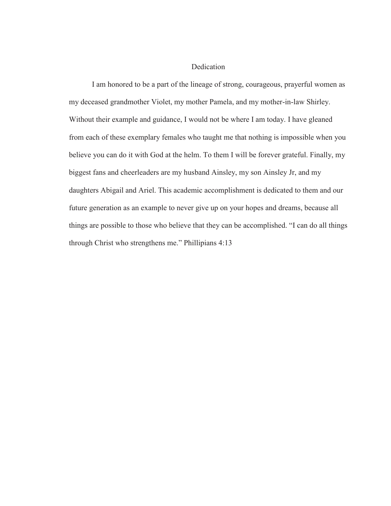#### Dedication

 I am honored to be a part of the lineage of strong, courageous, prayerful women as my deceased grandmother Violet, my mother Pamela, and my mother-in-law Shirley. Without their example and guidance, I would not be where I am today. I have gleaned from each of these exemplary females who taught me that nothing is impossible when you believe you can do it with God at the helm. To them I will be forever grateful. Finally, my biggest fans and cheerleaders are my husband Ainsley, my son Ainsley Jr, and my daughters Abigail and Ariel. This academic accomplishment is dedicated to them and our future generation as an example to never give up on your hopes and dreams, because all things are possible to those who believe that they can be accomplished. "I can do all things through Christ who strengthens me." Phillipians 4:13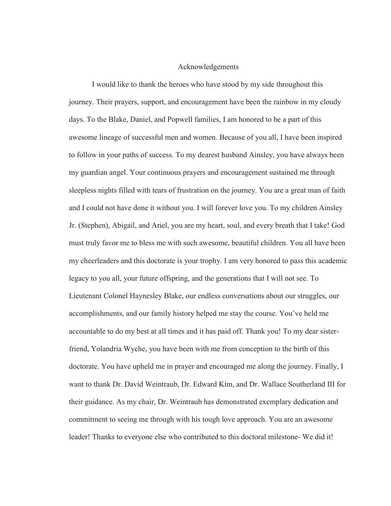#### Acknowledgements

I would like to thank the heroes who have stood by my side throughout this journey. Their prayers, support, and encouragement have been the rainbow in my cloudy days. To the Blake, Daniel, and Popwell families, I am honored to be a part of this awesome lineage of successful men and women. Because of you all, I have been inspired to follow in your paths of success. To my dearest husband Ainsley, you have always been my guardian angel. Your continuous prayers and encouragement sustained me through sleepless nights filled with tears of frustration on the journey. You are a great man of faith and I could not have done it without you. I will forever love you. To my children Ainsley Jr. (Stephen), Abigail, and Ariel, you are my heart, soul, and every breath that I take! God must truly favor me to bless me with such awesome, beautiful children. You all have been my cheerleaders and this doctorate is your trophy. I am very honored to pass this academic legacy to you all, your future offspring, and the generations that I will not see. To Lieutenant Colonel Haynesley Blake, our endless conversations about our struggles, our accomplishments, and our family history helped me stay the course. You've held me accountable to do my best at all times and it has paid off. Thank you! To my dear sisterfriend, Yolandria Wyche, you have been with me from conception to the birth of this doctorate. You have upheld me in prayer and encouraged me along the journey. Finally, I want to thank Dr. David Weintraub, Dr. Edward Kim, and Dr. Wallace Southerland III for their guidance. As my chair, Dr. Weintraub has demonstrated exemplary dedication and commitment to seeing me through with his tough love approach. You are an awesome leader! Thanks to everyone else who contributed to this doctoral milestone- We did it!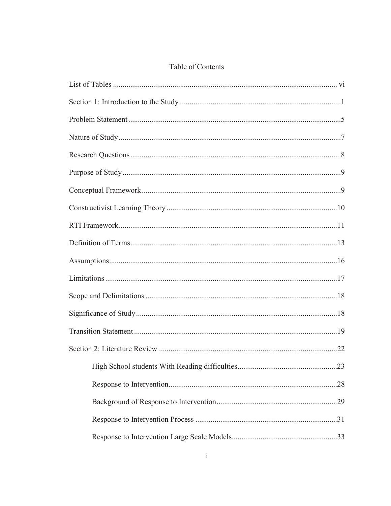# Table of Contents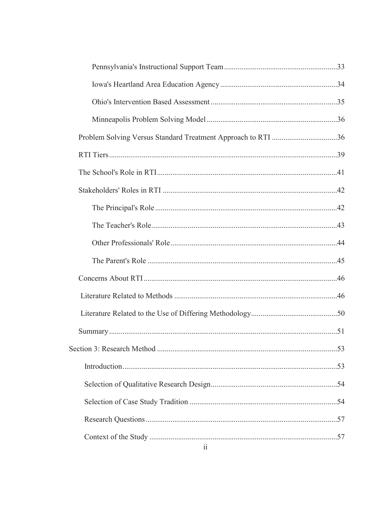| Problem Solving Versus Standard Treatment Approach to RTI 36 |  |
|--------------------------------------------------------------|--|
|                                                              |  |
|                                                              |  |
|                                                              |  |
|                                                              |  |
|                                                              |  |
|                                                              |  |
|                                                              |  |
|                                                              |  |
|                                                              |  |
|                                                              |  |
|                                                              |  |
|                                                              |  |
|                                                              |  |
|                                                              |  |
|                                                              |  |
|                                                              |  |
|                                                              |  |
| $\overline{11}$                                              |  |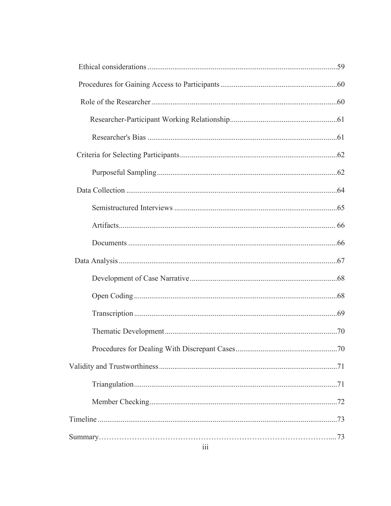| 111 |  |
|-----|--|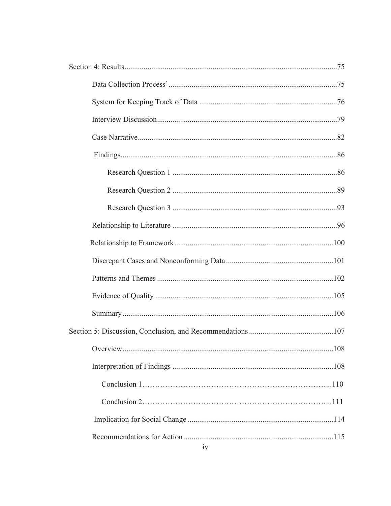|    | .108 |
|----|------|
|    |      |
|    |      |
|    |      |
|    |      |
| iv |      |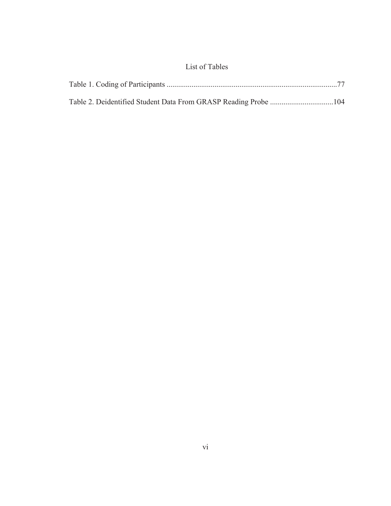# List of Tables

| Table 2. Deidentified Student Data From GRASP Reading Probe 104 |  |
|-----------------------------------------------------------------|--|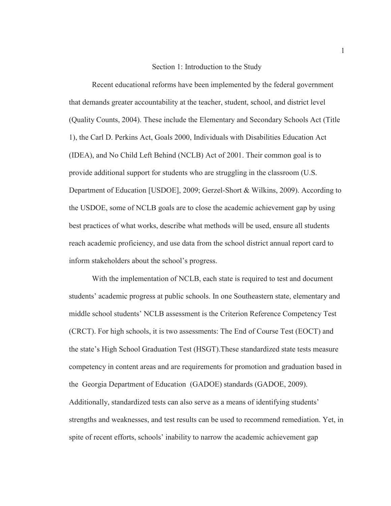#### Section 1: Introduction to the Study

Recent educational reforms have been implemented by the federal government that demands greater accountability at the teacher, student, school, and district level (Quality Counts, 2004). These include the Elementary and Secondary Schools Act (Title 1), the Carl D. Perkins Act, Goals 2000, Individuals with Disabilities Education Act (IDEA), and No Child Left Behind (NCLB) Act of 2001. Their common goal is to provide additional support for students who are struggling in the classroom (U.S. Department of Education [USDOE], 2009; Gerzel-Short & Wilkins, 2009). According to the USDOE, some of NCLB goals are to close the academic achievement gap by using best practices of what works, describe what methods will be used, ensure all students reach academic proficiency, and use data from the school district annual report card to inform stakeholders about the school's progress.

With the implementation of NCLB, each state is required to test and document students' academic progress at public schools. In one Southeastern state, elementary and middle school students' NCLB assessment is the Criterion Reference Competency Test (CRCT). For high schools, it is two assessments: The End of Course Test (EOCT) and the state's High School Graduation Test (HSGT).These standardized state tests measure competency in content areas and are requirements for promotion and graduation based in the Georgia Department of Education (GADOE) standards (GADOE, 2009). Additionally, standardized tests can also serve as a means of identifying students' strengths and weaknesses, and test results can be used to recommend remediation. Yet, in spite of recent efforts, schools' inability to narrow the academic achievement gap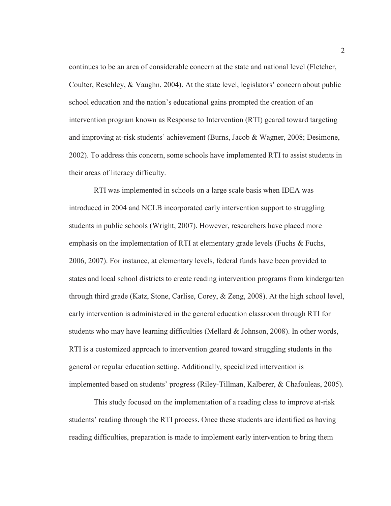continues to be an area of considerable concern at the state and national level (Fletcher, Coulter, Reschley, & Vaughn, 2004). At the state level, legislators' concern about public school education and the nation's educational gains prompted the creation of an intervention program known as Response to Intervention (RTI) geared toward targeting and improving at-risk students' achievement (Burns, Jacob & Wagner, 2008; Desimone, 2002). To address this concern, some schools have implemented RTI to assist students in their areas of literacy difficulty.

 RTI was implemented in schools on a large scale basis when IDEA was introduced in 2004 and NCLB incorporated early intervention support to struggling students in public schools (Wright, 2007). However, researchers have placed more emphasis on the implementation of RTI at elementary grade levels (Fuchs & Fuchs, 2006, 2007). For instance, at elementary levels, federal funds have been provided to states and local school districts to create reading intervention programs from kindergarten through third grade (Katz, Stone, Carlise, Corey, & Zeng, 2008). At the high school level, early intervention is administered in the general education classroom through RTI for students who may have learning difficulties (Mellard & Johnson, 2008). In other words, RTI is a customized approach to intervention geared toward struggling students in the general or regular education setting. Additionally, specialized intervention is implemented based on students' progress (Riley-Tillman, Kalberer, & Chafouleas, 2005).

 This study focused on the implementation of a reading class to improve at-risk students' reading through the RTI process. Once these students are identified as having reading difficulties, preparation is made to implement early intervention to bring them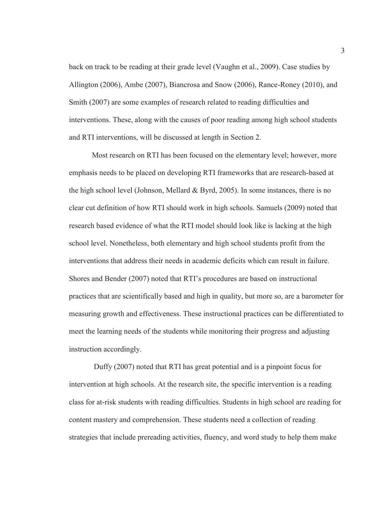back on track to be reading at their grade level (Vaughn et al., 2009). Case studies by Allington (2006), Ambe (2007), Biancrosa and Snow (2006), Rance-Roney (2010), and Smith (2007) are some examples of research related to reading difficulties and interventions. These, along with the causes of poor reading among high school students and RTI interventions, will be discussed at length in Section 2.

Most research on RTI has been focused on the elementary level; however, more emphasis needs to be placed on developing RTI frameworks that are research-based at the high school level (Johnson, Mellard & Byrd, 2005). In some instances, there is no clear cut definition of how RTI should work in high schools. Samuels (2009) noted that research based evidence of what the RTI model should look like is lacking at the high school level. Nonetheless, both elementary and high school students profit from the interventions that address their needs in academic deficits which can result in failure. Shores and Bender (2007) noted that RTI's procedures are based on instructional practices that are scientifically based and high in quality, but more so, are a barometer for measuring growth and effectiveness. These instructional practices can be differentiated to meet the learning needs of the students while monitoring their progress and adjusting instruction accordingly.

 Duffy (2007) noted that RTI has great potential and is a pinpoint focus for intervention at high schools. At the research site, the specific intervention is a reading class for at-risk students with reading difficulties. Students in high school are reading for content mastery and comprehension. These students need a collection of reading strategies that include prereading activities, fluency, and word study to help them make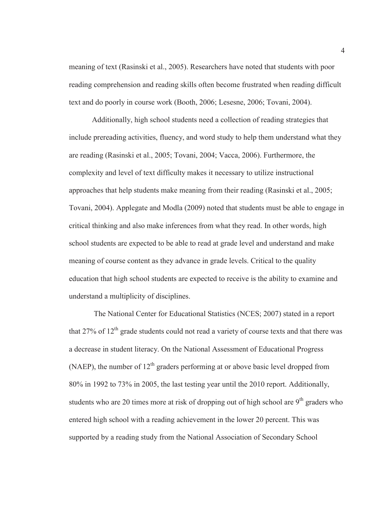meaning of text (Rasinski et al., 2005). Researchers have noted that students with poor reading comprehension and reading skills often become frustrated when reading difficult text and do poorly in course work (Booth, 2006; Lesesne, 2006; Tovani, 2004).

Additionally, high school students need a collection of reading strategies that include prereading activities, fluency, and word study to help them understand what they are reading (Rasinski et al., 2005; Tovani, 2004; Vacca, 2006). Furthermore, the complexity and level of text difficulty makes it necessary to utilize instructional approaches that help students make meaning from their reading (Rasinski et al., 2005; Tovani, 2004). Applegate and Modla (2009) noted that students must be able to engage in critical thinking and also make inferences from what they read. In other words, high school students are expected to be able to read at grade level and understand and make meaning of course content as they advance in grade levels. Critical to the quality education that high school students are expected to receive is the ability to examine and understand a multiplicity of disciplines.

 The National Center for Educational Statistics (NCES; 2007) stated in a report that  $27\%$  of  $12<sup>th</sup>$  grade students could not read a variety of course texts and that there was a decrease in student literacy. On the National Assessment of Educational Progress (NAEP), the number of  $12<sup>th</sup>$  graders performing at or above basic level dropped from 80% in 1992 to 73% in 2005, the last testing year until the 2010 report. Additionally, students who are 20 times more at risk of dropping out of high school are  $9<sup>th</sup>$  graders who entered high school with a reading achievement in the lower 20 percent. This was supported by a reading study from the National Association of Secondary School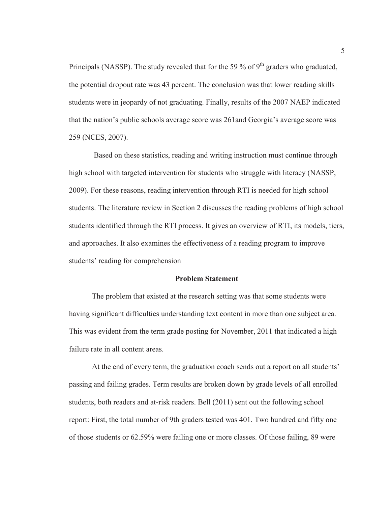Principals (NASSP). The study revealed that for the 59 % of 9<sup>th</sup> graders who graduated, the potential dropout rate was 43 percent. The conclusion was that lower reading skills students were in jeopardy of not graduating. Finally, results of the 2007 NAEP indicated that the nation's public schools average score was 261and Georgia's average score was 259 (NCES, 2007).

 Based on these statistics, reading and writing instruction must continue through high school with targeted intervention for students who struggle with literacy (NASSP, 2009). For these reasons, reading intervention through RTI is needed for high school students. The literature review in Section 2 discusses the reading problems of high school students identified through the RTI process. It gives an overview of RTI, its models, tiers, and approaches. It also examines the effectiveness of a reading program to improve students' reading for comprehension

#### **Problem Statement**

 The problem that existed at the research setting was that some students were having significant difficulties understanding text content in more than one subject area. This was evident from the term grade posting for November, 2011 that indicated a high failure rate in all content areas.

At the end of every term, the graduation coach sends out a report on all students' passing and failing grades. Term results are broken down by grade levels of all enrolled students, both readers and at-risk readers. Bell (2011) sent out the following school report: First, the total number of 9th graders tested was 401. Two hundred and fifty one of those students or 62.59% were failing one or more classes. Of those failing, 89 were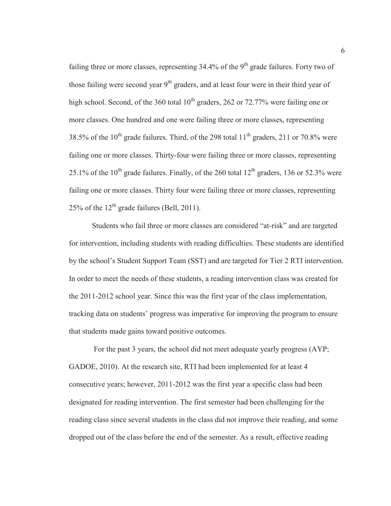failing three or more classes, representing  $34.4\%$  of the 9<sup>th</sup> grade failures. Forty two of those failing were second year  $9<sup>th</sup>$  graders, and at least four were in their third year of high school. Second, of the 360 total  $10^{th}$  graders, 262 or 72.77% were failing one or more classes. One hundred and one were failing three or more classes, representing 38.5% of the  $10^{th}$  grade failures. Third, of the 298 total  $11^{th}$  graders, 211 or 70.8% were failing one or more classes. Thirty-four were failing three or more classes, representing 25.1% of the  $10^{th}$  grade failures. Finally, of the 260 total  $12^{th}$  graders, 136 or 52.3% were failing one or more classes. Thirty four were failing three or more classes, representing 25% of the  $12<sup>th</sup>$  grade failures (Bell, 2011).

Students who fail three or more classes are considered "at-risk" and are targeted for intervention, including students with reading difficulties. These students are identified by the school's Student Support Team (SST) and are targeted for Tier 2 RTI intervention. In order to meet the needs of these students, a reading intervention class was created for the 2011-2012 school year. Since this was the first year of the class implementation, tracking data on students' progress was imperative for improving the program to ensure that students made gains toward positive outcomes.

 For the past 3 years, the school did not meet adequate yearly progress (AYP; GADOE, 2010). At the research site, RTI had been implemented for at least 4 consecutive years; however, 2011-2012 was the first year a specific class had been designated for reading intervention. The first semester had been challenging for the reading class since several students in the class did not improve their reading, and some dropped out of the class before the end of the semester. As a result, effective reading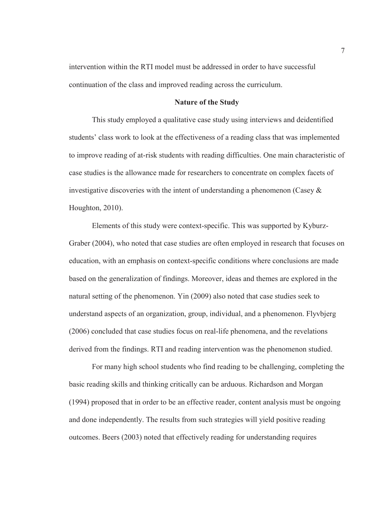intervention within the RTI model must be addressed in order to have successful continuation of the class and improved reading across the curriculum.

#### **Nature of the Study**

This study employed a qualitative case study using interviews and deidentified students' class work to look at the effectiveness of a reading class that was implemented to improve reading of at-risk students with reading difficulties. One main characteristic of case studies is the allowance made for researchers to concentrate on complex facets of investigative discoveries with the intent of understanding a phenomenon (Casey  $\&$ Houghton, 2010).

Elements of this study were context-specific. This was supported by Kyburz-Graber (2004), who noted that case studies are often employed in research that focuses on education, with an emphasis on context-specific conditions where conclusions are made based on the generalization of findings. Moreover, ideas and themes are explored in the natural setting of the phenomenon. Yin (2009) also noted that case studies seek to understand aspects of an organization, group, individual, and a phenomenon. Flyvbjerg (2006) concluded that case studies focus on real-life phenomena, and the revelations derived from the findings. RTI and reading intervention was the phenomenon studied.

For many high school students who find reading to be challenging, completing the basic reading skills and thinking critically can be arduous. Richardson and Morgan (1994) proposed that in order to be an effective reader, content analysis must be ongoing and done independently. The results from such strategies will yield positive reading outcomes. Beers (2003) noted that effectively reading for understanding requires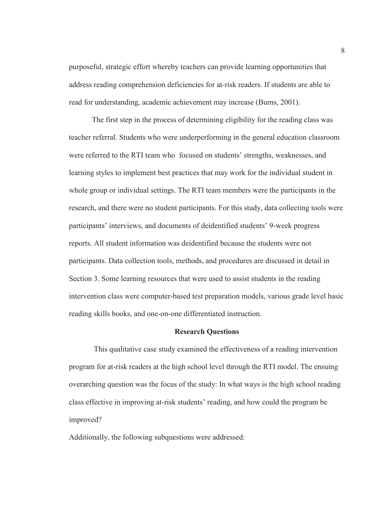purposeful, strategic effort whereby teachers can provide learning opportunities that address reading comprehension deficiencies for at-risk readers. If students are able to read for understanding, academic achievement may increase (Burns, 2001).

The first step in the process of determining eligibility for the reading class was teacher referral. Students who were underperforming in the general education classroom were referred to the RTI team who focused on students' strengths, weaknesses, and learning styles to implement best practices that may work for the individual student in whole group or individual settings. The RTI team members were the participants in the research, and there were no student participants. For this study, data collecting tools were participants' interviews, and documents of deidentified students' 9-week progress reports. All student information was deidentified because the students were not participants. Data collection tools, methods, and procedures are discussed in detail in Section 3. Some learning resources that were used to assist students in the reading intervention class were computer-based test preparation models, various grade level basic reading skills books, and one-on-one differentiated instruction.

#### **Research Questions**

 This qualitative case study examined the effectiveness of a reading intervention program for at-risk readers at the high school level through the RTI model. The ensuing overarching question was the focus of the study: In what ways is the high school reading class effective in improving at-risk students' reading, and how could the program be improved?

Additionally, the following subquestions were addressed: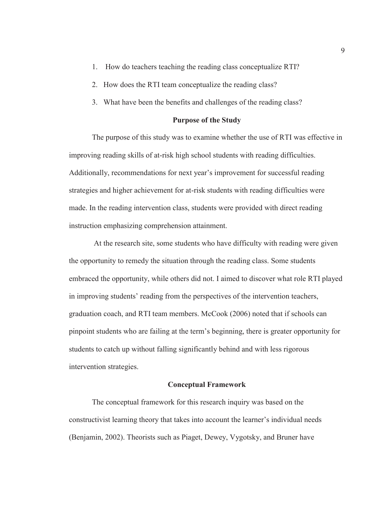- 1. How do teachers teaching the reading class conceptualize RTI?
- 2. How does the RTI team conceptualize the reading class?
- 3. What have been the benefits and challenges of the reading class?

#### **Purpose of the Study**

The purpose of this study was to examine whether the use of RTI was effective in improving reading skills of at-risk high school students with reading difficulties. Additionally, recommendations for next year's improvement for successful reading strategies and higher achievement for at-risk students with reading difficulties were made. In the reading intervention class, students were provided with direct reading instruction emphasizing comprehension attainment.

 At the research site, some students who have difficulty with reading were given the opportunity to remedy the situation through the reading class. Some students embraced the opportunity, while others did not. I aimed to discover what role RTI played in improving students' reading from the perspectives of the intervention teachers, graduation coach, and RTI team members. McCook (2006) noted that if schools can pinpoint students who are failing at the term's beginning, there is greater opportunity for students to catch up without falling significantly behind and with less rigorous intervention strategies.

#### **Conceptual Framework**

The conceptual framework for this research inquiry was based on the constructivist learning theory that takes into account the learner's individual needs (Benjamin, 2002). Theorists such as Piaget, Dewey, Vygotsky, and Bruner have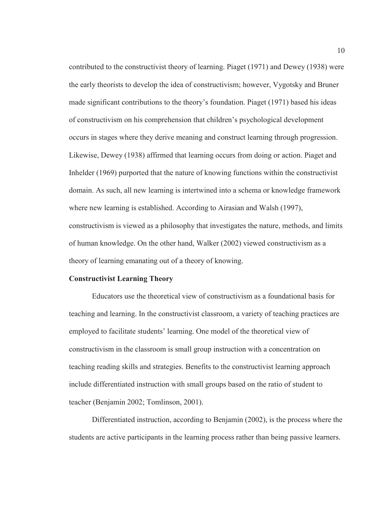contributed to the constructivist theory of learning. Piaget (1971) and Dewey (1938) were the early theorists to develop the idea of constructivism; however, Vygotsky and Bruner made significant contributions to the theory's foundation. Piaget (1971) based his ideas of constructivism on his comprehension that children's psychological development occurs in stages where they derive meaning and construct learning through progression. Likewise, Dewey (1938) affirmed that learning occurs from doing or action. Piaget and Inhelder (1969) purported that the nature of knowing functions within the constructivist domain. As such, all new learning is intertwined into a schema or knowledge framework where new learning is established. According to Airasian and Walsh (1997), constructivism is viewed as a philosophy that investigates the nature, methods, and limits of human knowledge. On the other hand, Walker (2002) viewed constructivism as a theory of learning emanating out of a theory of knowing.

#### **Constructivist Learning Theory**

Educators use the theoretical view of constructivism as a foundational basis for teaching and learning. In the constructivist classroom, a variety of teaching practices are employed to facilitate students' learning. One model of the theoretical view of constructivism in the classroom is small group instruction with a concentration on teaching reading skills and strategies. Benefits to the constructivist learning approach include differentiated instruction with small groups based on the ratio of student to teacher (Benjamin 2002; Tomlinson, 2001).

Differentiated instruction, according to Benjamin (2002), is the process where the students are active participants in the learning process rather than being passive learners.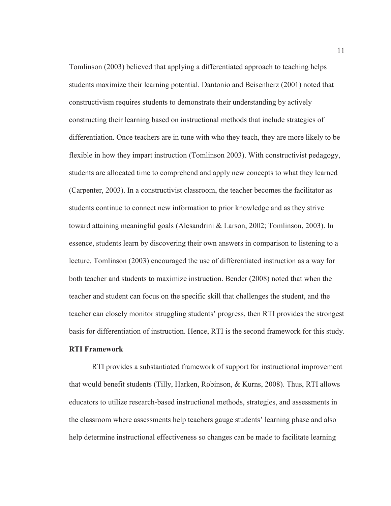Tomlinson (2003) believed that applying a differentiated approach to teaching helps students maximize their learning potential. Dantonio and Beisenherz (2001) noted that constructivism requires students to demonstrate their understanding by actively constructing their learning based on instructional methods that include strategies of differentiation. Once teachers are in tune with who they teach, they are more likely to be flexible in how they impart instruction (Tomlinson 2003). With constructivist pedagogy, students are allocated time to comprehend and apply new concepts to what they learned (Carpenter, 2003). In a constructivist classroom, the teacher becomes the facilitator as students continue to connect new information to prior knowledge and as they strive toward attaining meaningful goals (Alesandrini & Larson, 2002; Tomlinson, 2003). In essence, students learn by discovering their own answers in comparison to listening to a lecture. Tomlinson (2003) encouraged the use of differentiated instruction as a way for both teacher and students to maximize instruction. Bender (2008) noted that when the teacher and student can focus on the specific skill that challenges the student, and the teacher can closely monitor struggling students' progress, then RTI provides the strongest basis for differentiation of instruction. Hence, RTI is the second framework for this study. **RTI Framework** 

RTI provides a substantiated framework of support for instructional improvement that would benefit students (Tilly, Harken, Robinson, & Kurns, 2008). Thus, RTI allows educators to utilize research-based instructional methods, strategies, and assessments in the classroom where assessments help teachers gauge students' learning phase and also help determine instructional effectiveness so changes can be made to facilitate learning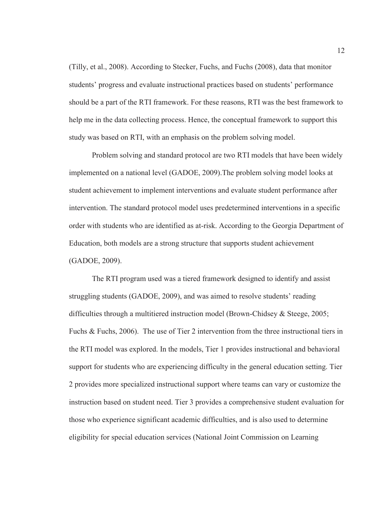(Tilly, et al., 2008). According to Stecker, Fuchs, and Fuchs (2008), data that monitor students' progress and evaluate instructional practices based on students' performance should be a part of the RTI framework. For these reasons, RTI was the best framework to help me in the data collecting process. Hence, the conceptual framework to support this study was based on RTI, with an emphasis on the problem solving model.

Problem solving and standard protocol are two RTI models that have been widely implemented on a national level (GADOE, 2009).The problem solving model looks at student achievement to implement interventions and evaluate student performance after intervention. The standard protocol model uses predetermined interventions in a specific order with students who are identified as at-risk. According to the Georgia Department of Education, both models are a strong structure that supports student achievement (GADOE, 2009).

The RTI program used was a tiered framework designed to identify and assist struggling students (GADOE, 2009), and was aimed to resolve students' reading difficulties through a multitiered instruction model (Brown-Chidsey & Steege, 2005; Fuchs & Fuchs, 2006). The use of Tier 2 intervention from the three instructional tiers in the RTI model was explored. In the models, Tier 1 provides instructional and behavioral support for students who are experiencing difficulty in the general education setting. Tier 2 provides more specialized instructional support where teams can vary or customize the instruction based on student need. Tier 3 provides a comprehensive student evaluation for those who experience significant academic difficulties, and is also used to determine eligibility for special education services (National Joint Commission on Learning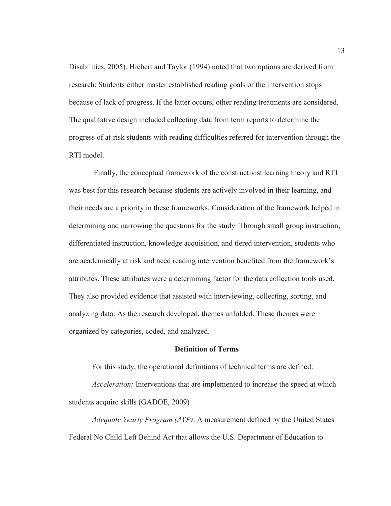Disabilities, 2005). Hiebert and Taylor (1994) noted that two options are derived from research: Students either master established reading goals or the intervention stops because of lack of progress. If the latter occurs, other reading treatments are considered. The qualitative design included collecting data from term reports to determine the progress of at-risk students with reading difficulties referred for intervention through the RTI model.

 Finally, the conceptual framework of the constructivist learning theory and RTI was best for this research because students are actively involved in their learning, and their needs are a priority in these frameworks. Consideration of the framework helped in determining and narrowing the questions for the study. Through small group instruction, differentiated instruction, knowledge acquisition, and tiered intervention, students who are academically at risk and need reading intervention benefited from the framework's attributes. These attributes were a determining factor for the data collection tools used. They also provided evidence that assisted with interviewing, collecting, sorting, and analyzing data. As the research developed, themes unfolded. These themes were organized by categories, coded, and analyzed.

#### **Definition of Terms**

For this study, the operational definitions of technical terms are defined:

*Acceleration:* Interventions that are implemented to increase the speed at which students acquire skills (GADOE, 2009)

*Adequate Yearly Program (AYP)*: A measurement defined by the United States Federal No Child Left Behind Act that allows the U.S. Department of Education to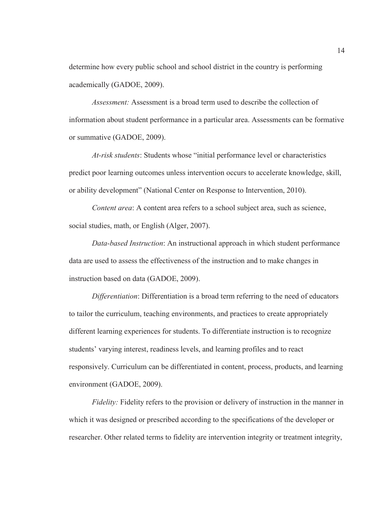determine how every public school and school district in the country is performing academically (GADOE, 2009).

*Assessment:* Assessment is a broad term used to describe the collection of information about student performance in a particular area. Assessments can be formative or summative (GADOE, 2009).

*At-risk students*: Students whose "initial performance level or characteristics predict poor learning outcomes unless intervention occurs to accelerate knowledge, skill, or ability development" (National Center on Response to Intervention, 2010).

*Content area*: A content area refers to a school subject area, such as science, social studies, math, or English (Alger, 2007).

*Data-based Instruction*: An instructional approach in which student performance data are used to assess the effectiveness of the instruction and to make changes in instruction based on data (GADOE, 2009).

*Differentiation*: Differentiation is a broad term referring to the need of educators to tailor the curriculum, teaching environments, and practices to create appropriately different learning experiences for students. To differentiate instruction is to recognize students' varying interest, readiness levels, and learning profiles and to react responsively. Curriculum can be differentiated in content, process, products, and learning environment (GADOE, 2009).

*Fidelity:* Fidelity refers to the provision or delivery of instruction in the manner in which it was designed or prescribed according to the specifications of the developer or researcher. Other related terms to fidelity are intervention integrity or treatment integrity,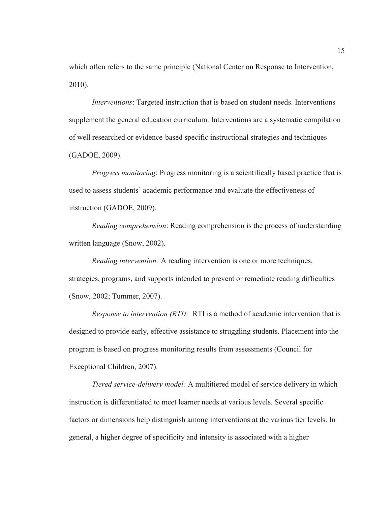which often refers to the same principle (National Center on Response to Intervention, 2010).

*Interventions*: Targeted instruction that is based on student needs. Interventions supplement the general education curriculum. Interventions are a systematic compilation of well researched or evidence-based specific instructional strategies and techniques (GADOE, 2009).

*Progress monitoring*: Progress monitoring is a scientifically based practice that is used to assess students' academic performance and evaluate the effectiveness of instruction (GADOE, 2009).

*Reading comprehension*: Reading comprehension is the process of understanding written language (Snow, 2002).

*Reading intervention:* A reading intervention is one or more techniques, strategies, programs, and supports intended to prevent or remediate reading difficulties (Snow, 2002; Tummer, 2007).

*Response to intervention (RTI):* RTI is a method of academic intervention that is designed to provide early, effective assistance to struggling students. Placement into the program is based on progress monitoring results from assessments (Council for Exceptional Children, 2007).

*Tiered service-delivery model:* A multitiered model of service delivery in which instruction is differentiated to meet learner needs at various levels. Several specific factors or dimensions help distinguish among interventions at the various tier levels. In general, a higher degree of specificity and intensity is associated with a higher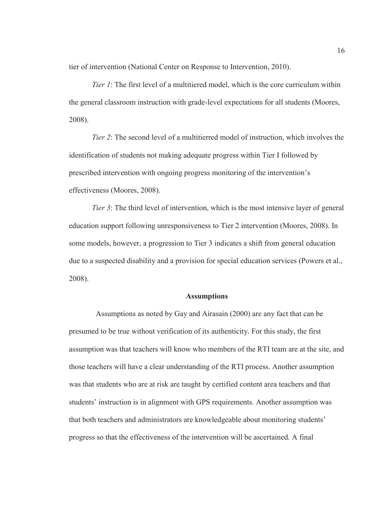tier of intervention (National Center on Response to Intervention, 2010).

*Tier 1*: The first level of a multitiered model, which is the core curriculum within the general classroom instruction with grade-level expectations for all students (Moores, 2008).

*Tier 2*: The second level of a multitierred model of instruction, which involves the identification of students not making adequate progress within Tier I followed by prescribed intervention with ongoing progress monitoring of the intervention's effectiveness (Moores, 2008).

*Tier 3*: The third level of intervention, which is the most intensive layer of general education support following unresponsiveness to Tier 2 intervention (Moores, 2008). In some models, however, a progression to Tier 3 indicates a shift from general education due to a suspected disability and a provision for special education services (Powers et al., 2008).

#### **Assumptions**

 Assumptions as noted by Gay and Airasain (2000) are any fact that can be presumed to be true without verification of its authenticity. For this study, the first assumption was that teachers will know who members of the RTI team are at the site, and those teachers will have a clear understanding of the RTI process. Another assumption was that students who are at risk are taught by certified content area teachers and that students' instruction is in alignment with GPS requirements. Another assumption was that both teachers and administrators are knowledgeable about monitoring students' progress so that the effectiveness of the intervention will be ascertained. A final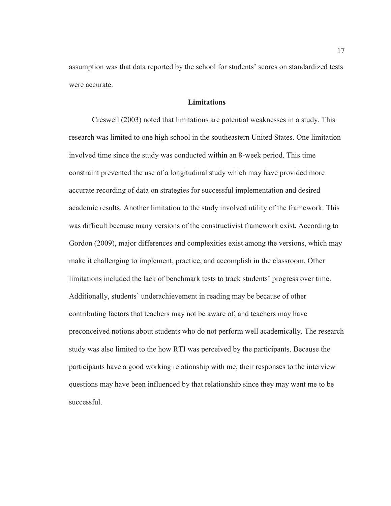assumption was that data reported by the school for students' scores on standardized tests were accurate.

### **Limitations**

 Creswell (2003) noted that limitations are potential weaknesses in a study. This research was limited to one high school in the southeastern United States. One limitation involved time since the study was conducted within an 8-week period. This time constraint prevented the use of a longitudinal study which may have provided more accurate recording of data on strategies for successful implementation and desired academic results. Another limitation to the study involved utility of the framework. This was difficult because many versions of the constructivist framework exist. According to Gordon (2009), major differences and complexities exist among the versions, which may make it challenging to implement, practice, and accomplish in the classroom. Other limitations included the lack of benchmark tests to track students' progress over time. Additionally, students' underachievement in reading may be because of other contributing factors that teachers may not be aware of, and teachers may have preconceived notions about students who do not perform well academically. The research study was also limited to the how RTI was perceived by the participants. Because the participants have a good working relationship with me, their responses to the interview questions may have been influenced by that relationship since they may want me to be successful.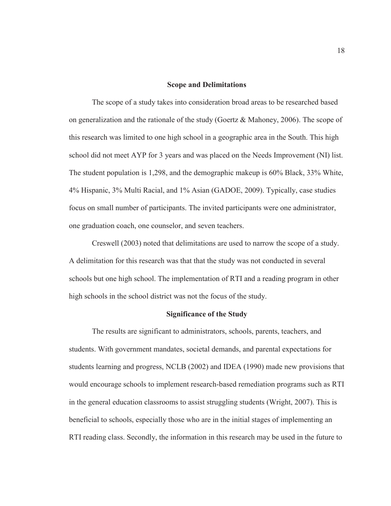#### **Scope and Delimitations**

The scope of a study takes into consideration broad areas to be researched based on generalization and the rationale of the study (Goertz & Mahoney, 2006). The scope of this research was limited to one high school in a geographic area in the South. This high school did not meet AYP for 3 years and was placed on the Needs Improvement (NI) list. The student population is 1,298, and the demographic makeup is 60% Black, 33% White, 4% Hispanic, 3% Multi Racial, and 1% Asian (GADOE, 2009). Typically, case studies focus on small number of participants. The invited participants were one administrator, one graduation coach, one counselor, and seven teachers.

Creswell (2003) noted that delimitations are used to narrow the scope of a study. A delimitation for this research was that that the study was not conducted in several schools but one high school. The implementation of RTI and a reading program in other high schools in the school district was not the focus of the study.

#### **Significance of the Study**

The results are significant to administrators, schools, parents, teachers, and students. With government mandates, societal demands, and parental expectations for students learning and progress, NCLB (2002) and IDEA (1990) made new provisions that would encourage schools to implement research-based remediation programs such as RTI in the general education classrooms to assist struggling students (Wright, 2007). This is beneficial to schools, especially those who are in the initial stages of implementing an RTI reading class. Secondly, the information in this research may be used in the future to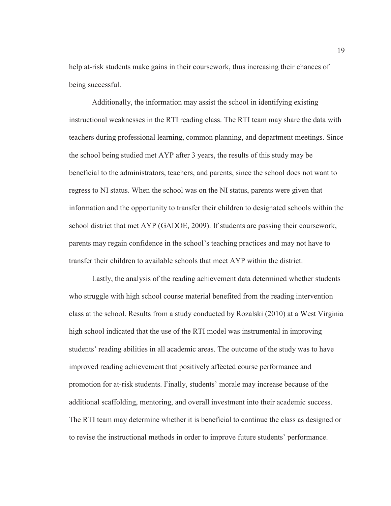help at-risk students make gains in their coursework, thus increasing their chances of being successful.

Additionally, the information may assist the school in identifying existing instructional weaknesses in the RTI reading class. The RTI team may share the data with teachers during professional learning, common planning, and department meetings. Since the school being studied met AYP after 3 years, the results of this study may be beneficial to the administrators, teachers, and parents, since the school does not want to regress to NI status. When the school was on the NI status, parents were given that information and the opportunity to transfer their children to designated schools within the school district that met AYP (GADOE, 2009). If students are passing their coursework, parents may regain confidence in the school's teaching practices and may not have to transfer their children to available schools that meet AYP within the district.

Lastly, the analysis of the reading achievement data determined whether students who struggle with high school course material benefited from the reading intervention class at the school. Results from a study conducted by Rozalski (2010) at a West Virginia high school indicated that the use of the RTI model was instrumental in improving students' reading abilities in all academic areas. The outcome of the study was to have improved reading achievement that positively affected course performance and promotion for at-risk students. Finally, students' morale may increase because of the additional scaffolding, mentoring, and overall investment into their academic success. The RTI team may determine whether it is beneficial to continue the class as designed or to revise the instructional methods in order to improve future students' performance.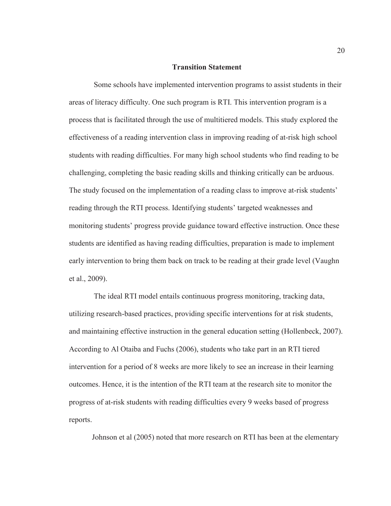#### **Transition Statement**

 Some schools have implemented intervention programs to assist students in their areas of literacy difficulty. One such program is RTI. This intervention program is a process that is facilitated through the use of multitiered models. This study explored the effectiveness of a reading intervention class in improving reading of at-risk high school students with reading difficulties. For many high school students who find reading to be challenging, completing the basic reading skills and thinking critically can be arduous. The study focused on the implementation of a reading class to improve at-risk students' reading through the RTI process. Identifying students' targeted weaknesses and monitoring students' progress provide guidance toward effective instruction. Once these students are identified as having reading difficulties, preparation is made to implement early intervention to bring them back on track to be reading at their grade level (Vaughn et al., 2009).

 The ideal RTI model entails continuous progress monitoring, tracking data, utilizing research-based practices, providing specific interventions for at risk students, and maintaining effective instruction in the general education setting (Hollenbeck, 2007). According to Al Otaiba and Fuchs (2006), students who take part in an RTI tiered intervention for a period of 8 weeks are more likely to see an increase in their learning outcomes. Hence, it is the intention of the RTI team at the research site to monitor the progress of at-risk students with reading difficulties every 9 weeks based of progress reports.

Johnson et al (2005) noted that more research on RTI has been at the elementary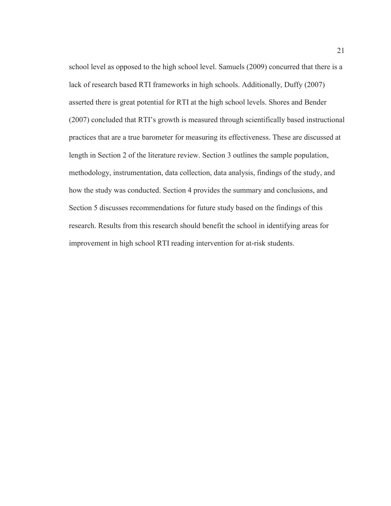school level as opposed to the high school level. Samuels (2009) concurred that there is a lack of research based RTI frameworks in high schools. Additionally, Duffy (2007) asserted there is great potential for RTI at the high school levels. Shores and Bender (2007) concluded that RTI's growth is measured through scientifically based instructional practices that are a true barometer for measuring its effectiveness. These are discussed at length in Section 2 of the literature review. Section 3 outlines the sample population, methodology, instrumentation, data collection, data analysis, findings of the study, and how the study was conducted. Section 4 provides the summary and conclusions, and Section 5 discusses recommendations for future study based on the findings of this research. Results from this research should benefit the school in identifying areas for improvement in high school RTI reading intervention for at-risk students.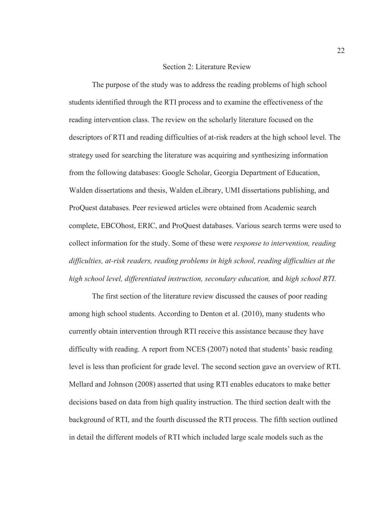### Section 2: Literature Review

The purpose of the study was to address the reading problems of high school students identified through the RTI process and to examine the effectiveness of the reading intervention class. The review on the scholarly literature focused on the descriptors of RTI and reading difficulties of at-risk readers at the high school level. The strategy used for searching the literature was acquiring and synthesizing information from the following databases: Google Scholar, Georgia Department of Education, Walden dissertations and thesis, Walden eLibrary, UMI dissertations publishing, and ProQuest databases. Peer reviewed articles were obtained from Academic search complete, EBCOhost, ERIC, and ProQuest databases. Various search terms were used to collect information for the study. Some of these were *response to intervention, reading difficulties, at-risk readers, reading problems in high school, reading difficulties at the high school level, differentiated instruction, secondary education,* and *high school RTI.* 

The first section of the literature review discussed the causes of poor reading among high school students. According to Denton et al. (2010), many students who currently obtain intervention through RTI receive this assistance because they have difficulty with reading. A report from NCES (2007) noted that students' basic reading level is less than proficient for grade level. The second section gave an overview of RTI. Mellard and Johnson (2008) asserted that using RTI enables educators to make better decisions based on data from high quality instruction. The third section dealt with the background of RTI, and the fourth discussed the RTI process. The fifth section outlined in detail the different models of RTI which included large scale models such as the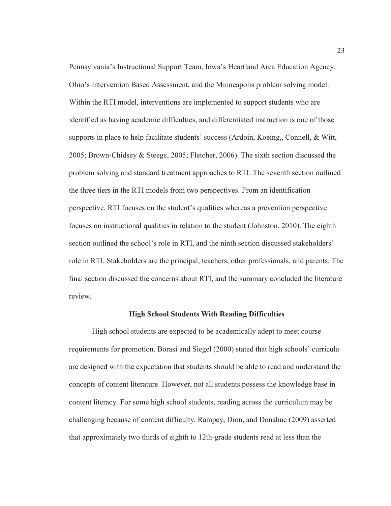Pennsylvania's Instructional Support Team, Iowa's Heartland Area Education Agency, Ohio's Intervention Based Assessment, and the Minneapolis problem solving model. Within the RTI model, interventions are implemented to support students who are identified as having academic difficulties, and differentiated instruction is one of those supports in place to help facilitate students' success (Ardoin, Koeing,, Connell, & Witt, 2005; Brown-Chidsey & Steege, 2005; Fletcher, 2006). The sixth section discussed the problem solving and standard treatment approaches to RTI. The seventh section outlined the three tiers in the RTI models from two perspectives. From an identification perspective, RTI focuses on the student's qualities whereas a prevention perspective focuses on instructional qualities in relation to the student (Johnston, 2010). The eighth section outlined the school's role in RTI, and the ninth section discussed stakeholders' role in RTI. Stakeholders are the principal, teachers, other professionals, and parents. The final section discussed the concerns about RTI, and the summary concluded the literature review.

### **High School Students With Reading Difficulties**

High school students are expected to be academically adept to meet course requirements for promotion. Borasi and Siegel (2000) stated that high schools' curricula are designed with the expectation that students should be able to read and understand the concepts of content literature. However, not all students possess the knowledge base in content literacy. For some high school students, reading across the curriculum may be challenging because of content difficulty. Rampey, Dion, and Donahue (2009) asserted that approximately two thirds of eighth to 12th-grade students read at less than the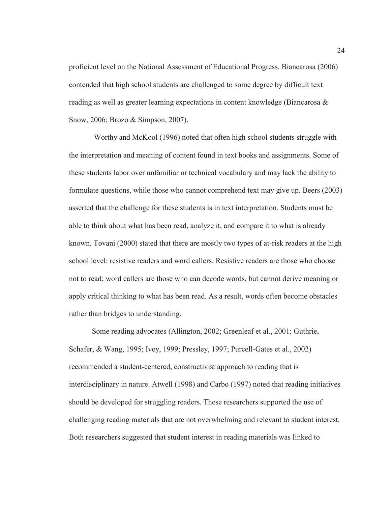proficient level on the National Assessment of Educational Progress. Biancarosa (2006) contended that high school students are challenged to some degree by difficult text reading as well as greater learning expectations in content knowledge (Biancarosa & Snow, 2006; Brozo & Simpson, 2007).

 Worthy and McKool (1996) noted that often high school students struggle with the interpretation and meaning of content found in text books and assignments. Some of these students labor over unfamiliar or technical vocabulary and may lack the ability to formulate questions, while those who cannot comprehend text may give up. Beers (2003) asserted that the challenge for these students is in text interpretation. Students must be able to think about what has been read, analyze it, and compare it to what is already known. Tovani (2000) stated that there are mostly two types of at-risk readers at the high school level: resistive readers and word callers. Resistive readers are those who choose not to read; word callers are those who can decode words, but cannot derive meaning or apply critical thinking to what has been read. As a result, words often become obstacles rather than bridges to understanding.

Some reading advocates (Allington, 2002; Greenleaf et al., 2001; Guthrie, Schafer, & Wang, 1995; Ivey, 1999; Pressley, 1997; Purcell-Gates et al., 2002) recommended a student-centered, constructivist approach to reading that is interdisciplinary in nature. Atwell (1998) and Carbo (1997) noted that reading initiatives should be developed for struggling readers. These researchers supported the use of challenging reading materials that are not overwhelming and relevant to student interest. Both researchers suggested that student interest in reading materials was linked to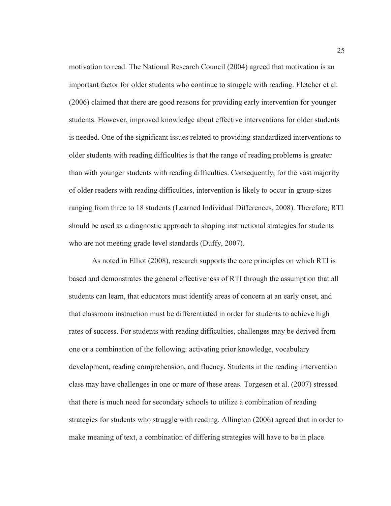motivation to read. The National Research Council (2004) agreed that motivation is an important factor for older students who continue to struggle with reading. Fletcher et al. (2006) claimed that there are good reasons for providing early intervention for younger students. However, improved knowledge about effective interventions for older students is needed. One of the significant issues related to providing standardized interventions to older students with reading difficulties is that the range of reading problems is greater than with younger students with reading difficulties. Consequently, for the vast majority of older readers with reading difficulties, intervention is likely to occur in group-sizes ranging from three to 18 students (Learned Individual Differences, 2008). Therefore, RTI should be used as a diagnostic approach to shaping instructional strategies for students who are not meeting grade level standards (Duffy, 2007).

As noted in Elliot (2008), research supports the core principles on which RTI is based and demonstrates the general effectiveness of RTI through the assumption that all students can learn, that educators must identify areas of concern at an early onset, and that classroom instruction must be differentiated in order for students to achieve high rates of success. For students with reading difficulties, challenges may be derived from one or a combination of the following: activating prior knowledge, vocabulary development, reading comprehension, and fluency. Students in the reading intervention class may have challenges in one or more of these areas. Torgesen et al. (2007) stressed that there is much need for secondary schools to utilize a combination of reading strategies for students who struggle with reading. Allington (2006) agreed that in order to make meaning of text, a combination of differing strategies will have to be in place.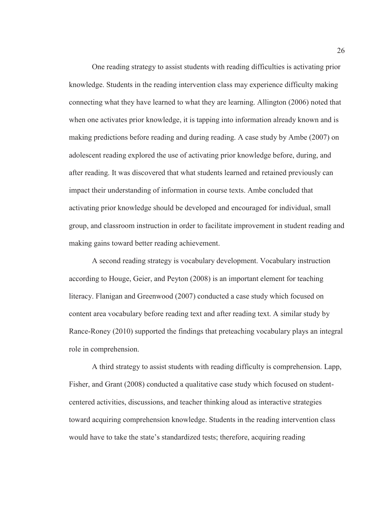One reading strategy to assist students with reading difficulties is activating prior knowledge. Students in the reading intervention class may experience difficulty making connecting what they have learned to what they are learning. Allington (2006) noted that when one activates prior knowledge, it is tapping into information already known and is making predictions before reading and during reading. A case study by Ambe (2007) on adolescent reading explored the use of activating prior knowledge before, during, and after reading. It was discovered that what students learned and retained previously can impact their understanding of information in course texts. Ambe concluded that activating prior knowledge should be developed and encouraged for individual, small group, and classroom instruction in order to facilitate improvement in student reading and making gains toward better reading achievement.

A second reading strategy is vocabulary development. Vocabulary instruction according to Houge, Geier, and Peyton (2008) is an important element for teaching literacy. Flanigan and Greenwood (2007) conducted a case study which focused on content area vocabulary before reading text and after reading text. A similar study by Rance-Roney (2010) supported the findings that preteaching vocabulary plays an integral role in comprehension.

A third strategy to assist students with reading difficulty is comprehension. Lapp, Fisher, and Grant (2008) conducted a qualitative case study which focused on studentcentered activities, discussions, and teacher thinking aloud as interactive strategies toward acquiring comprehension knowledge. Students in the reading intervention class would have to take the state's standardized tests; therefore, acquiring reading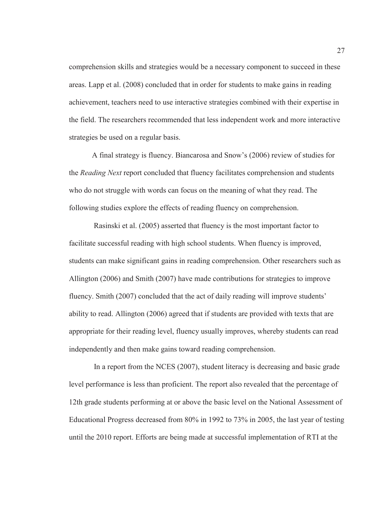comprehension skills and strategies would be a necessary component to succeed in these areas. Lapp et al. (2008) concluded that in order for students to make gains in reading achievement, teachers need to use interactive strategies combined with their expertise in the field. The researchers recommended that less independent work and more interactive strategies be used on a regular basis.

A final strategy is fluency. Biancarosa and Snow's (2006) review of studies for the *Reading Next* report concluded that fluency facilitates comprehension and students who do not struggle with words can focus on the meaning of what they read. The following studies explore the effects of reading fluency on comprehension.

 Rasinski et al. (2005) asserted that fluency is the most important factor to facilitate successful reading with high school students. When fluency is improved, students can make significant gains in reading comprehension. Other researchers such as Allington (2006) and Smith (2007) have made contributions for strategies to improve fluency. Smith (2007) concluded that the act of daily reading will improve students' ability to read. Allington (2006) agreed that if students are provided with texts that are appropriate for their reading level, fluency usually improves, whereby students can read independently and then make gains toward reading comprehension.

 In a report from the NCES (2007), student literacy is decreasing and basic grade level performance is less than proficient. The report also revealed that the percentage of 12th grade students performing at or above the basic level on the National Assessment of Educational Progress decreased from 80% in 1992 to 73% in 2005, the last year of testing until the 2010 report. Efforts are being made at successful implementation of RTI at the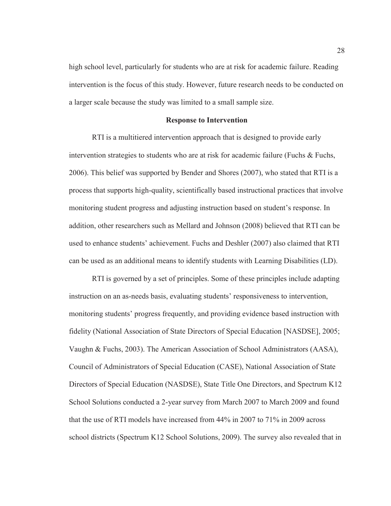high school level, particularly for students who are at risk for academic failure. Reading intervention is the focus of this study. However, future research needs to be conducted on a larger scale because the study was limited to a small sample size.

### **Response to Intervention**

RTI is a multitiered intervention approach that is designed to provide early intervention strategies to students who are at risk for academic failure (Fuchs & Fuchs, 2006). This belief was supported by Bender and Shores (2007), who stated that RTI is a process that supports high-quality, scientifically based instructional practices that involve monitoring student progress and adjusting instruction based on student's response. In addition, other researchers such as Mellard and Johnson (2008) believed that RTI can be used to enhance students' achievement. Fuchs and Deshler (2007) also claimed that RTI can be used as an additional means to identify students with Learning Disabilities (LD).

RTI is governed by a set of principles. Some of these principles include adapting instruction on an as-needs basis, evaluating students' responsiveness to intervention, monitoring students' progress frequently, and providing evidence based instruction with fidelity (National Association of State Directors of Special Education [NASDSE], 2005; Vaughn & Fuchs, 2003). The American Association of School Administrators (AASA), Council of Administrators of Special Education (CASE), National Association of State Directors of Special Education (NASDSE), State Title One Directors, and Spectrum K12 School Solutions conducted a 2-year survey from March 2007 to March 2009 and found that the use of RTI models have increased from 44% in 2007 to 71% in 2009 across school districts (Spectrum K12 School Solutions, 2009). The survey also revealed that in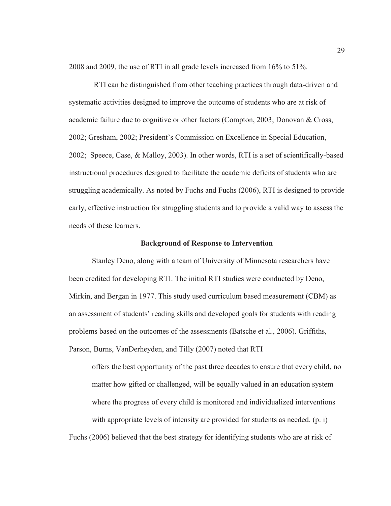2008 and 2009, the use of RTI in all grade levels increased from 16% to 51%.

 RTI can be distinguished from other teaching practices through data-driven and systematic activities designed to improve the outcome of students who are at risk of academic failure due to cognitive or other factors (Compton, 2003; Donovan & Cross, 2002; Gresham, 2002; President's Commission on Excellence in Special Education, 2002; Speece, Case, & Malloy, 2003). In other words, RTI is a set of scientifically-based instructional procedures designed to facilitate the academic deficits of students who are struggling academically. As noted by Fuchs and Fuchs (2006), RTI is designed to provide early, effective instruction for struggling students and to provide a valid way to assess the needs of these learners.

#### **Background of Response to Intervention**

Stanley Deno, along with a team of University of Minnesota researchers have been credited for developing RTI. The initial RTI studies were conducted by Deno, Mirkin, and Bergan in 1977. This study used curriculum based measurement (CBM) as an assessment of students' reading skills and developed goals for students with reading problems based on the outcomes of the assessments (Batsche et al., 2006). Griffiths, Parson, Burns, VanDerheyden, and Tilly (2007) noted that RTI

offers the best opportunity of the past three decades to ensure that every child, no matter how gifted or challenged, will be equally valued in an education system where the progress of every child is monitored and individualized interventions with appropriate levels of intensity are provided for students as needed. (p. i)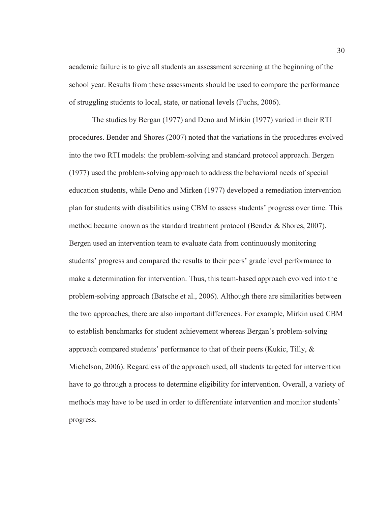academic failure is to give all students an assessment screening at the beginning of the school year. Results from these assessments should be used to compare the performance of struggling students to local, state, or national levels (Fuchs, 2006).

The studies by Bergan (1977) and Deno and Mirkin (1977) varied in their RTI procedures. Bender and Shores (2007) noted that the variations in the procedures evolved into the two RTI models: the problem-solving and standard protocol approach. Bergen (1977) used the problem-solving approach to address the behavioral needs of special education students, while Deno and Mirken (1977) developed a remediation intervention plan for students with disabilities using CBM to assess students' progress over time. This method became known as the standard treatment protocol (Bender & Shores, 2007). Bergen used an intervention team to evaluate data from continuously monitoring students' progress and compared the results to their peers' grade level performance to make a determination for intervention. Thus, this team-based approach evolved into the problem-solving approach (Batsche et al., 2006). Although there are similarities between the two approaches, there are also important differences. For example, Mirkin used CBM to establish benchmarks for student achievement whereas Bergan's problem-solving approach compared students' performance to that of their peers (Kukic, Tilly, & Michelson, 2006). Regardless of the approach used, all students targeted for intervention have to go through a process to determine eligibility for intervention. Overall, a variety of methods may have to be used in order to differentiate intervention and monitor students' progress.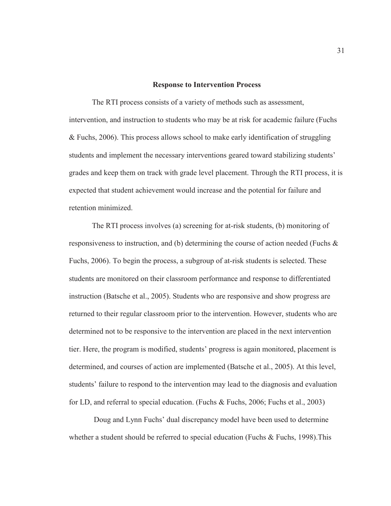#### **Response to Intervention Process**

The RTI process consists of a variety of methods such as assessment, intervention, and instruction to students who may be at risk for academic failure (Fuchs & Fuchs, 2006). This process allows school to make early identification of struggling students and implement the necessary interventions geared toward stabilizing students' grades and keep them on track with grade level placement. Through the RTI process, it is expected that student achievement would increase and the potential for failure and retention minimized.

The RTI process involves (a) screening for at-risk students, (b) monitoring of responsiveness to instruction, and (b) determining the course of action needed (Fuchs  $\&$ Fuchs, 2006). To begin the process, a subgroup of at-risk students is selected. These students are monitored on their classroom performance and response to differentiated instruction (Batsche et al., 2005). Students who are responsive and show progress are returned to their regular classroom prior to the intervention. However, students who are determined not to be responsive to the intervention are placed in the next intervention tier. Here, the program is modified, students' progress is again monitored, placement is determined, and courses of action are implemented (Batsche et al., 2005). At this level, students' failure to respond to the intervention may lead to the diagnosis and evaluation for LD, and referral to special education. (Fuchs & Fuchs, 2006; Fuchs et al., 2003)

Doug and Lynn Fuchs' dual discrepancy model have been used to determine whether a student should be referred to special education (Fuchs  $\&$  Fuchs, 1998). This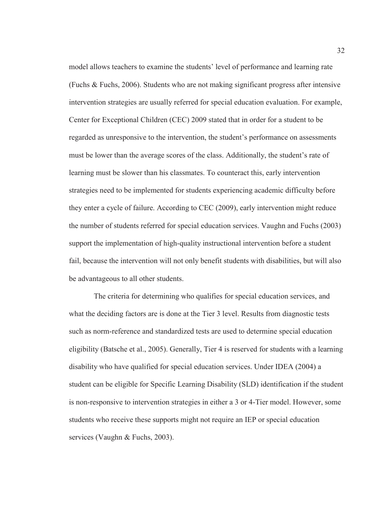model allows teachers to examine the students' level of performance and learning rate (Fuchs & Fuchs, 2006). Students who are not making significant progress after intensive intervention strategies are usually referred for special education evaluation. For example, Center for Exceptional Children (CEC) 2009 stated that in order for a student to be regarded as unresponsive to the intervention, the student's performance on assessments must be lower than the average scores of the class. Additionally, the student's rate of learning must be slower than his classmates. To counteract this, early intervention strategies need to be implemented for students experiencing academic difficulty before they enter a cycle of failure. According to CEC (2009), early intervention might reduce the number of students referred for special education services. Vaughn and Fuchs (2003) support the implementation of high-quality instructional intervention before a student fail, because the intervention will not only benefit students with disabilities, but will also be advantageous to all other students.

 The criteria for determining who qualifies for special education services, and what the deciding factors are is done at the Tier 3 level. Results from diagnostic tests such as norm-reference and standardized tests are used to determine special education eligibility (Batsche et al., 2005). Generally, Tier 4 is reserved for students with a learning disability who have qualified for special education services. Under IDEA (2004) a student can be eligible for Specific Learning Disability (SLD) identification if the student is non-responsive to intervention strategies in either a 3 or 4-Tier model. However, some students who receive these supports might not require an IEP or special education services (Vaughn & Fuchs, 2003).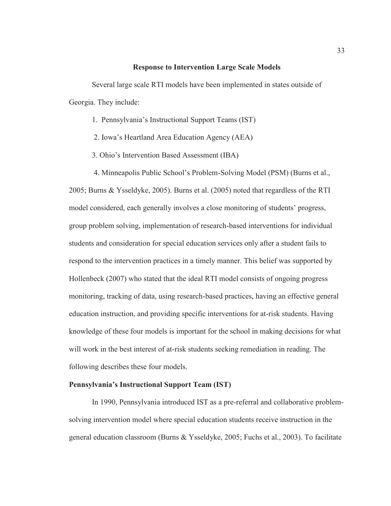#### **Response to Intervention Large Scale Models**

Several large scale RTI models have been implemented in states outside of Georgia. They include:

- 1. Pennsylvania's Instructional Support Teams (IST)
- 2. Iowa's Heartland Area Education Agency (AEA)
- 3. Ohio's Intervention Based Assessment (IBA)
- 4. Minneapolis Public School's Problem-Solving Model (PSM) (Burns et al.,

2005; Burns & Ysseldyke, 2005). Burns et al. (2005) noted that regardless of the RTI model considered, each generally involves a close monitoring of students' progress, group problem solving, implementation of research-based interventions for individual students and consideration for special education services only after a student fails to respond to the intervention practices in a timely manner. This belief was supported by Hollenbeck (2007) who stated that the ideal RTI model consists of ongoing progress monitoring, tracking of data, using research-based practices, having an effective general education instruction, and providing specific interventions for at-risk students. Having knowledge of these four models is important for the school in making decisions for what will work in the best interest of at-risk students seeking remediation in reading. The following describes these four models.

## **Pennsylvania's Instructional Support Team (IST)**

In 1990, Pennsylvania introduced IST as a pre-referral and collaborative problemsolving intervention model where special education students receive instruction in the general education classroom (Burns & Ysseldyke, 2005; Fuchs et al., 2003). To facilitate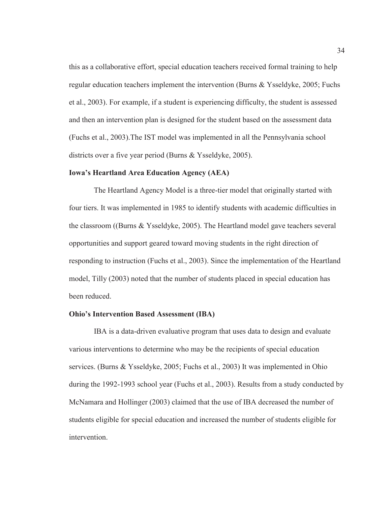this as a collaborative effort, special education teachers received formal training to help regular education teachers implement the intervention (Burns & Ysseldyke, 2005; Fuchs et al., 2003). For example, if a student is experiencing difficulty, the student is assessed and then an intervention plan is designed for the student based on the assessment data (Fuchs et al., 2003).The IST model was implemented in all the Pennsylvania school districts over a five year period (Burns & Ysseldyke, 2005).

# **Iowa's Heartland Area Education Agency (AEA)**

The Heartland Agency Model is a three-tier model that originally started with four tiers. It was implemented in 1985 to identify students with academic difficulties in the classroom ((Burns & Ysseldyke, 2005). The Heartland model gave teachers several opportunities and support geared toward moving students in the right direction of responding to instruction (Fuchs et al., 2003). Since the implementation of the Heartland model, Tilly (2003) noted that the number of students placed in special education has been reduced.

### **Ohio's Intervention Based Assessment (IBA)**

IBA is a data-driven evaluative program that uses data to design and evaluate various interventions to determine who may be the recipients of special education services. (Burns & Ysseldyke, 2005; Fuchs et al., 2003) It was implemented in Ohio during the 1992-1993 school year (Fuchs et al., 2003). Results from a study conducted by McNamara and Hollinger (2003) claimed that the use of IBA decreased the number of students eligible for special education and increased the number of students eligible for intervention.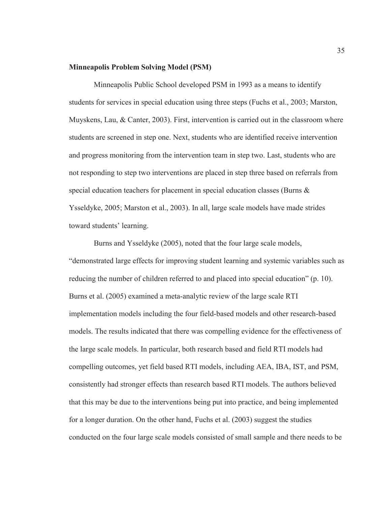### **Minneapolis Problem Solving Model (PSM)**

 Minneapolis Public School developed PSM in 1993 as a means to identify students for services in special education using three steps (Fuchs et al., 2003; Marston, Muyskens, Lau, & Canter, 2003). First, intervention is carried out in the classroom where students are screened in step one. Next, students who are identified receive intervention and progress monitoring from the intervention team in step two. Last, students who are not responding to step two interventions are placed in step three based on referrals from special education teachers for placement in special education classes (Burns & Ysseldyke, 2005; Marston et al., 2003). In all, large scale models have made strides toward students' learning.

 Burns and Ysseldyke (2005), noted that the four large scale models, "demonstrated large effects for improving student learning and systemic variables such as reducing the number of children referred to and placed into special education" (p. 10). Burns et al. (2005) examined a meta-analytic review of the large scale RTI implementation models including the four field-based models and other research-based models. The results indicated that there was compelling evidence for the effectiveness of the large scale models. In particular, both research based and field RTI models had compelling outcomes, yet field based RTI models, including AEA, IBA, IST, and PSM, consistently had stronger effects than research based RTI models. The authors believed that this may be due to the interventions being put into practice, and being implemented for a longer duration. On the other hand, Fuchs et al. (2003) suggest the studies conducted on the four large scale models consisted of small sample and there needs to be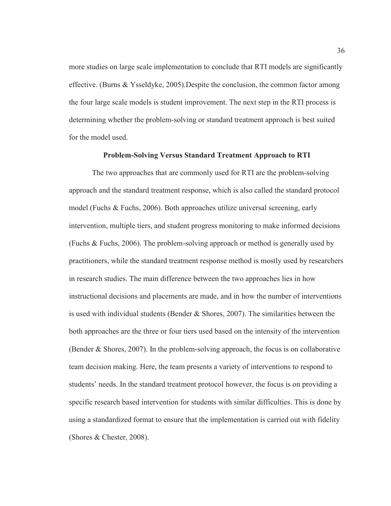more studies on large scale implementation to conclude that RTI models are significantly effective. (Burns & Ysseldyke, 2005).Despite the conclusion, the common factor among the four large scale models is student improvement. The next step in the RTI process is determining whether the problem-solving or standard treatment approach is best suited for the model used.

### **Problem-Solving Versus Standard Treatment Approach to RTI**

The two approaches that are commonly used for RTI are the problem-solving approach and the standard treatment response, which is also called the standard protocol model (Fuchs & Fuchs, 2006). Both approaches utilize universal screening, early intervention, multiple tiers, and student progress monitoring to make informed decisions (Fuchs & Fuchs, 2006). The problem-solving approach or method is generally used by practitioners, while the standard treatment response method is mostly used by researchers in research studies. The main difference between the two approaches lies in how instructional decisions and placements are made, and in how the number of interventions is used with individual students (Bender  $\&$  Shores, 2007). The similarities between the both approaches are the three or four tiers used based on the intensity of the intervention (Bender & Shores, 2007). In the problem-solving approach, the focus is on collaborative team decision making. Here, the team presents a variety of interventions to respond to students' needs. In the standard treatment protocol however, the focus is on providing a specific research based intervention for students with similar difficulties. This is done by using a standardized format to ensure that the implementation is carried out with fidelity (Shores & Chester, 2008).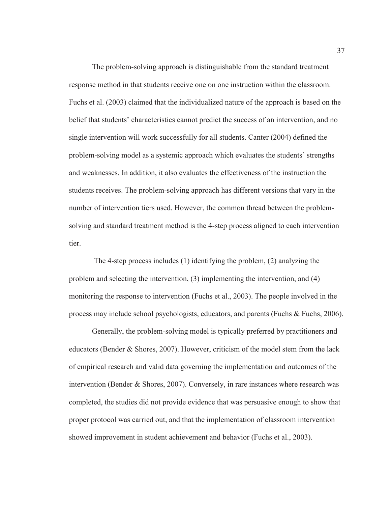The problem-solving approach is distinguishable from the standard treatment response method in that students receive one on one instruction within the classroom. Fuchs et al. (2003) claimed that the individualized nature of the approach is based on the belief that students' characteristics cannot predict the success of an intervention, and no single intervention will work successfully for all students. Canter (2004) defined the problem-solving model as a systemic approach which evaluates the students' strengths and weaknesses. In addition, it also evaluates the effectiveness of the instruction the students receives. The problem-solving approach has different versions that vary in the number of intervention tiers used. However, the common thread between the problemsolving and standard treatment method is the 4-step process aligned to each intervention tier.

 The 4-step process includes (1) identifying the problem, (2) analyzing the problem and selecting the intervention, (3) implementing the intervention, and (4) monitoring the response to intervention (Fuchs et al., 2003). The people involved in the process may include school psychologists, educators, and parents (Fuchs & Fuchs, 2006).

Generally, the problem-solving model is typically preferred by practitioners and educators (Bender & Shores, 2007). However, criticism of the model stem from the lack of empirical research and valid data governing the implementation and outcomes of the intervention (Bender & Shores, 2007). Conversely, in rare instances where research was completed, the studies did not provide evidence that was persuasive enough to show that proper protocol was carried out, and that the implementation of classroom intervention showed improvement in student achievement and behavior (Fuchs et al., 2003).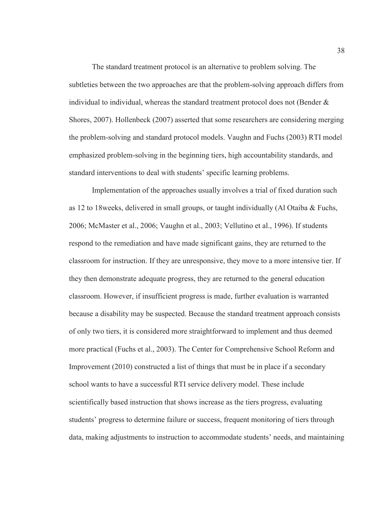The standard treatment protocol is an alternative to problem solving. The subtleties between the two approaches are that the problem-solving approach differs from individual to individual, whereas the standard treatment protocol does not (Bender & Shores, 2007). Hollenbeck (2007) asserted that some researchers are considering merging the problem-solving and standard protocol models. Vaughn and Fuchs (2003) RTI model emphasized problem-solving in the beginning tiers, high accountability standards, and standard interventions to deal with students' specific learning problems.

Implementation of the approaches usually involves a trial of fixed duration such as 12 to 18weeks, delivered in small groups, or taught individually (Al Otaiba & Fuchs, 2006; McMaster et al., 2006; Vaughn et al., 2003; Vellutino et al., 1996). If students respond to the remediation and have made significant gains, they are returned to the classroom for instruction. If they are unresponsive, they move to a more intensive tier. If they then demonstrate adequate progress, they are returned to the general education classroom. However, if insufficient progress is made, further evaluation is warranted because a disability may be suspected. Because the standard treatment approach consists of only two tiers, it is considered more straightforward to implement and thus deemed more practical (Fuchs et al., 2003). The Center for Comprehensive School Reform and Improvement (2010) constructed a list of things that must be in place if a secondary school wants to have a successful RTI service delivery model. These include scientifically based instruction that shows increase as the tiers progress, evaluating students' progress to determine failure or success, frequent monitoring of tiers through data, making adjustments to instruction to accommodate students' needs, and maintaining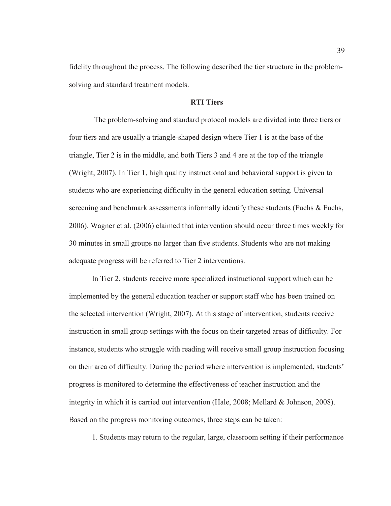fidelity throughout the process. The following described the tier structure in the problemsolving and standard treatment models.

# **RTI Tiers**

 The problem-solving and standard protocol models are divided into three tiers or four tiers and are usually a triangle-shaped design where Tier 1 is at the base of the triangle, Tier 2 is in the middle, and both Tiers 3 and 4 are at the top of the triangle (Wright, 2007). In Tier 1, high quality instructional and behavioral support is given to students who are experiencing difficulty in the general education setting. Universal screening and benchmark assessments informally identify these students (Fuchs & Fuchs, 2006). Wagner et al. (2006) claimed that intervention should occur three times weekly for 30 minutes in small groups no larger than five students. Students who are not making adequate progress will be referred to Tier 2 interventions.

In Tier 2, students receive more specialized instructional support which can be implemented by the general education teacher or support staff who has been trained on the selected intervention (Wright, 2007). At this stage of intervention, students receive instruction in small group settings with the focus on their targeted areas of difficulty. For instance, students who struggle with reading will receive small group instruction focusing on their area of difficulty. During the period where intervention is implemented, students' progress is monitored to determine the effectiveness of teacher instruction and the integrity in which it is carried out intervention (Hale, 2008; Mellard & Johnson, 2008). Based on the progress monitoring outcomes, three steps can be taken:

1. Students may return to the regular, large, classroom setting if their performance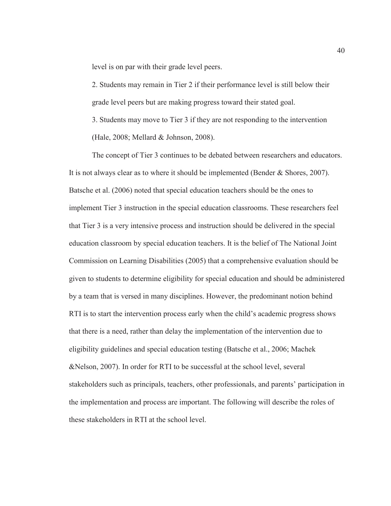level is on par with their grade level peers.

2. Students may remain in Tier 2 if their performance level is still below their grade level peers but are making progress toward their stated goal.

3. Students may move to Tier 3 if they are not responding to the intervention (Hale, 2008; Mellard & Johnson, 2008).

The concept of Tier 3 continues to be debated between researchers and educators. It is not always clear as to where it should be implemented (Bender & Shores, 2007). Batsche et al. (2006) noted that special education teachers should be the ones to implement Tier 3 instruction in the special education classrooms. These researchers feel that Tier 3 is a very intensive process and instruction should be delivered in the special education classroom by special education teachers. It is the belief of The National Joint Commission on Learning Disabilities (2005) that a comprehensive evaluation should be given to students to determine eligibility for special education and should be administered by a team that is versed in many disciplines. However, the predominant notion behind RTI is to start the intervention process early when the child's academic progress shows that there is a need, rather than delay the implementation of the intervention due to eligibility guidelines and special education testing (Batsche et al., 2006; Machek &Nelson, 2007). In order for RTI to be successful at the school level, several stakeholders such as principals, teachers, other professionals, and parents' participation in the implementation and process are important. The following will describe the roles of these stakeholders in RTI at the school level.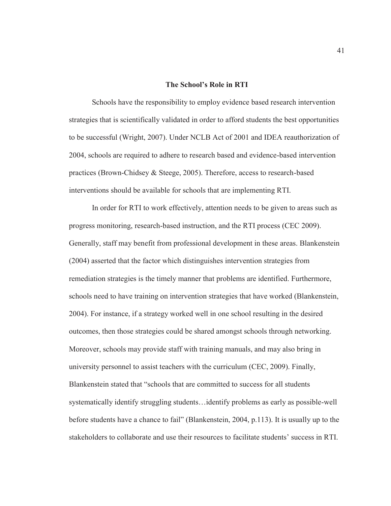### **The School's Role in RTI**

Schools have the responsibility to employ evidence based research intervention strategies that is scientifically validated in order to afford students the best opportunities to be successful (Wright, 2007). Under NCLB Act of 2001 and IDEA reauthorization of 2004, schools are required to adhere to research based and evidence-based intervention practices (Brown-Chidsey & Steege, 2005). Therefore, access to research-based interventions should be available for schools that are implementing RTI.

In order for RTI to work effectively, attention needs to be given to areas such as progress monitoring, research-based instruction, and the RTI process (CEC 2009). Generally, staff may benefit from professional development in these areas. Blankenstein (2004) asserted that the factor which distinguishes intervention strategies from remediation strategies is the timely manner that problems are identified. Furthermore, schools need to have training on intervention strategies that have worked (Blankenstein, 2004). For instance, if a strategy worked well in one school resulting in the desired outcomes, then those strategies could be shared amongst schools through networking. Moreover, schools may provide staff with training manuals, and may also bring in university personnel to assist teachers with the curriculum (CEC, 2009). Finally, Blankenstein stated that "schools that are committed to success for all students systematically identify struggling students…identify problems as early as possible-well before students have a chance to fail" (Blankenstein, 2004, p.113). It is usually up to the stakeholders to collaborate and use their resources to facilitate students' success in RTI.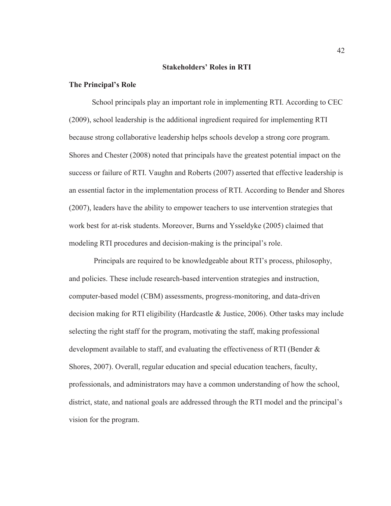## **Stakeholders' Roles in RTI**

## **The Principal's Role**

School principals play an important role in implementing RTI. According to CEC (2009), school leadership is the additional ingredient required for implementing RTI because strong collaborative leadership helps schools develop a strong core program. Shores and Chester (2008) noted that principals have the greatest potential impact on the success or failure of RTI. Vaughn and Roberts (2007) asserted that effective leadership is an essential factor in the implementation process of RTI. According to Bender and Shores (2007), leaders have the ability to empower teachers to use intervention strategies that work best for at-risk students. Moreover, Burns and Ysseldyke (2005) claimed that modeling RTI procedures and decision-making is the principal's role.

 Principals are required to be knowledgeable about RTI's process, philosophy, and policies. These include research-based intervention strategies and instruction, computer-based model (CBM) assessments, progress-monitoring, and data-driven decision making for RTI eligibility (Hardcastle & Justice, 2006). Other tasks may include selecting the right staff for the program, motivating the staff, making professional development available to staff, and evaluating the effectiveness of RTI (Bender & Shores, 2007). Overall, regular education and special education teachers, faculty, professionals, and administrators may have a common understanding of how the school, district, state, and national goals are addressed through the RTI model and the principal's vision for the program.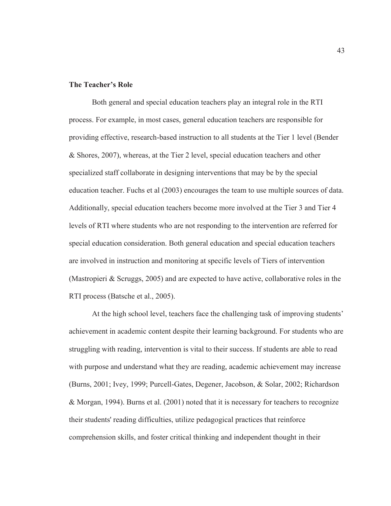# **The Teacher's Role**

Both general and special education teachers play an integral role in the RTI process. For example, in most cases, general education teachers are responsible for providing effective, research-based instruction to all students at the Tier 1 level (Bender & Shores, 2007), whereas, at the Tier 2 level, special education teachers and other specialized staff collaborate in designing interventions that may be by the special education teacher. Fuchs et al (2003) encourages the team to use multiple sources of data. Additionally, special education teachers become more involved at the Tier 3 and Tier 4 levels of RTI where students who are not responding to the intervention are referred for special education consideration. Both general education and special education teachers are involved in instruction and monitoring at specific levels of Tiers of intervention (Mastropieri & Scruggs, 2005) and are expected to have active, collaborative roles in the RTI process (Batsche et al., 2005).

At the high school level, teachers face the challenging task of improving students' achievement in academic content despite their learning background. For students who are struggling with reading, intervention is vital to their success. If students are able to read with purpose and understand what they are reading, academic achievement may increase (Burns, 2001; Ivey, 1999; Purcell-Gates, Degener, Jacobson, & Solar, 2002; Richardson & Morgan, 1994). Burns et al. (2001) noted that it is necessary for teachers to recognize their students' reading difficulties, utilize pedagogical practices that reinforce comprehension skills, and foster critical thinking and independent thought in their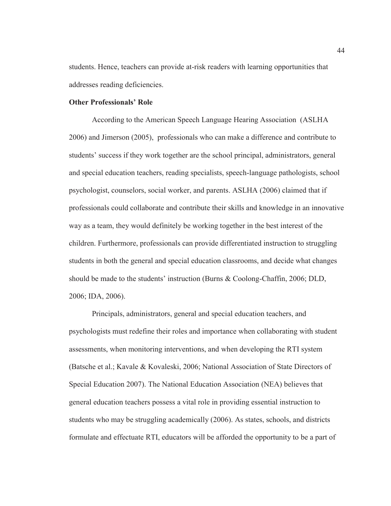students. Hence, teachers can provide at-risk readers with learning opportunities that addresses reading deficiencies.

# **Other Professionals' Role**

According to the American Speech Language Hearing Association (ASLHA 2006) and Jimerson (2005), professionals who can make a difference and contribute to students' success if they work together are the school principal, administrators, general and special education teachers, reading specialists, speech-language pathologists, school psychologist, counselors, social worker, and parents. ASLHA (2006) claimed that if professionals could collaborate and contribute their skills and knowledge in an innovative way as a team, they would definitely be working together in the best interest of the children. Furthermore, professionals can provide differentiated instruction to struggling students in both the general and special education classrooms, and decide what changes should be made to the students' instruction (Burns & Coolong-Chaffin, 2006; DLD, 2006; IDA, 2006).

Principals, administrators, general and special education teachers, and psychologists must redefine their roles and importance when collaborating with student assessments, when monitoring interventions, and when developing the RTI system (Batsche et al.; Kavale & Kovaleski, 2006; National Association of State Directors of Special Education 2007). The National Education Association (NEA) believes that general education teachers possess a vital role in providing essential instruction to students who may be struggling academically (2006). As states, schools, and districts formulate and effectuate RTI, educators will be afforded the opportunity to be a part of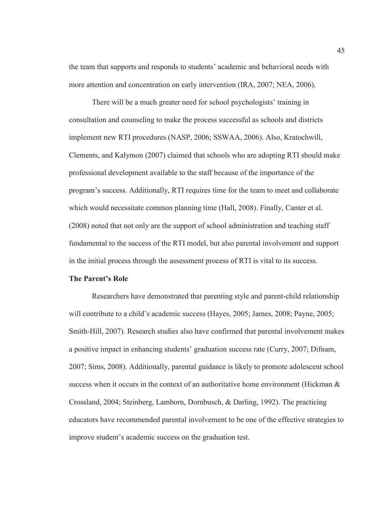the team that supports and responds to students' academic and behavioral needs with more attention and concentration on early intervention (IRA, 2007; NEA, 2006).

There will be a much greater need for school psychologists' training in consultation and counseling to make the process successful as schools and districts implement new RTI procedures (NASP, 2006; SSWAA, 2006). Also, Kratochwill, Clements, and Kalymon (2007) claimed that schools who are adopting RTI should make professional development available to the staff because of the importance of the program's success. Additionally, RTI requires time for the team to meet and collaborate which would necessitate common planning time (Hall, 2008). Finally, Canter et al. (2008) noted that not only are the support of school administration and teaching staff fundamental to the success of the RTI model, but also parental involvement and support in the initial process through the assessment process of RTI is vital to its success.

# **The Parent's Role**

Researchers have demonstrated that parenting style and parent-child relationship will contribute to a child's academic success (Hayes, 2005; James, 2008; Payne, 2005; Smith-Hill, 2007). Research studies also have confirmed that parental involvement makes a positive impact in enhancing students' graduation success rate (Curry, 2007; Difnam, 2007; Sims, 2008). Additionally, parental guidance is likely to promote adolescent school success when it occurs in the context of an authoritative home environment (Hickman  $\&$ Crossland, 2004; Steinberg, Lamborn, Dornbusch, & Darling, 1992). The practicing educators have recommended parental involvement to be one of the effective strategies to improve student's academic success on the graduation test.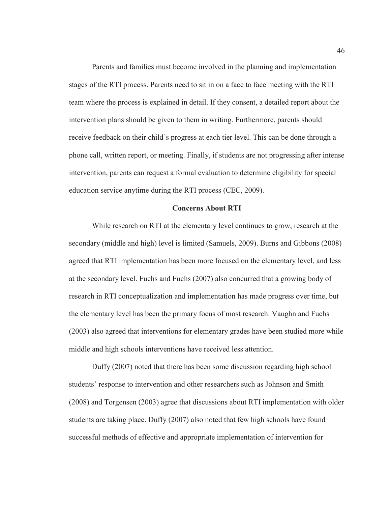Parents and families must become involved in the planning and implementation stages of the RTI process. Parents need to sit in on a face to face meeting with the RTI team where the process is explained in detail. If they consent, a detailed report about the intervention plans should be given to them in writing. Furthermore, parents should receive feedback on their child's progress at each tier level. This can be done through a phone call, written report, or meeting. Finally, if students are not progressing after intense intervention, parents can request a formal evaluation to determine eligibility for special education service anytime during the RTI process (CEC, 2009).

# **Concerns About RTI**

While research on RTI at the elementary level continues to grow, research at the secondary (middle and high) level is limited (Samuels, 2009). Burns and Gibbons (2008) agreed that RTI implementation has been more focused on the elementary level, and less at the secondary level. Fuchs and Fuchs (2007) also concurred that a growing body of research in RTI conceptualization and implementation has made progress over time, but the elementary level has been the primary focus of most research. Vaughn and Fuchs (2003) also agreed that interventions for elementary grades have been studied more while middle and high schools interventions have received less attention.

Duffy (2007) noted that there has been some discussion regarding high school students' response to intervention and other researchers such as Johnson and Smith (2008) and Torgensen (2003) agree that discussions about RTI implementation with older students are taking place. Duffy (2007) also noted that few high schools have found successful methods of effective and appropriate implementation of intervention for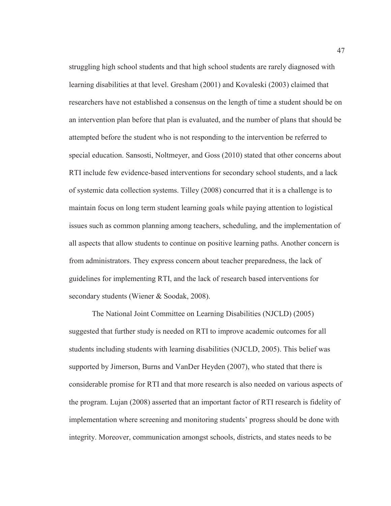struggling high school students and that high school students are rarely diagnosed with learning disabilities at that level. Gresham (2001) and Kovaleski (2003) claimed that researchers have not established a consensus on the length of time a student should be on an intervention plan before that plan is evaluated, and the number of plans that should be attempted before the student who is not responding to the intervention be referred to special education. Sansosti, Noltmeyer, and Goss (2010) stated that other concerns about RTI include few evidence-based interventions for secondary school students, and a lack of systemic data collection systems. Tilley (2008) concurred that it is a challenge is to maintain focus on long term student learning goals while paying attention to logistical issues such as common planning among teachers, scheduling, and the implementation of all aspects that allow students to continue on positive learning paths. Another concern is from administrators. They express concern about teacher preparedness, the lack of guidelines for implementing RTI, and the lack of research based interventions for secondary students (Wiener & Soodak, 2008).

The National Joint Committee on Learning Disabilities (NJCLD) (2005) suggested that further study is needed on RTI to improve academic outcomes for all students including students with learning disabilities (NJCLD, 2005). This belief was supported by Jimerson, Burns and VanDer Heyden (2007), who stated that there is considerable promise for RTI and that more research is also needed on various aspects of the program. Lujan (2008) asserted that an important factor of RTI research is fidelity of implementation where screening and monitoring students' progress should be done with integrity. Moreover, communication amongst schools, districts, and states needs to be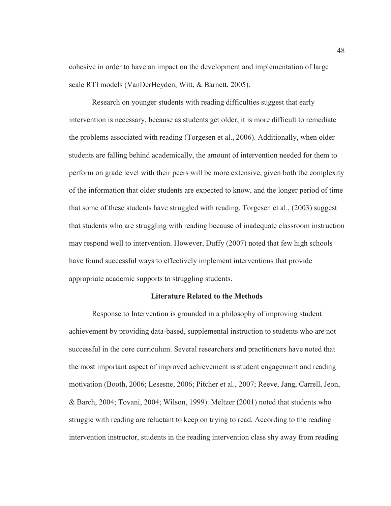cohesive in order to have an impact on the development and implementation of large scale RTI models (VanDerHeyden, Witt, & Barnett, 2005).

Research on younger students with reading difficulties suggest that early intervention is necessary, because as students get older, it is more difficult to remediate the problems associated with reading (Torgesen et al., 2006). Additionally, when older students are falling behind academically, the amount of intervention needed for them to perform on grade level with their peers will be more extensive, given both the complexity of the information that older students are expected to know, and the longer period of time that some of these students have struggled with reading. Torgesen et al., (2003) suggest that students who are struggling with reading because of inadequate classroom instruction may respond well to intervention. However, Duffy (2007) noted that few high schools have found successful ways to effectively implement interventions that provide appropriate academic supports to struggling students.

### **Literature Related to the Methods**

Response to Intervention is grounded in a philosophy of improving student achievement by providing data-based, supplemental instruction to students who are not successful in the core curriculum. Several researchers and practitioners have noted that the most important aspect of improved achievement is student engagement and reading motivation (Booth, 2006; Lesesne, 2006; Pitcher et al., 2007; Reeve, Jang, Carrell, Jeon, & Barch, 2004; Tovani, 2004; Wilson, 1999). Meltzer (2001) noted that students who struggle with reading are reluctant to keep on trying to read. According to the reading intervention instructor, students in the reading intervention class shy away from reading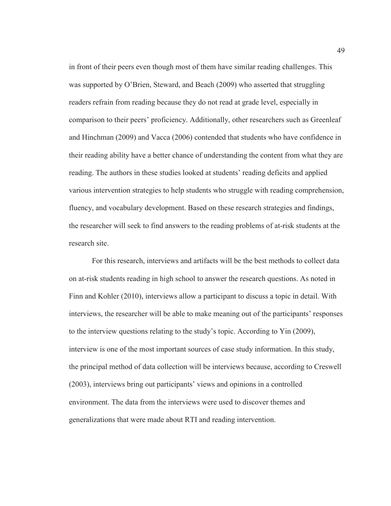in front of their peers even though most of them have similar reading challenges. This was supported by O'Brien, Steward, and Beach (2009) who asserted that struggling readers refrain from reading because they do not read at grade level, especially in comparison to their peers' proficiency. Additionally, other researchers such as Greenleaf and Hinchman (2009) and Vacca (2006) contended that students who have confidence in their reading ability have a better chance of understanding the content from what they are reading. The authors in these studies looked at students' reading deficits and applied various intervention strategies to help students who struggle with reading comprehension, fluency, and vocabulary development. Based on these research strategies and findings, the researcher will seek to find answers to the reading problems of at-risk students at the research site.

For this research, interviews and artifacts will be the best methods to collect data on at-risk students reading in high school to answer the research questions. As noted in Finn and Kohler (2010), interviews allow a participant to discuss a topic in detail. With interviews, the researcher will be able to make meaning out of the participants' responses to the interview questions relating to the study's topic. According to Yin (2009), interview is one of the most important sources of case study information. In this study, the principal method of data collection will be interviews because, according to Creswell (2003), interviews bring out participants' views and opinions in a controlled environment. The data from the interviews were used to discover themes and generalizations that were made about RTI and reading intervention.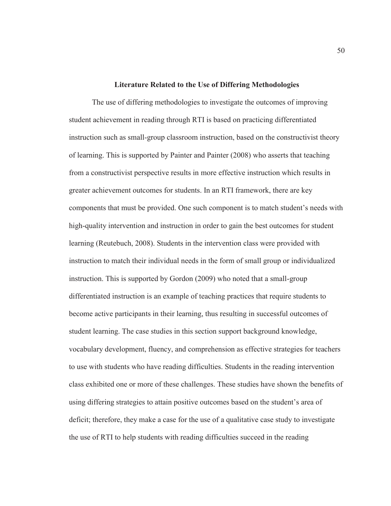#### **Literature Related to the Use of Differing Methodologies**

The use of differing methodologies to investigate the outcomes of improving student achievement in reading through RTI is based on practicing differentiated instruction such as small-group classroom instruction, based on the constructivist theory of learning. This is supported by Painter and Painter (2008) who asserts that teaching from a constructivist perspective results in more effective instruction which results in greater achievement outcomes for students. In an RTI framework, there are key components that must be provided. One such component is to match student's needs with high-quality intervention and instruction in order to gain the best outcomes for student learning (Reutebuch, 2008). Students in the intervention class were provided with instruction to match their individual needs in the form of small group or individualized instruction. This is supported by Gordon (2009) who noted that a small-group differentiated instruction is an example of teaching practices that require students to become active participants in their learning, thus resulting in successful outcomes of student learning. The case studies in this section support background knowledge, vocabulary development, fluency, and comprehension as effective strategies for teachers to use with students who have reading difficulties. Students in the reading intervention class exhibited one or more of these challenges. These studies have shown the benefits of using differing strategies to attain positive outcomes based on the student's area of deficit; therefore, they make a case for the use of a qualitative case study to investigate the use of RTI to help students with reading difficulties succeed in the reading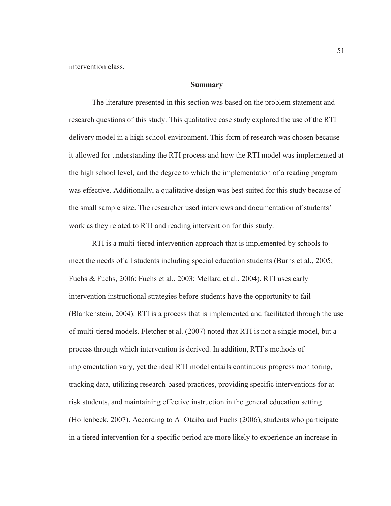intervention class.

### **Summary**

The literature presented in this section was based on the problem statement and research questions of this study. This qualitative case study explored the use of the RTI delivery model in a high school environment. This form of research was chosen because it allowed for understanding the RTI process and how the RTI model was implemented at the high school level, and the degree to which the implementation of a reading program was effective. Additionally, a qualitative design was best suited for this study because of the small sample size. The researcher used interviews and documentation of students' work as they related to RTI and reading intervention for this study.

RTI is a multi-tiered intervention approach that is implemented by schools to meet the needs of all students including special education students (Burns et al., 2005; Fuchs & Fuchs, 2006; Fuchs et al., 2003; Mellard et al., 2004). RTI uses early intervention instructional strategies before students have the opportunity to fail (Blankenstein, 2004). RTI is a process that is implemented and facilitated through the use of multi-tiered models. Fletcher et al. (2007) noted that RTI is not a single model, but a process through which intervention is derived. In addition, RTI's methods of implementation vary, yet the ideal RTI model entails continuous progress monitoring, tracking data, utilizing research-based practices, providing specific interventions for at risk students, and maintaining effective instruction in the general education setting (Hollenbeck, 2007). According to Al Otaiba and Fuchs (2006), students who participate in a tiered intervention for a specific period are more likely to experience an increase in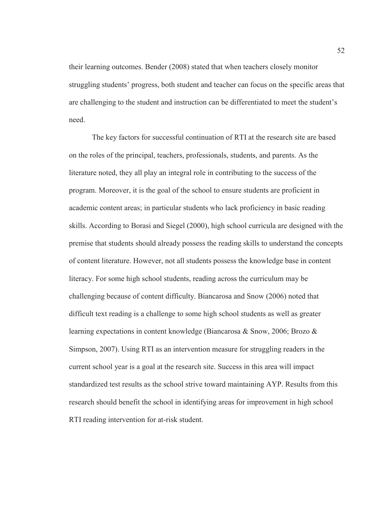their learning outcomes. Bender (2008) stated that when teachers closely monitor struggling students' progress, both student and teacher can focus on the specific areas that are challenging to the student and instruction can be differentiated to meet the student's need.

 The key factors for successful continuation of RTI at the research site are based on the roles of the principal, teachers, professionals, students, and parents. As the literature noted, they all play an integral role in contributing to the success of the program. Moreover, it is the goal of the school to ensure students are proficient in academic content areas; in particular students who lack proficiency in basic reading skills. According to Borasi and Siegel (2000), high school curricula are designed with the premise that students should already possess the reading skills to understand the concepts of content literature. However, not all students possess the knowledge base in content literacy. For some high school students, reading across the curriculum may be challenging because of content difficulty. Biancarosa and Snow (2006) noted that difficult text reading is a challenge to some high school students as well as greater learning expectations in content knowledge (Biancarosa & Snow, 2006; Brozo & Simpson, 2007). Using RTI as an intervention measure for struggling readers in the current school year is a goal at the research site. Success in this area will impact standardized test results as the school strive toward maintaining AYP. Results from this research should benefit the school in identifying areas for improvement in high school RTI reading intervention for at-risk student.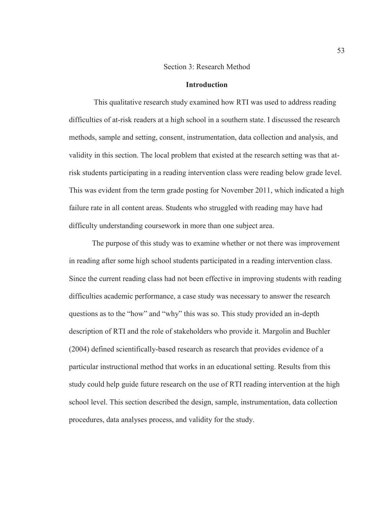### Section 3: Research Method

## **Introduction**

 This qualitative research study examined how RTI was used to address reading difficulties of at-risk readers at a high school in a southern state. I discussed the research methods, sample and setting, consent, instrumentation, data collection and analysis, and validity in this section. The local problem that existed at the research setting was that atrisk students participating in a reading intervention class were reading below grade level. This was evident from the term grade posting for November 2011, which indicated a high failure rate in all content areas. Students who struggled with reading may have had difficulty understanding coursework in more than one subject area.

The purpose of this study was to examine whether or not there was improvement in reading after some high school students participated in a reading intervention class. Since the current reading class had not been effective in improving students with reading difficulties academic performance, a case study was necessary to answer the research questions as to the "how" and "why" this was so. This study provided an in-depth description of RTI and the role of stakeholders who provide it. Margolin and Buchler (2004) defined scientifically-based research as research that provides evidence of a particular instructional method that works in an educational setting. Results from this study could help guide future research on the use of RTI reading intervention at the high school level. This section described the design, sample, instrumentation, data collection procedures, data analyses process, and validity for the study.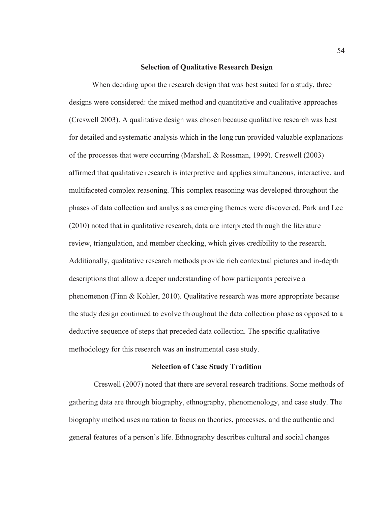#### **Selection of Qualitative Research Design**

When deciding upon the research design that was best suited for a study, three designs were considered: the mixed method and quantitative and qualitative approaches (Creswell 2003). A qualitative design was chosen because qualitative research was best for detailed and systematic analysis which in the long run provided valuable explanations of the processes that were occurring (Marshall & Rossman, 1999). Creswell (2003) affirmed that qualitative research is interpretive and applies simultaneous, interactive, and multifaceted complex reasoning. This complex reasoning was developed throughout the phases of data collection and analysis as emerging themes were discovered. Park and Lee (2010) noted that in qualitative research, data are interpreted through the literature review, triangulation, and member checking, which gives credibility to the research. Additionally, qualitative research methods provide rich contextual pictures and in-depth descriptions that allow a deeper understanding of how participants perceive a phenomenon (Finn & Kohler, 2010). Qualitative research was more appropriate because the study design continued to evolve throughout the data collection phase as opposed to a deductive sequence of steps that preceded data collection. The specific qualitative methodology for this research was an instrumental case study.

### **Selection of Case Study Tradition**

 Creswell (2007) noted that there are several research traditions. Some methods of gathering data are through biography, ethnography, phenomenology, and case study. The biography method uses narration to focus on theories, processes, and the authentic and general features of a person's life. Ethnography describes cultural and social changes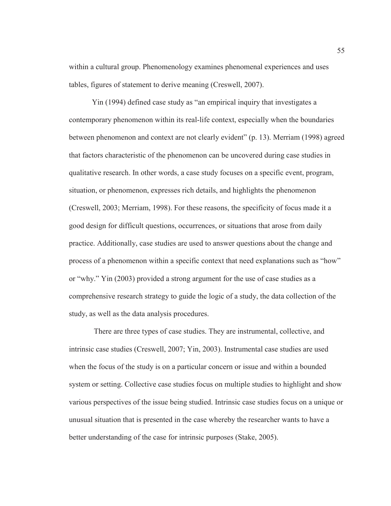within a cultural group. Phenomenology examines phenomenal experiences and uses tables, figures of statement to derive meaning (Creswell, 2007).

Yin (1994) defined case study as "an empirical inquiry that investigates a contemporary phenomenon within its real-life context, especially when the boundaries between phenomenon and context are not clearly evident" (p. 13). Merriam (1998) agreed that factors characteristic of the phenomenon can be uncovered during case studies in qualitative research. In other words, a case study focuses on a specific event, program, situation, or phenomenon, expresses rich details, and highlights the phenomenon (Creswell, 2003; Merriam, 1998). For these reasons, the specificity of focus made it a good design for difficult questions, occurrences, or situations that arose from daily practice. Additionally, case studies are used to answer questions about the change and process of a phenomenon within a specific context that need explanations such as "how" or "why." Yin (2003) provided a strong argument for the use of case studies as a comprehensive research strategy to guide the logic of a study, the data collection of the study, as well as the data analysis procedures.

 There are three types of case studies. They are instrumental, collective, and intrinsic case studies (Creswell, 2007; Yin, 2003). Instrumental case studies are used when the focus of the study is on a particular concern or issue and within a bounded system or setting. Collective case studies focus on multiple studies to highlight and show various perspectives of the issue being studied. Intrinsic case studies focus on a unique or unusual situation that is presented in the case whereby the researcher wants to have a better understanding of the case for intrinsic purposes (Stake, 2005).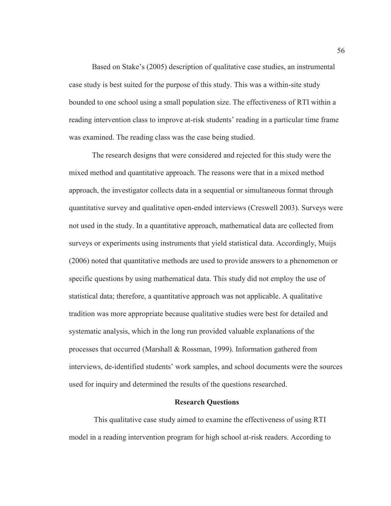Based on Stake's (2005) description of qualitative case studies, an instrumental case study is best suited for the purpose of this study. This was a within-site study bounded to one school using a small population size. The effectiveness of RTI within a reading intervention class to improve at-risk students' reading in a particular time frame was examined. The reading class was the case being studied.

The research designs that were considered and rejected for this study were the mixed method and quantitative approach. The reasons were that in a mixed method approach, the investigator collects data in a sequential or simultaneous format through quantitative survey and qualitative open-ended interviews (Creswell 2003). Surveys were not used in the study. In a quantitative approach, mathematical data are collected from surveys or experiments using instruments that yield statistical data. Accordingly, Muijs (2006) noted that quantitative methods are used to provide answers to a phenomenon or specific questions by using mathematical data. This study did not employ the use of statistical data; therefore, a quantitative approach was not applicable. A qualitative tradition was more appropriate because qualitative studies were best for detailed and systematic analysis, which in the long run provided valuable explanations of the processes that occurred (Marshall & Rossman, 1999). Information gathered from interviews, de-identified students' work samples, and school documents were the sources used for inquiry and determined the results of the questions researched.

### **Research Questions**

 This qualitative case study aimed to examine the effectiveness of using RTI model in a reading intervention program for high school at-risk readers. According to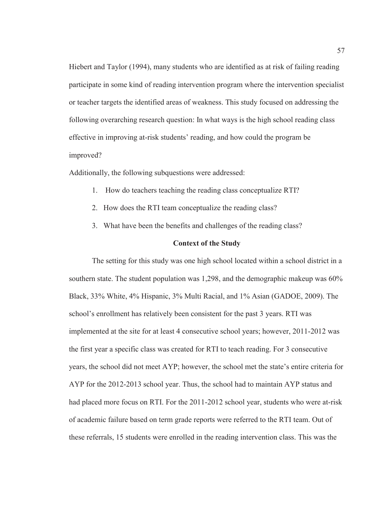Hiebert and Taylor (1994), many students who are identified as at risk of failing reading participate in some kind of reading intervention program where the intervention specialist or teacher targets the identified areas of weakness. This study focused on addressing the following overarching research question: In what ways is the high school reading class effective in improving at-risk students' reading, and how could the program be improved?

Additionally, the following subquestions were addressed:

- 1. How do teachers teaching the reading class conceptualize RTI?
- 2. How does the RTI team conceptualize the reading class?
- 3. What have been the benefits and challenges of the reading class?

### **Context of the Study**

The setting for this study was one high school located within a school district in a southern state. The student population was 1,298, and the demographic makeup was 60% Black, 33% White, 4% Hispanic, 3% Multi Racial, and 1% Asian (GADOE, 2009). The school's enrollment has relatively been consistent for the past 3 years. RTI was implemented at the site for at least 4 consecutive school years; however, 2011-2012 was the first year a specific class was created for RTI to teach reading. For 3 consecutive years, the school did not meet AYP; however, the school met the state's entire criteria for AYP for the 2012-2013 school year. Thus, the school had to maintain AYP status and had placed more focus on RTI. For the 2011-2012 school year, students who were at-risk of academic failure based on term grade reports were referred to the RTI team. Out of these referrals, 15 students were enrolled in the reading intervention class. This was the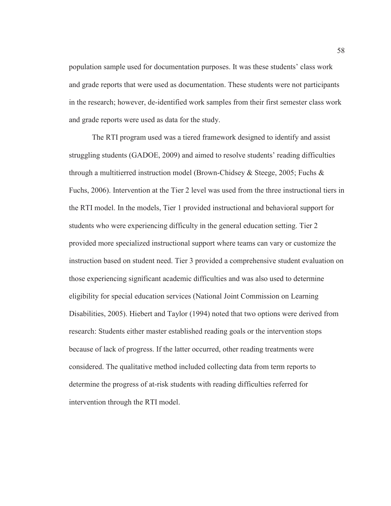population sample used for documentation purposes. It was these students' class work and grade reports that were used as documentation. These students were not participants in the research; however, de-identified work samples from their first semester class work and grade reports were used as data for the study.

The RTI program used was a tiered framework designed to identify and assist struggling students (GADOE, 2009) and aimed to resolve students' reading difficulties through a multitierred instruction model (Brown-Chidsey & Steege, 2005; Fuchs & Fuchs, 2006). Intervention at the Tier 2 level was used from the three instructional tiers in the RTI model. In the models, Tier 1 provided instructional and behavioral support for students who were experiencing difficulty in the general education setting. Tier 2 provided more specialized instructional support where teams can vary or customize the instruction based on student need. Tier 3 provided a comprehensive student evaluation on those experiencing significant academic difficulties and was also used to determine eligibility for special education services (National Joint Commission on Learning Disabilities, 2005). Hiebert and Taylor (1994) noted that two options were derived from research: Students either master established reading goals or the intervention stops because of lack of progress. If the latter occurred, other reading treatments were considered. The qualitative method included collecting data from term reports to determine the progress of at-risk students with reading difficulties referred for intervention through the RTI model.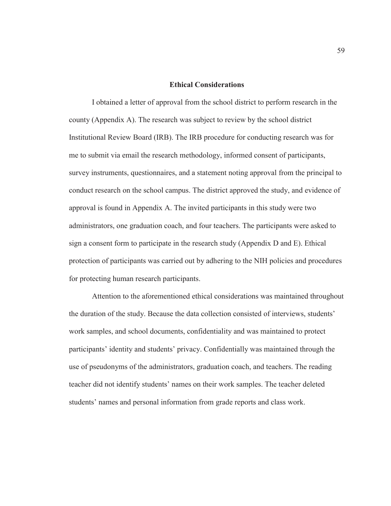#### **Ethical Considerations**

I obtained a letter of approval from the school district to perform research in the county (Appendix A). The research was subject to review by the school district Institutional Review Board (IRB). The IRB procedure for conducting research was for me to submit via email the research methodology, informed consent of participants, survey instruments, questionnaires, and a statement noting approval from the principal to conduct research on the school campus. The district approved the study, and evidence of approval is found in Appendix A. The invited participants in this study were two administrators, one graduation coach, and four teachers. The participants were asked to sign a consent form to participate in the research study (Appendix D and E). Ethical protection of participants was carried out by adhering to the NIH policies and procedures for protecting human research participants.

Attention to the aforementioned ethical considerations was maintained throughout the duration of the study. Because the data collection consisted of interviews, students' work samples, and school documents, confidentiality and was maintained to protect participants' identity and students' privacy. Confidentially was maintained through the use of pseudonyms of the administrators, graduation coach, and teachers. The reading teacher did not identify students' names on their work samples. The teacher deleted students' names and personal information from grade reports and class work.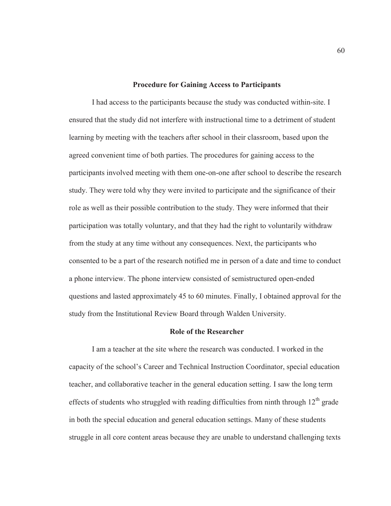#### **Procedure for Gaining Access to Participants**

I had access to the participants because the study was conducted within-site. I ensured that the study did not interfere with instructional time to a detriment of student learning by meeting with the teachers after school in their classroom, based upon the agreed convenient time of both parties. The procedures for gaining access to the participants involved meeting with them one-on-one after school to describe the research study. They were told why they were invited to participate and the significance of their role as well as their possible contribution to the study. They were informed that their participation was totally voluntary, and that they had the right to voluntarily withdraw from the study at any time without any consequences. Next, the participants who consented to be a part of the research notified me in person of a date and time to conduct a phone interview. The phone interview consisted of semistructured open-ended questions and lasted approximately 45 to 60 minutes. Finally, I obtained approval for the study from the Institutional Review Board through Walden University.

## **Role of the Researcher**

I am a teacher at the site where the research was conducted. I worked in the capacity of the school's Career and Technical Instruction Coordinator, special education teacher, and collaborative teacher in the general education setting. I saw the long term effects of students who struggled with reading difficulties from ninth through  $12<sup>th</sup>$  grade in both the special education and general education settings. Many of these students struggle in all core content areas because they are unable to understand challenging texts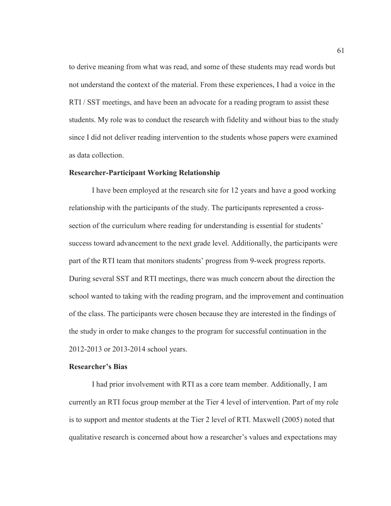to derive meaning from what was read, and some of these students may read words but not understand the context of the material. From these experiences, I had a voice in the RTI / SST meetings, and have been an advocate for a reading program to assist these students. My role was to conduct the research with fidelity and without bias to the study since I did not deliver reading intervention to the students whose papers were examined as data collection.

# **Researcher-Participant Working Relationship**

I have been employed at the research site for 12 years and have a good working relationship with the participants of the study. The participants represented a crosssection of the curriculum where reading for understanding is essential for students' success toward advancement to the next grade level. Additionally, the participants were part of the RTI team that monitors students' progress from 9-week progress reports. During several SST and RTI meetings, there was much concern about the direction the school wanted to taking with the reading program, and the improvement and continuation of the class. The participants were chosen because they are interested in the findings of the study in order to make changes to the program for successful continuation in the 2012-2013 or 2013-2014 school years.

# **Researcher's Bias**

I had prior involvement with RTI as a core team member. Additionally, I am currently an RTI focus group member at the Tier 4 level of intervention. Part of my role is to support and mentor students at the Tier 2 level of RTI. Maxwell (2005) noted that qualitative research is concerned about how a researcher's values and expectations may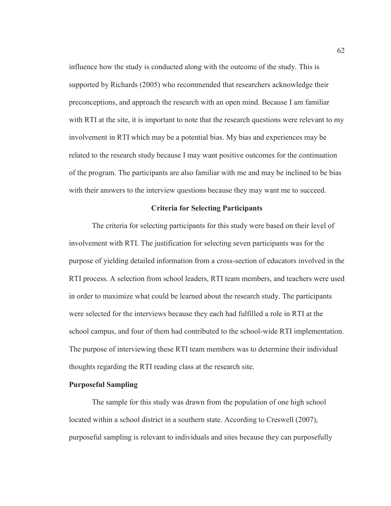influence how the study is conducted along with the outcome of the study. This is supported by Richards (2005) who recommended that researchers acknowledge their preconceptions, and approach the research with an open mind. Because I am familiar with RTI at the site, it is important to note that the research questions were relevant to my involvement in RTI which may be a potential bias. My bias and experiences may be related to the research study because I may want positive outcomes for the continuation of the program. The participants are also familiar with me and may be inclined to be bias with their answers to the interview questions because they may want me to succeed.

#### **Criteria for Selecting Participants**

The criteria for selecting participants for this study were based on their level of involvement with RTI. The justification for selecting seven participants was for the purpose of yielding detailed information from a cross-section of educators involved in the RTI process. A selection from school leaders, RTI team members, and teachers were used in order to maximize what could be learned about the research study. The participants were selected for the interviews because they each had fulfilled a role in RTI at the school campus, and four of them had contributed to the school-wide RTI implementation. The purpose of interviewing these RTI team members was to determine their individual thoughts regarding the RTI reading class at the research site.

## **Purposeful Sampling**

The sample for this study was drawn from the population of one high school located within a school district in a southern state. According to Creswell (2007), purposeful sampling is relevant to individuals and sites because they can purposefully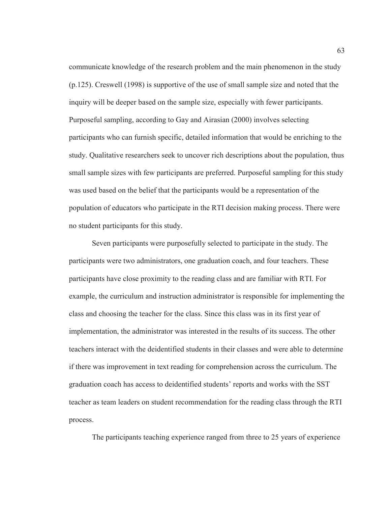communicate knowledge of the research problem and the main phenomenon in the study (p.125). Creswell (1998) is supportive of the use of small sample size and noted that the inquiry will be deeper based on the sample size, especially with fewer participants. Purposeful sampling, according to Gay and Airasian (2000) involves selecting participants who can furnish specific, detailed information that would be enriching to the study. Qualitative researchers seek to uncover rich descriptions about the population, thus small sample sizes with few participants are preferred. Purposeful sampling for this study was used based on the belief that the participants would be a representation of the population of educators who participate in the RTI decision making process. There were no student participants for this study.

Seven participants were purposefully selected to participate in the study. The participants were two administrators, one graduation coach, and four teachers. These participants have close proximity to the reading class and are familiar with RTI. For example, the curriculum and instruction administrator is responsible for implementing the class and choosing the teacher for the class. Since this class was in its first year of implementation, the administrator was interested in the results of its success. The other teachers interact with the deidentified students in their classes and were able to determine if there was improvement in text reading for comprehension across the curriculum. The graduation coach has access to deidentified students' reports and works with the SST teacher as team leaders on student recommendation for the reading class through the RTI process.

The participants teaching experience ranged from three to 25 years of experience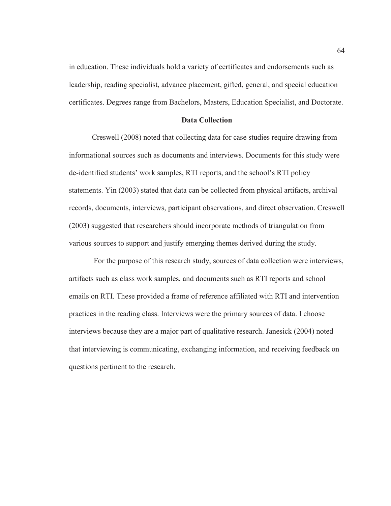in education. These individuals hold a variety of certificates and endorsements such as leadership, reading specialist, advance placement, gifted, general, and special education certificates. Degrees range from Bachelors, Masters, Education Specialist, and Doctorate.

# **Data Collection**

Creswell (2008) noted that collecting data for case studies require drawing from informational sources such as documents and interviews. Documents for this study were de-identified students' work samples, RTI reports, and the school's RTI policy statements. Yin (2003) stated that data can be collected from physical artifacts, archival records, documents, interviews, participant observations, and direct observation. Creswell (2003) suggested that researchers should incorporate methods of triangulation from various sources to support and justify emerging themes derived during the study.

 For the purpose of this research study, sources of data collection were interviews, artifacts such as class work samples, and documents such as RTI reports and school emails on RTI. These provided a frame of reference affiliated with RTI and intervention practices in the reading class. Interviews were the primary sources of data. I choose interviews because they are a major part of qualitative research. Janesick (2004) noted that interviewing is communicating, exchanging information, and receiving feedback on questions pertinent to the research.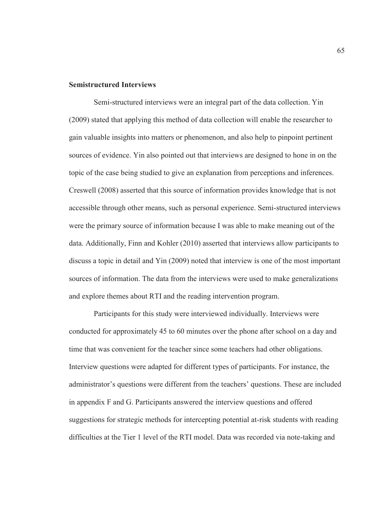# **Semistructured Interviews**

 Semi-structured interviews were an integral part of the data collection. Yin (2009) stated that applying this method of data collection will enable the researcher to gain valuable insights into matters or phenomenon, and also help to pinpoint pertinent sources of evidence. Yin also pointed out that interviews are designed to hone in on the topic of the case being studied to give an explanation from perceptions and inferences. Creswell (2008) asserted that this source of information provides knowledge that is not accessible through other means, such as personal experience. Semi-structured interviews were the primary source of information because I was able to make meaning out of the data. Additionally, Finn and Kohler (2010) asserted that interviews allow participants to discuss a topic in detail and Yin (2009) noted that interview is one of the most important sources of information. The data from the interviews were used to make generalizations and explore themes about RTI and the reading intervention program.

 Participants for this study were interviewed individually. Interviews were conducted for approximately 45 to 60 minutes over the phone after school on a day and time that was convenient for the teacher since some teachers had other obligations. Interview questions were adapted for different types of participants. For instance, the administrator's questions were different from the teachers' questions. These are included in appendix F and G. Participants answered the interview questions and offered suggestions for strategic methods for intercepting potential at-risk students with reading difficulties at the Tier 1 level of the RTI model. Data was recorded via note-taking and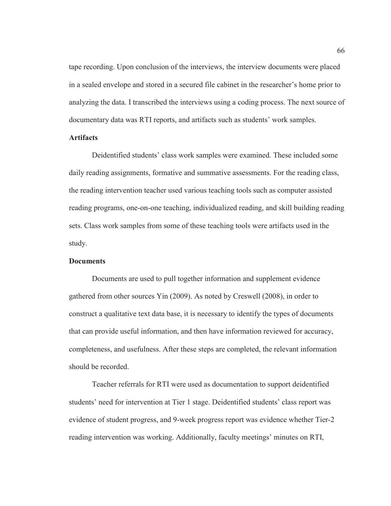tape recording. Upon conclusion of the interviews, the interview documents were placed in a sealed envelope and stored in a secured file cabinet in the researcher's home prior to analyzing the data. I transcribed the interviews using a coding process. The next source of documentary data was RTI reports, and artifacts such as students' work samples.

# **Artifacts**

Deidentified students' class work samples were examined. These included some daily reading assignments, formative and summative assessments. For the reading class, the reading intervention teacher used various teaching tools such as computer assisted reading programs, one-on-one teaching, individualized reading, and skill building reading sets. Class work samples from some of these teaching tools were artifacts used in the study.

#### **Documents**

Documents are used to pull together information and supplement evidence gathered from other sources Yin (2009). As noted by Creswell (2008), in order to construct a qualitative text data base, it is necessary to identify the types of documents that can provide useful information, and then have information reviewed for accuracy, completeness, and usefulness. After these steps are completed, the relevant information should be recorded.

Teacher referrals for RTI were used as documentation to support deidentified students' need for intervention at Tier 1 stage. Deidentified students' class report was evidence of student progress, and 9-week progress report was evidence whether Tier-2 reading intervention was working. Additionally, faculty meetings' minutes on RTI,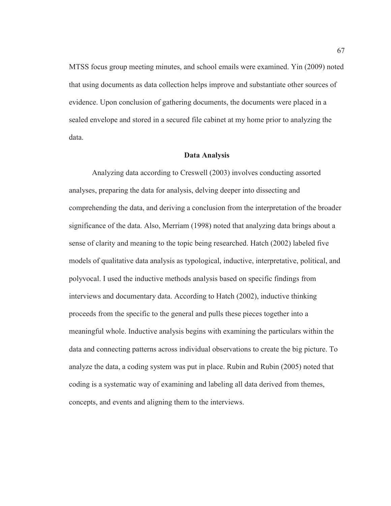MTSS focus group meeting minutes, and school emails were examined. Yin (2009) noted that using documents as data collection helps improve and substantiate other sources of evidence. Upon conclusion of gathering documents, the documents were placed in a sealed envelope and stored in a secured file cabinet at my home prior to analyzing the data.

### **Data Analysis**

Analyzing data according to Creswell (2003) involves conducting assorted analyses, preparing the data for analysis, delving deeper into dissecting and comprehending the data, and deriving a conclusion from the interpretation of the broader significance of the data. Also, Merriam (1998) noted that analyzing data brings about a sense of clarity and meaning to the topic being researched. Hatch (2002) labeled five models of qualitative data analysis as typological, inductive, interpretative, political, and polyvocal. I used the inductive methods analysis based on specific findings from interviews and documentary data. According to Hatch (2002), inductive thinking proceeds from the specific to the general and pulls these pieces together into a meaningful whole. Inductive analysis begins with examining the particulars within the data and connecting patterns across individual observations to create the big picture. To analyze the data, a coding system was put in place. Rubin and Rubin (2005) noted that coding is a systematic way of examining and labeling all data derived from themes, concepts, and events and aligning them to the interviews.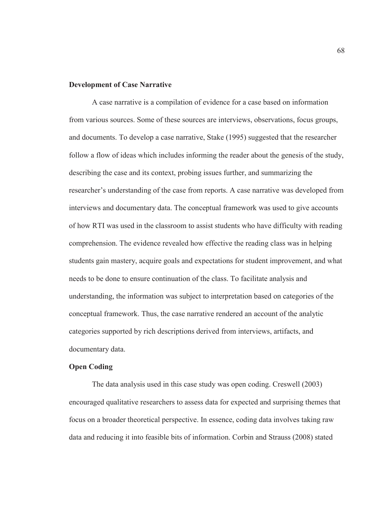#### **Development of Case Narrative**

A case narrative is a compilation of evidence for a case based on information from various sources. Some of these sources are interviews, observations, focus groups, and documents. To develop a case narrative, Stake (1995) suggested that the researcher follow a flow of ideas which includes informing the reader about the genesis of the study, describing the case and its context, probing issues further, and summarizing the researcher's understanding of the case from reports. A case narrative was developed from interviews and documentary data. The conceptual framework was used to give accounts of how RTI was used in the classroom to assist students who have difficulty with reading comprehension. The evidence revealed how effective the reading class was in helping students gain mastery, acquire goals and expectations for student improvement, and what needs to be done to ensure continuation of the class. To facilitate analysis and understanding, the information was subject to interpretation based on categories of the conceptual framework. Thus, the case narrative rendered an account of the analytic categories supported by rich descriptions derived from interviews, artifacts, and documentary data.

# **Open Coding**

The data analysis used in this case study was open coding. Creswell (2003) encouraged qualitative researchers to assess data for expected and surprising themes that focus on a broader theoretical perspective. In essence, coding data involves taking raw data and reducing it into feasible bits of information. Corbin and Strauss (2008) stated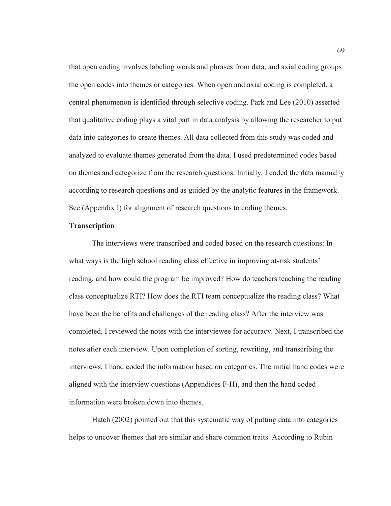that open coding involves labeling words and phrases from data, and axial coding groups the open codes into themes or categories. When open and axial coding is completed, a central phenomenon is identified through selective coding. Park and Lee (2010) asserted that qualitative coding plays a vital part in data analysis by allowing the researcher to put data into categories to create themes. All data collected from this study was coded and analyzed to evaluate themes generated from the data. I used predetermined codes based on themes and categorize from the research questions. Initially, I coded the data manually according to research questions and as guided by the analytic features in the framework. See (Appendix I) for alignment of research questions to coding themes.

## **Transcription**

The interviews were transcribed and coded based on the research questions: In what ways is the high school reading class effective in improving at-risk students' reading, and how could the program be improved? How do teachers teaching the reading class conceptualize RTI? How does the RTI team conceptualize the reading class? What have been the benefits and challenges of the reading class? After the interview was completed, I reviewed the notes with the interviewee for accuracy. Next, I transcribed the notes after each interview. Upon completion of sorting, rewriting, and transcribing the interviews, I hand coded the information based on categories. The initial hand codes were aligned with the interview questions (Appendices F-H), and then the hand coded information were broken down into themes.

Hatch (2002) pointed out that this systematic way of putting data into categories helps to uncover themes that are similar and share common traits. According to Rubin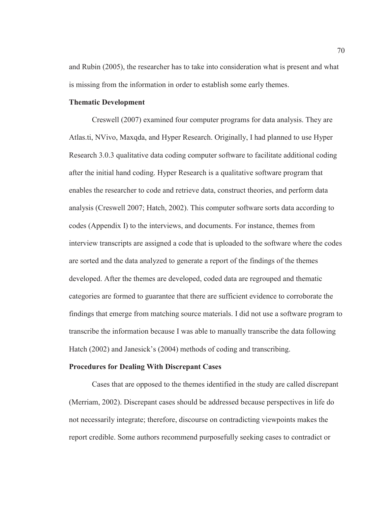and Rubin (2005), the researcher has to take into consideration what is present and what is missing from the information in order to establish some early themes.

# **Thematic Development**

Creswell (2007) examined four computer programs for data analysis. They are Atlas.ti, NVivo, Maxqda, and Hyper Research. Originally, I had planned to use Hyper Research 3.0.3 qualitative data coding computer software to facilitate additional coding after the initial hand coding. Hyper Research is a qualitative software program that enables the researcher to code and retrieve data, construct theories, and perform data analysis (Creswell 2007; Hatch, 2002). This computer software sorts data according to codes (Appendix I) to the interviews, and documents. For instance, themes from interview transcripts are assigned a code that is uploaded to the software where the codes are sorted and the data analyzed to generate a report of the findings of the themes developed. After the themes are developed, coded data are regrouped and thematic categories are formed to guarantee that there are sufficient evidence to corroborate the findings that emerge from matching source materials. I did not use a software program to transcribe the information because I was able to manually transcribe the data following Hatch (2002) and Janesick's (2004) methods of coding and transcribing.

## **Procedures for Dealing With Discrepant Cases**

Cases that are opposed to the themes identified in the study are called discrepant (Merriam, 2002). Discrepant cases should be addressed because perspectives in life do not necessarily integrate; therefore, discourse on contradicting viewpoints makes the report credible. Some authors recommend purposefully seeking cases to contradict or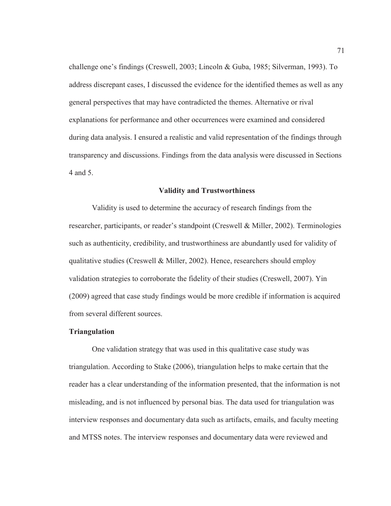challenge one's findings (Creswell, 2003; Lincoln & Guba, 1985; Silverman, 1993). To address discrepant cases, I discussed the evidence for the identified themes as well as any general perspectives that may have contradicted the themes. Alternative or rival explanations for performance and other occurrences were examined and considered during data analysis. I ensured a realistic and valid representation of the findings through transparency and discussions. Findings from the data analysis were discussed in Sections 4 and 5.

#### **Validity and Trustworthiness**

Validity is used to determine the accuracy of research findings from the researcher, participants, or reader's standpoint (Creswell & Miller, 2002). Terminologies such as authenticity, credibility, and trustworthiness are abundantly used for validity of qualitative studies (Creswell & Miller, 2002). Hence, researchers should employ validation strategies to corroborate the fidelity of their studies (Creswell, 2007). Yin (2009) agreed that case study findings would be more credible if information is acquired from several different sources.

## **Triangulation**

One validation strategy that was used in this qualitative case study was triangulation. According to Stake (2006), triangulation helps to make certain that the reader has a clear understanding of the information presented, that the information is not misleading, and is not influenced by personal bias. The data used for triangulation was interview responses and documentary data such as artifacts, emails, and faculty meeting and MTSS notes. The interview responses and documentary data were reviewed and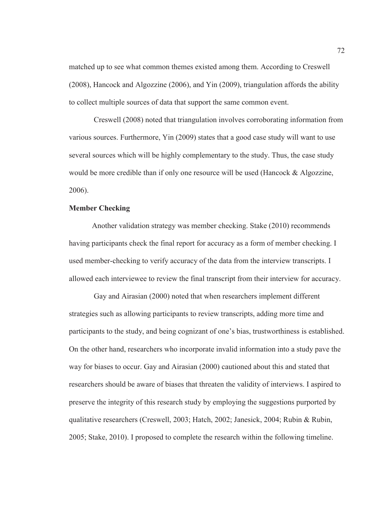matched up to see what common themes existed among them. According to Creswell (2008), Hancock and Algozzine (2006), and Yin (2009), triangulation affords the ability to collect multiple sources of data that support the same common event.

 Creswell (2008) noted that triangulation involves corroborating information from various sources. Furthermore, Yin (2009) states that a good case study will want to use several sources which will be highly complementary to the study. Thus, the case study would be more credible than if only one resource will be used (Hancock & Algozzine, 2006).

# **Member Checking**

Another validation strategy was member checking. Stake (2010) recommends having participants check the final report for accuracy as a form of member checking. I used member-checking to verify accuracy of the data from the interview transcripts. I allowed each interviewee to review the final transcript from their interview for accuracy.

 Gay and Airasian (2000) noted that when researchers implement different strategies such as allowing participants to review transcripts, adding more time and participants to the study, and being cognizant of one's bias, trustworthiness is established. On the other hand, researchers who incorporate invalid information into a study pave the way for biases to occur. Gay and Airasian (2000) cautioned about this and stated that researchers should be aware of biases that threaten the validity of interviews. I aspired to preserve the integrity of this research study by employing the suggestions purported by qualitative researchers (Creswell, 2003; Hatch, 2002; Janesick, 2004; Rubin & Rubin, 2005; Stake, 2010). I proposed to complete the research within the following timeline.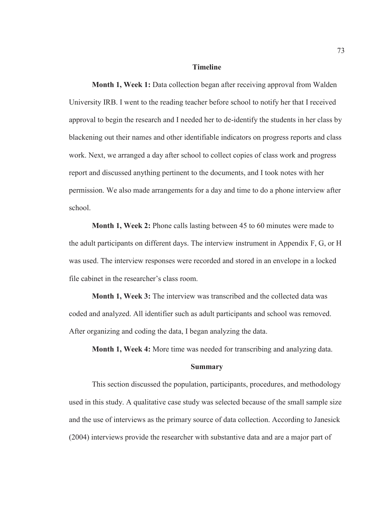## **Timeline**

**Month 1, Week 1:** Data collection began after receiving approval from Walden University IRB. I went to the reading teacher before school to notify her that I received approval to begin the research and I needed her to de-identify the students in her class by blackening out their names and other identifiable indicators on progress reports and class work. Next, we arranged a day after school to collect copies of class work and progress report and discussed anything pertinent to the documents, and I took notes with her permission. We also made arrangements for a day and time to do a phone interview after school.

**Month 1, Week 2:** Phone calls lasting between 45 to 60 minutes were made to the adult participants on different days. The interview instrument in Appendix F, G, or H was used. The interview responses were recorded and stored in an envelope in a locked file cabinet in the researcher's class room.

**Month 1, Week 3:** The interview was transcribed and the collected data was coded and analyzed. All identifier such as adult participants and school was removed. After organizing and coding the data, I began analyzing the data.

**Month 1, Week 4:** More time was needed for transcribing and analyzing data.

## **Summary**

This section discussed the population, participants, procedures, and methodology used in this study. A qualitative case study was selected because of the small sample size and the use of interviews as the primary source of data collection. According to Janesick (2004) interviews provide the researcher with substantive data and are a major part of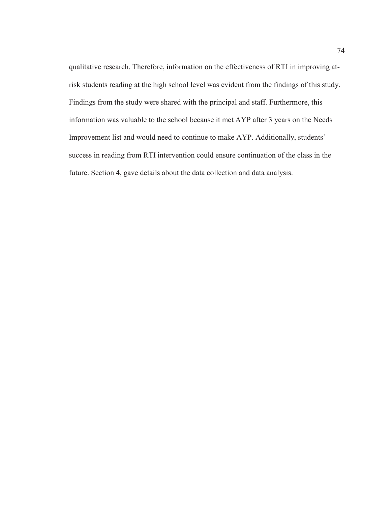qualitative research. Therefore, information on the effectiveness of RTI in improving atrisk students reading at the high school level was evident from the findings of this study. Findings from the study were shared with the principal and staff. Furthermore, this information was valuable to the school because it met AYP after 3 years on the Needs Improvement list and would need to continue to make AYP. Additionally, students' success in reading from RTI intervention could ensure continuation of the class in the future. Section 4, gave details about the data collection and data analysis.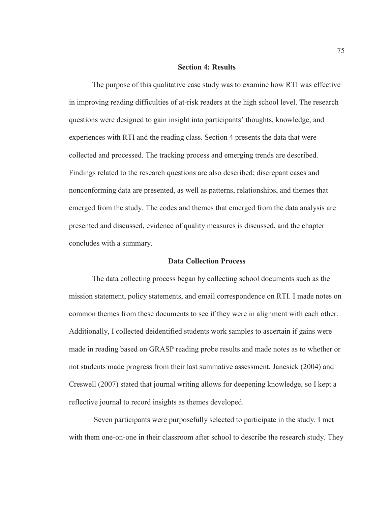## **Section 4: Results**

The purpose of this qualitative case study was to examine how RTI was effective in improving reading difficulties of at-risk readers at the high school level. The research questions were designed to gain insight into participants' thoughts, knowledge, and experiences with RTI and the reading class. Section 4 presents the data that were collected and processed. The tracking process and emerging trends are described. Findings related to the research questions are also described; discrepant cases and nonconforming data are presented, as well as patterns, relationships, and themes that emerged from the study. The codes and themes that emerged from the data analysis are presented and discussed, evidence of quality measures is discussed, and the chapter concludes with a summary.

## **Data Collection Process**

The data collecting process began by collecting school documents such as the mission statement, policy statements, and email correspondence on RTI. I made notes on common themes from these documents to see if they were in alignment with each other. Additionally, I collected deidentified students work samples to ascertain if gains were made in reading based on GRASP reading probe results and made notes as to whether or not students made progress from their last summative assessment. Janesick (2004) and Creswell (2007) stated that journal writing allows for deepening knowledge, so I kept a reflective journal to record insights as themes developed.

 Seven participants were purposefully selected to participate in the study. I met with them one-on-one in their classroom after school to describe the research study. They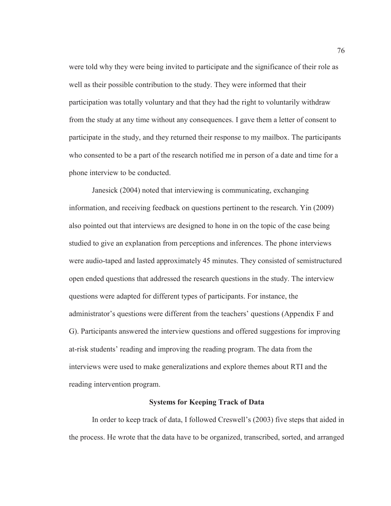were told why they were being invited to participate and the significance of their role as well as their possible contribution to the study. They were informed that their participation was totally voluntary and that they had the right to voluntarily withdraw from the study at any time without any consequences. I gave them a letter of consent to participate in the study, and they returned their response to my mailbox. The participants who consented to be a part of the research notified me in person of a date and time for a phone interview to be conducted.

Janesick (2004) noted that interviewing is communicating, exchanging information, and receiving feedback on questions pertinent to the research. Yin (2009) also pointed out that interviews are designed to hone in on the topic of the case being studied to give an explanation from perceptions and inferences. The phone interviews were audio-taped and lasted approximately 45 minutes. They consisted of semistructured open ended questions that addressed the research questions in the study. The interview questions were adapted for different types of participants. For instance, the administrator's questions were different from the teachers' questions (Appendix F and G). Participants answered the interview questions and offered suggestions for improving at-risk students' reading and improving the reading program. The data from the interviews were used to make generalizations and explore themes about RTI and the reading intervention program.

## **Systems for Keeping Track of Data**

In order to keep track of data, I followed Creswell's (2003) five steps that aided in the process. He wrote that the data have to be organized, transcribed, sorted, and arranged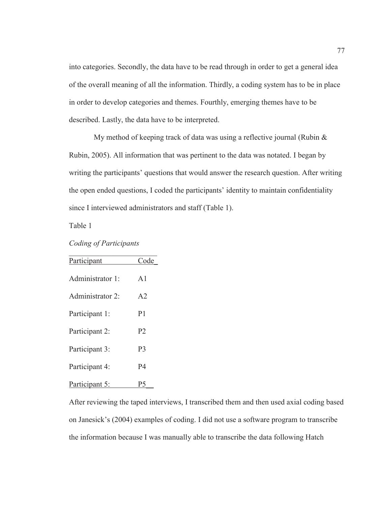into categories. Secondly, the data have to be read through in order to get a general idea of the overall meaning of all the information. Thirdly, a coding system has to be in place in order to develop categories and themes. Fourthly, emerging themes have to be described. Lastly, the data have to be interpreted.

 My method of keeping track of data was using a reflective journal (Rubin & Rubin, 2005). All information that was pertinent to the data was notated. I began by writing the participants' questions that would answer the research question. After writing the open ended questions, I coded the participants' identity to maintain confidentiality since I interviewed administrators and staff (Table 1).

Table 1

| Coding of Participants |  |  |  |
|------------------------|--|--|--|
|------------------------|--|--|--|

| Participant      | Code           |
|------------------|----------------|
|                  |                |
| Administrator 1: | $\mathsf{A}1$  |
|                  |                |
| Administrator 2: | A <sub>2</sub> |
|                  |                |
| Participant 1:   | P <sub>1</sub> |
| Participant 2:   | P <sub>2</sub> |
|                  |                |
| Participant 3:   | P <sub>3</sub> |
|                  |                |
| Participant 4:   | P4             |
|                  |                |
| Participant 5:   | ۲5             |

After reviewing the taped interviews, I transcribed them and then used axial coding based on Janesick's (2004) examples of coding. I did not use a software program to transcribe the information because I was manually able to transcribe the data following Hatch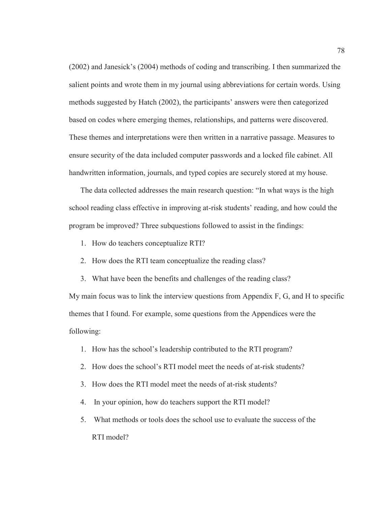(2002) and Janesick's (2004) methods of coding and transcribing. I then summarized the salient points and wrote them in my journal using abbreviations for certain words. Using methods suggested by Hatch (2002), the participants' answers were then categorized based on codes where emerging themes, relationships, and patterns were discovered. These themes and interpretations were then written in a narrative passage. Measures to ensure security of the data included computer passwords and a locked file cabinet. All handwritten information, journals, and typed copies are securely stored at my house.

The data collected addresses the main research question: "In what ways is the high school reading class effective in improving at-risk students' reading, and how could the program be improved? Three subquestions followed to assist in the findings:

- 1. How do teachers conceptualize RTI?
- 2. How does the RTI team conceptualize the reading class?
- 3. What have been the benefits and challenges of the reading class?

My main focus was to link the interview questions from Appendix F, G, and H to specific themes that I found. For example, some questions from the Appendices were the following:

- 1. How has the school's leadership contributed to the RTI program?
- 2. How does the school's RTI model meet the needs of at-risk students?
- 3. How does the RTI model meet the needs of at-risk students?
- 4. In your opinion, how do teachers support the RTI model?
- 5. What methods or tools does the school use to evaluate the success of the RTI model?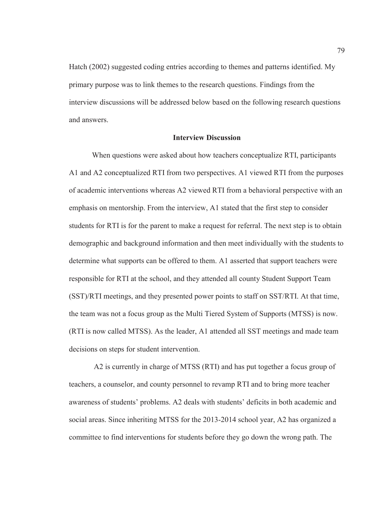Hatch (2002) suggested coding entries according to themes and patterns identified. My primary purpose was to link themes to the research questions. Findings from the interview discussions will be addressed below based on the following research questions and answers.

# **Interview Discussion**

When questions were asked about how teachers conceptualize RTI, participants A1 and A2 conceptualized RTI from two perspectives. A1 viewed RTI from the purposes of academic interventions whereas A2 viewed RTI from a behavioral perspective with an emphasis on mentorship. From the interview, A1 stated that the first step to consider students for RTI is for the parent to make a request for referral. The next step is to obtain demographic and background information and then meet individually with the students to determine what supports can be offered to them. A1 asserted that support teachers were responsible for RTI at the school, and they attended all county Student Support Team (SST)/RTI meetings, and they presented power points to staff on SST/RTI. At that time, the team was not a focus group as the Multi Tiered System of Supports (MTSS) is now. (RTI is now called MTSS). As the leader, A1 attended all SST meetings and made team decisions on steps for student intervention.

 A2 is currently in charge of MTSS (RTI) and has put together a focus group of teachers, a counselor, and county personnel to revamp RTI and to bring more teacher awareness of students' problems. A2 deals with students' deficits in both academic and social areas. Since inheriting MTSS for the 2013-2014 school year, A2 has organized a committee to find interventions for students before they go down the wrong path. The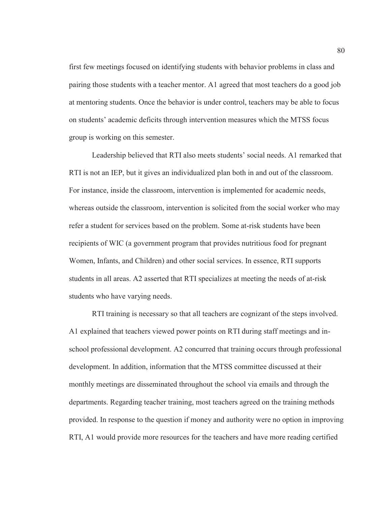first few meetings focused on identifying students with behavior problems in class and pairing those students with a teacher mentor. A1 agreed that most teachers do a good job at mentoring students. Once the behavior is under control, teachers may be able to focus on students' academic deficits through intervention measures which the MTSS focus group is working on this semester.

Leadership believed that RTI also meets students' social needs. A1 remarked that RTI is not an IEP, but it gives an individualized plan both in and out of the classroom. For instance, inside the classroom, intervention is implemented for academic needs, whereas outside the classroom, intervention is solicited from the social worker who may refer a student for services based on the problem. Some at-risk students have been recipients of WIC (a government program that provides nutritious food for pregnant Women, Infants, and Children) and other social services. In essence, RTI supports students in all areas. A2 asserted that RTI specializes at meeting the needs of at-risk students who have varying needs.

RTI training is necessary so that all teachers are cognizant of the steps involved. A1 explained that teachers viewed power points on RTI during staff meetings and inschool professional development. A2 concurred that training occurs through professional development. In addition, information that the MTSS committee discussed at their monthly meetings are disseminated throughout the school via emails and through the departments. Regarding teacher training, most teachers agreed on the training methods provided. In response to the question if money and authority were no option in improving RTI, A1 would provide more resources for the teachers and have more reading certified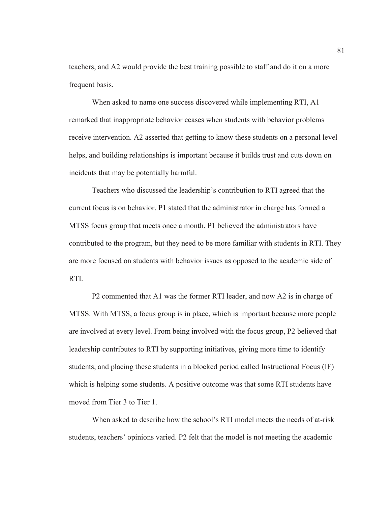teachers, and A2 would provide the best training possible to staff and do it on a more frequent basis.

When asked to name one success discovered while implementing RTI, A1 remarked that inappropriate behavior ceases when students with behavior problems receive intervention. A2 asserted that getting to know these students on a personal level helps, and building relationships is important because it builds trust and cuts down on incidents that may be potentially harmful.

Teachers who discussed the leadership's contribution to RTI agreed that the current focus is on behavior. P1 stated that the administrator in charge has formed a MTSS focus group that meets once a month. P1 believed the administrators have contributed to the program, but they need to be more familiar with students in RTI. They are more focused on students with behavior issues as opposed to the academic side of RTI.

P2 commented that A1 was the former RTI leader, and now A2 is in charge of MTSS. With MTSS, a focus group is in place, which is important because more people are involved at every level. From being involved with the focus group, P2 believed that leadership contributes to RTI by supporting initiatives, giving more time to identify students, and placing these students in a blocked period called Instructional Focus (IF) which is helping some students. A positive outcome was that some RTI students have moved from Tier 3 to Tier 1.

 When asked to describe how the school's RTI model meets the needs of at-risk students, teachers' opinions varied. P2 felt that the model is not meeting the academic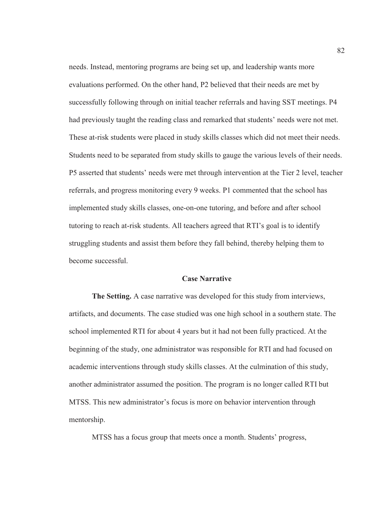needs. Instead, mentoring programs are being set up, and leadership wants more evaluations performed. On the other hand, P2 believed that their needs are met by successfully following through on initial teacher referrals and having SST meetings. P4 had previously taught the reading class and remarked that students' needs were not met. These at-risk students were placed in study skills classes which did not meet their needs. Students need to be separated from study skills to gauge the various levels of their needs. P5 asserted that students' needs were met through intervention at the Tier 2 level, teacher referrals, and progress monitoring every 9 weeks. P1 commented that the school has implemented study skills classes, one-on-one tutoring, and before and after school tutoring to reach at-risk students. All teachers agreed that RTI's goal is to identify struggling students and assist them before they fall behind, thereby helping them to become successful.

#### **Case Narrative**

**The Setting.** A case narrative was developed for this study from interviews, artifacts, and documents. The case studied was one high school in a southern state. The school implemented RTI for about 4 years but it had not been fully practiced. At the beginning of the study, one administrator was responsible for RTI and had focused on academic interventions through study skills classes. At the culmination of this study, another administrator assumed the position. The program is no longer called RTI but MTSS. This new administrator's focus is more on behavior intervention through mentorship.

MTSS has a focus group that meets once a month. Students' progress,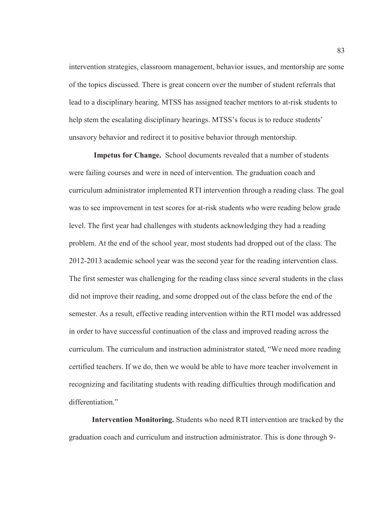intervention strategies, classroom management, behavior issues, and mentorship are some of the topics discussed. There is great concern over the number of student referrals that lead to a disciplinary hearing. MTSS has assigned teacher mentors to at-risk students to help stem the escalating disciplinary hearings. MTSS's focus is to reduce students' unsavory behavior and redirect it to positive behavior through mentorship.

 **Impetus for Change.** School documents revealed that a number of students were failing courses and were in need of intervention. The graduation coach and curriculum administrator implemented RTI intervention through a reading class. The goal was to see improvement in test scores for at-risk students who were reading below grade level. The first year had challenges with students acknowledging they had a reading problem. At the end of the school year, most students had dropped out of the class. The 2012-2013 academic school year was the second year for the reading intervention class. The first semester was challenging for the reading class since several students in the class did not improve their reading, and some dropped out of the class before the end of the semester. As a result, effective reading intervention within the RTI model was addressed in order to have successful continuation of the class and improved reading across the curriculum. The curriculum and instruction administrator stated, "We need more reading certified teachers. If we do, then we would be able to have more teacher involvement in recognizing and facilitating students with reading difficulties through modification and differentiation"

**Intervention Monitoring.** Students who need RTI intervention are tracked by the graduation coach and curriculum and instruction administrator. This is done through 9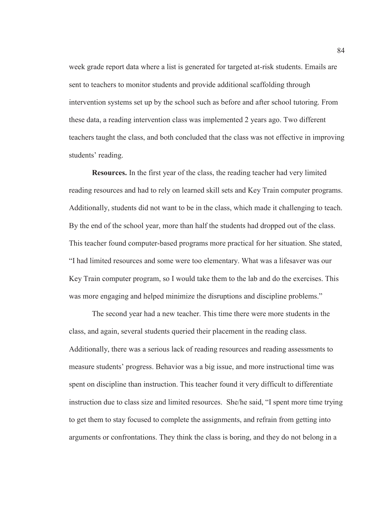week grade report data where a list is generated for targeted at-risk students. Emails are sent to teachers to monitor students and provide additional scaffolding through intervention systems set up by the school such as before and after school tutoring. From these data, a reading intervention class was implemented 2 years ago. Two different teachers taught the class, and both concluded that the class was not effective in improving students' reading.

**Resources.** In the first year of the class, the reading teacher had very limited reading resources and had to rely on learned skill sets and Key Train computer programs. Additionally, students did not want to be in the class, which made it challenging to teach. By the end of the school year, more than half the students had dropped out of the class. This teacher found computer-based programs more practical for her situation. She stated, "I had limited resources and some were too elementary. What was a lifesaver was our Key Train computer program, so I would take them to the lab and do the exercises. This was more engaging and helped minimize the disruptions and discipline problems."

 The second year had a new teacher. This time there were more students in the class, and again, several students queried their placement in the reading class. Additionally, there was a serious lack of reading resources and reading assessments to measure students' progress. Behavior was a big issue, and more instructional time was spent on discipline than instruction. This teacher found it very difficult to differentiate instruction due to class size and limited resources. She/he said, "I spent more time trying to get them to stay focused to complete the assignments, and refrain from getting into arguments or confrontations. They think the class is boring, and they do not belong in a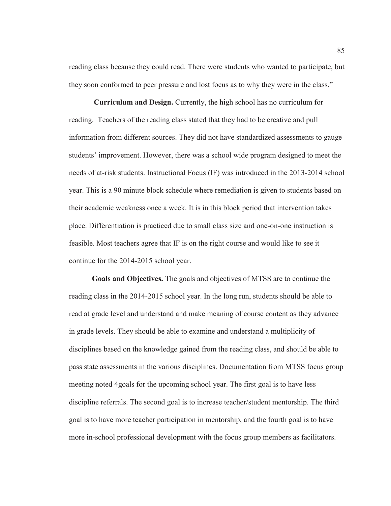reading class because they could read. There were students who wanted to participate, but they soon conformed to peer pressure and lost focus as to why they were in the class."

**Curriculum and Design.** Currently, the high school has no curriculum for reading. Teachers of the reading class stated that they had to be creative and pull information from different sources. They did not have standardized assessments to gauge students' improvement. However, there was a school wide program designed to meet the needs of at-risk students. Instructional Focus (IF) was introduced in the 2013-2014 school year. This is a 90 minute block schedule where remediation is given to students based on their academic weakness once a week. It is in this block period that intervention takes place. Differentiation is practiced due to small class size and one-on-one instruction is feasible. Most teachers agree that IF is on the right course and would like to see it continue for the 2014-2015 school year.

**Goals and Objectives.** The goals and objectives of MTSS are to continue the reading class in the 2014-2015 school year. In the long run, students should be able to read at grade level and understand and make meaning of course content as they advance in grade levels. They should be able to examine and understand a multiplicity of disciplines based on the knowledge gained from the reading class, and should be able to pass state assessments in the various disciplines. Documentation from MTSS focus group meeting noted 4goals for the upcoming school year. The first goal is to have less discipline referrals. The second goal is to increase teacher/student mentorship. The third goal is to have more teacher participation in mentorship, and the fourth goal is to have more in-school professional development with the focus group members as facilitators.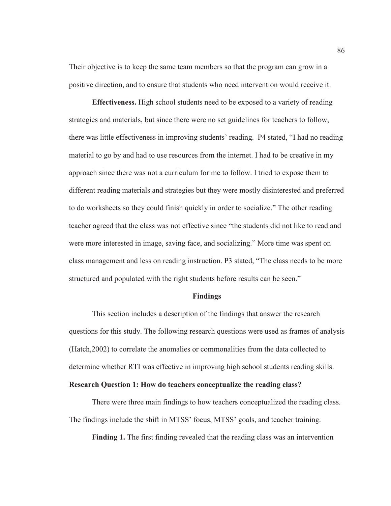Their objective is to keep the same team members so that the program can grow in a positive direction, and to ensure that students who need intervention would receive it.

**Effectiveness.** High school students need to be exposed to a variety of reading strategies and materials, but since there were no set guidelines for teachers to follow, there was little effectiveness in improving students' reading. P4 stated, "I had no reading material to go by and had to use resources from the internet. I had to be creative in my approach since there was not a curriculum for me to follow. I tried to expose them to different reading materials and strategies but they were mostly disinterested and preferred to do worksheets so they could finish quickly in order to socialize." The other reading teacher agreed that the class was not effective since "the students did not like to read and were more interested in image, saving face, and socializing." More time was spent on class management and less on reading instruction. P3 stated, "The class needs to be more structured and populated with the right students before results can be seen."

#### **Findings**

This section includes a description of the findings that answer the research questions for this study. The following research questions were used as frames of analysis (Hatch,2002) to correlate the anomalies or commonalities from the data collected to determine whether RTI was effective in improving high school students reading skills.

### **Research Question 1: How do teachers conceptualize the reading class?**

There were three main findings to how teachers conceptualized the reading class. The findings include the shift in MTSS' focus, MTSS' goals, and teacher training.

**Finding 1.** The first finding revealed that the reading class was an intervention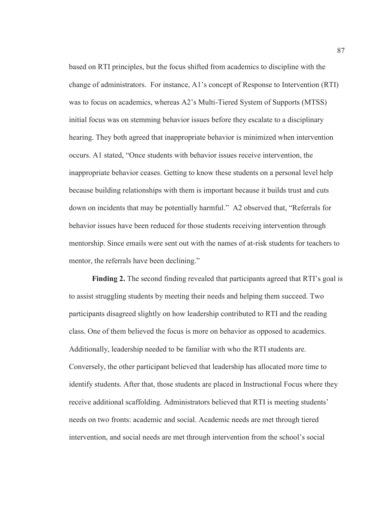based on RTI principles, but the focus shifted from academics to discipline with the change of administrators. For instance, A1's concept of Response to Intervention (RTI) was to focus on academics, whereas A2's Multi-Tiered System of Supports (MTSS) initial focus was on stemming behavior issues before they escalate to a disciplinary hearing. They both agreed that inappropriate behavior is minimized when intervention occurs. A1 stated, "Once students with behavior issues receive intervention, the inappropriate behavior ceases. Getting to know these students on a personal level help because building relationships with them is important because it builds trust and cuts down on incidents that may be potentially harmful." A2 observed that, "Referrals for behavior issues have been reduced for those students receiving intervention through mentorship. Since emails were sent out with the names of at-risk students for teachers to mentor, the referrals have been declining."

**Finding 2.** The second finding revealed that participants agreed that RTI's goal is to assist struggling students by meeting their needs and helping them succeed. Two participants disagreed slightly on how leadership contributed to RTI and the reading class. One of them believed the focus is more on behavior as opposed to academics. Additionally, leadership needed to be familiar with who the RTI students are. Conversely, the other participant believed that leadership has allocated more time to identify students. After that, those students are placed in Instructional Focus where they receive additional scaffolding. Administrators believed that RTI is meeting students' needs on two fronts: academic and social. Academic needs are met through tiered intervention, and social needs are met through intervention from the school's social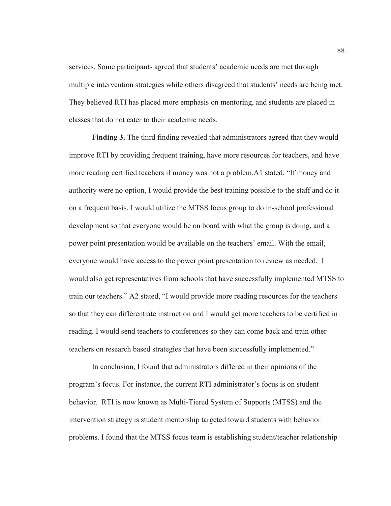services. Some participants agreed that students' academic needs are met through multiple intervention strategies while others disagreed that students' needs are being met. They believed RTI has placed more emphasis on mentoring, and students are placed in classes that do not cater to their academic needs.

**Finding 3.** The third finding revealed that administrators agreed that they would improve RTI by providing frequent training, have more resources for teachers, and have more reading certified teachers if money was not a problem.A1 stated, "If money and authority were no option, I would provide the best training possible to the staff and do it on a frequent basis. I would utilize the MTSS focus group to do in-school professional development so that everyone would be on board with what the group is doing, and a power point presentation would be available on the teachers' email. With the email, everyone would have access to the power point presentation to review as needed. I would also get representatives from schools that have successfully implemented MTSS to train our teachers." A2 stated, "I would provide more reading resources for the teachers so that they can differentiate instruction and I would get more teachers to be certified in reading. I would send teachers to conferences so they can come back and train other teachers on research based strategies that have been successfully implemented."

In conclusion, I found that administrators differed in their opinions of the program's focus. For instance, the current RTI administrator's focus is on student behavior. RTI is now known as Multi-Tiered System of Supports (MTSS) and the intervention strategy is student mentorship targeted toward students with behavior problems. I found that the MTSS focus team is establishing student/teacher relationship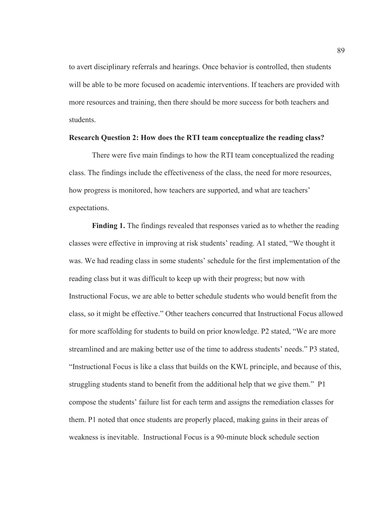to avert disciplinary referrals and hearings. Once behavior is controlled, then students will be able to be more focused on academic interventions. If teachers are provided with more resources and training, then there should be more success for both teachers and students.

#### **Research Question 2: How does the RTI team conceptualize the reading class?**

There were five main findings to how the RTI team conceptualized the reading class. The findings include the effectiveness of the class, the need for more resources, how progress is monitored, how teachers are supported, and what are teachers' expectations.

**Finding 1.** The findings revealed that responses varied as to whether the reading classes were effective in improving at risk students' reading. A1 stated, "We thought it was. We had reading class in some students' schedule for the first implementation of the reading class but it was difficult to keep up with their progress; but now with Instructional Focus, we are able to better schedule students who would benefit from the class, so it might be effective." Other teachers concurred that Instructional Focus allowed for more scaffolding for students to build on prior knowledge. P2 stated, "We are more streamlined and are making better use of the time to address students' needs." P3 stated, "Instructional Focus is like a class that builds on the KWL principle, and because of this, struggling students stand to benefit from the additional help that we give them." P1 compose the students' failure list for each term and assigns the remediation classes for them. P1 noted that once students are properly placed, making gains in their areas of weakness is inevitable. Instructional Focus is a 90-minute block schedule section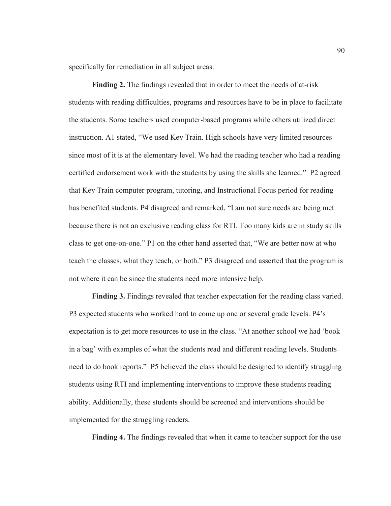specifically for remediation in all subject areas.

**Finding 2.** The findings revealed that in order to meet the needs of at-risk students with reading difficulties, programs and resources have to be in place to facilitate the students. Some teachers used computer-based programs while others utilized direct instruction. A1 stated, "We used Key Train. High schools have very limited resources since most of it is at the elementary level. We had the reading teacher who had a reading certified endorsement work with the students by using the skills she learned." P2 agreed that Key Train computer program, tutoring, and Instructional Focus period for reading has benefited students. P4 disagreed and remarked, "I am not sure needs are being met because there is not an exclusive reading class for RTI. Too many kids are in study skills class to get one-on-one." P1 on the other hand asserted that, "We are better now at who teach the classes, what they teach, or both." P3 disagreed and asserted that the program is not where it can be since the students need more intensive help.

**Finding 3.** Findings revealed that teacher expectation for the reading class varied. P3 expected students who worked hard to come up one or several grade levels. P4's expectation is to get more resources to use in the class. "At another school we had 'book in a bag' with examples of what the students read and different reading levels. Students need to do book reports." P5 believed the class should be designed to identify struggling students using RTI and implementing interventions to improve these students reading ability. Additionally, these students should be screened and interventions should be implemented for the struggling readers.

**Finding 4.** The findings revealed that when it came to teacher support for the use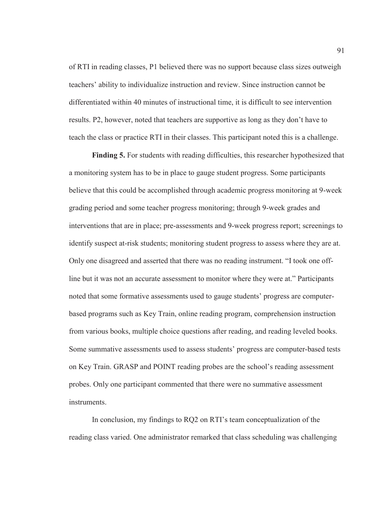of RTI in reading classes, P1 believed there was no support because class sizes outweigh teachers' ability to individualize instruction and review. Since instruction cannot be differentiated within 40 minutes of instructional time, it is difficult to see intervention results. P2, however, noted that teachers are supportive as long as they don't have to teach the class or practice RTI in their classes. This participant noted this is a challenge.

**Finding 5.** For students with reading difficulties, this researcher hypothesized that a monitoring system has to be in place to gauge student progress. Some participants believe that this could be accomplished through academic progress monitoring at 9-week grading period and some teacher progress monitoring; through 9-week grades and interventions that are in place; pre-assessments and 9-week progress report; screenings to identify suspect at-risk students; monitoring student progress to assess where they are at. Only one disagreed and asserted that there was no reading instrument. "I took one offline but it was not an accurate assessment to monitor where they were at." Participants noted that some formative assessments used to gauge students' progress are computerbased programs such as Key Train, online reading program, comprehension instruction from various books, multiple choice questions after reading, and reading leveled books. Some summative assessments used to assess students' progress are computer-based tests on Key Train. GRASP and POINT reading probes are the school's reading assessment probes. Only one participant commented that there were no summative assessment **instruments** 

In conclusion, my findings to RQ2 on RTI's team conceptualization of the reading class varied. One administrator remarked that class scheduling was challenging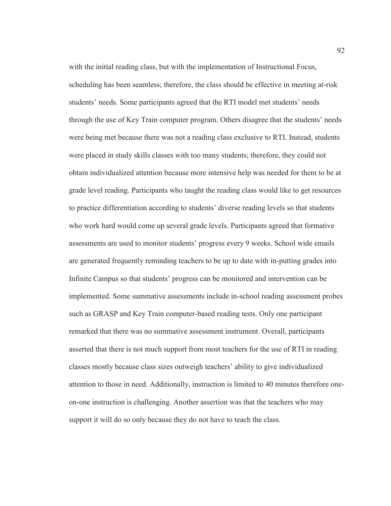with the initial reading class, but with the implementation of Instructional Focus, scheduling has been seamless; therefore, the class should be effective in meeting at-risk students' needs. Some participants agreed that the RTI model met students' needs through the use of Key Train computer program. Others disagree that the students' needs were being met because there was not a reading class exclusive to RTI. Instead, students were placed in study skills classes with too many students; therefore, they could not obtain individualized attention because more intensive help was needed for them to be at grade level reading. Participants who taught the reading class would like to get resources to practice differentiation according to students' diverse reading levels so that students who work hard would come up several grade levels. Participants agreed that formative assessments are used to monitor students' progress every 9 weeks. School wide emails are generated frequently reminding teachers to be up to date with in-putting grades into Infinite Campus so that students' progress can be monitored and intervention can be implemented. Some summative assessments include in-school reading assessment probes such as GRASP and Key Train computer-based reading tests. Only one participant remarked that there was no summative assessment instrument. Overall, participants asserted that there is not much support from most teachers for the use of RTI in reading classes mostly because class sizes outweigh teachers' ability to give individualized attention to those in need. Additionally, instruction is limited to 40 minutes therefore oneon-one instruction is challenging. Another assertion was that the teachers who may support it will do so only because they do not have to teach the class.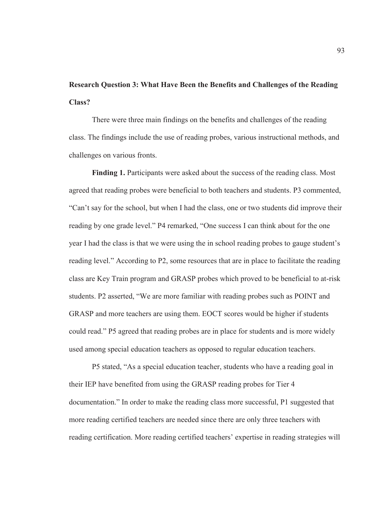# **Research Question 3: What Have Been the Benefits and Challenges of the Reading Class?**

There were three main findings on the benefits and challenges of the reading class. The findings include the use of reading probes, various instructional methods, and challenges on various fronts.

**Finding 1.** Participants were asked about the success of the reading class. Most agreed that reading probes were beneficial to both teachers and students. P3 commented, "Can't say for the school, but when I had the class, one or two students did improve their reading by one grade level." P4 remarked, "One success I can think about for the one year I had the class is that we were using the in school reading probes to gauge student's reading level." According to P2, some resources that are in place to facilitate the reading class are Key Train program and GRASP probes which proved to be beneficial to at-risk students. P2 asserted, "We are more familiar with reading probes such as POINT and GRASP and more teachers are using them. EOCT scores would be higher if students could read." P5 agreed that reading probes are in place for students and is more widely used among special education teachers as opposed to regular education teachers.

P5 stated, "As a special education teacher, students who have a reading goal in their IEP have benefited from using the GRASP reading probes for Tier 4 documentation." In order to make the reading class more successful, P1 suggested that more reading certified teachers are needed since there are only three teachers with reading certification. More reading certified teachers' expertise in reading strategies will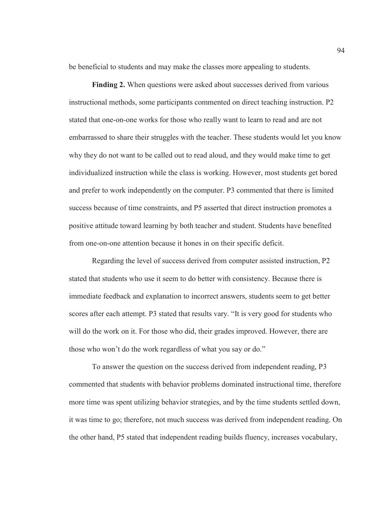be beneficial to students and may make the classes more appealing to students.

**Finding 2.** When questions were asked about successes derived from various instructional methods, some participants commented on direct teaching instruction. P2 stated that one-on-one works for those who really want to learn to read and are not embarrassed to share their struggles with the teacher. These students would let you know why they do not want to be called out to read aloud, and they would make time to get individualized instruction while the class is working. However, most students get bored and prefer to work independently on the computer. P3 commented that there is limited success because of time constraints, and P5 asserted that direct instruction promotes a positive attitude toward learning by both teacher and student. Students have benefited from one-on-one attention because it hones in on their specific deficit.

Regarding the level of success derived from computer assisted instruction, P2 stated that students who use it seem to do better with consistency. Because there is immediate feedback and explanation to incorrect answers, students seem to get better scores after each attempt. P3 stated that results vary. "It is very good for students who will do the work on it. For those who did, their grades improved. However, there are those who won't do the work regardless of what you say or do."

 To answer the question on the success derived from independent reading, P3 commented that students with behavior problems dominated instructional time, therefore more time was spent utilizing behavior strategies, and by the time students settled down, it was time to go; therefore, not much success was derived from independent reading. On the other hand, P5 stated that independent reading builds fluency, increases vocabulary,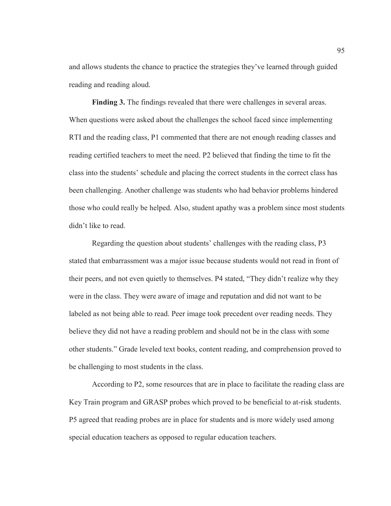and allows students the chance to practice the strategies they've learned through guided reading and reading aloud.

Finding 3. The findings revealed that there were challenges in several areas. When questions were asked about the challenges the school faced since implementing RTI and the reading class, P1 commented that there are not enough reading classes and reading certified teachers to meet the need. P2 believed that finding the time to fit the class into the students' schedule and placing the correct students in the correct class has been challenging. Another challenge was students who had behavior problems hindered those who could really be helped. Also, student apathy was a problem since most students didn't like to read.

Regarding the question about students' challenges with the reading class, P3 stated that embarrassment was a major issue because students would not read in front of their peers, and not even quietly to themselves. P4 stated, "They didn't realize why they were in the class. They were aware of image and reputation and did not want to be labeled as not being able to read. Peer image took precedent over reading needs. They believe they did not have a reading problem and should not be in the class with some other students." Grade leveled text books, content reading, and comprehension proved to be challenging to most students in the class.

According to P2, some resources that are in place to facilitate the reading class are Key Train program and GRASP probes which proved to be beneficial to at-risk students. P5 agreed that reading probes are in place for students and is more widely used among special education teachers as opposed to regular education teachers.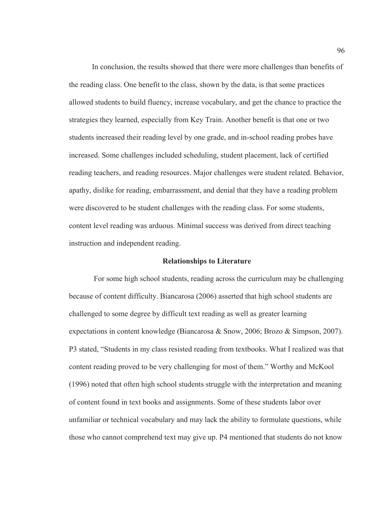In conclusion, the results showed that there were more challenges than benefits of the reading class. One benefit to the class, shown by the data, is that some practices allowed students to build fluency, increase vocabulary, and get the chance to practice the strategies they learned, especially from Key Train. Another benefit is that one or two students increased their reading level by one grade, and in-school reading probes have increased. Some challenges included scheduling, student placement, lack of certified reading teachers, and reading resources. Major challenges were student related. Behavior, apathy, dislike for reading, embarrassment, and denial that they have a reading problem were discovered to be student challenges with the reading class. For some students, content level reading was arduous. Minimal success was derived from direct teaching instruction and independent reading.

### **Relationships to Literature**

 For some high school students, reading across the curriculum may be challenging because of content difficulty. Biancarosa (2006) asserted that high school students are challenged to some degree by difficult text reading as well as greater learning expectations in content knowledge (Biancarosa & Snow, 2006; Brozo & Simpson, 2007). P3 stated, "Students in my class resisted reading from textbooks. What I realized was that content reading proved to be very challenging for most of them." Worthy and McKool (1996) noted that often high school students struggle with the interpretation and meaning of content found in text books and assignments. Some of these students labor over unfamiliar or technical vocabulary and may lack the ability to formulate questions, while those who cannot comprehend text may give up. P4 mentioned that students do not know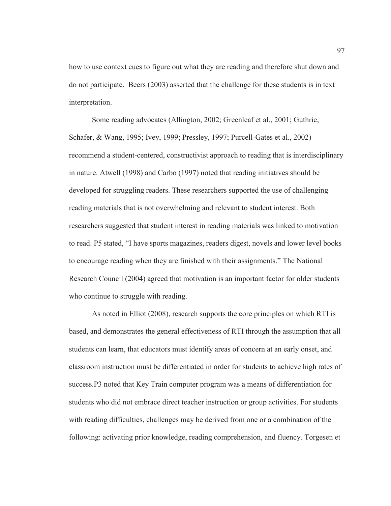how to use context cues to figure out what they are reading and therefore shut down and do not participate. Beers (2003) asserted that the challenge for these students is in text interpretation.

Some reading advocates (Allington, 2002; Greenleaf et al., 2001; Guthrie, Schafer, & Wang, 1995; Ivey, 1999; Pressley, 1997; Purcell-Gates et al., 2002) recommend a student-centered, constructivist approach to reading that is interdisciplinary in nature. Atwell (1998) and Carbo (1997) noted that reading initiatives should be developed for struggling readers. These researchers supported the use of challenging reading materials that is not overwhelming and relevant to student interest. Both researchers suggested that student interest in reading materials was linked to motivation to read. P5 stated, "I have sports magazines, readers digest, novels and lower level books to encourage reading when they are finished with their assignments." The National Research Council (2004) agreed that motivation is an important factor for older students who continue to struggle with reading.

As noted in Elliot (2008), research supports the core principles on which RTI is based, and demonstrates the general effectiveness of RTI through the assumption that all students can learn, that educators must identify areas of concern at an early onset, and classroom instruction must be differentiated in order for students to achieve high rates of success.P3 noted that Key Train computer program was a means of differentiation for students who did not embrace direct teacher instruction or group activities. For students with reading difficulties, challenges may be derived from one or a combination of the following: activating prior knowledge, reading comprehension, and fluency. Torgesen et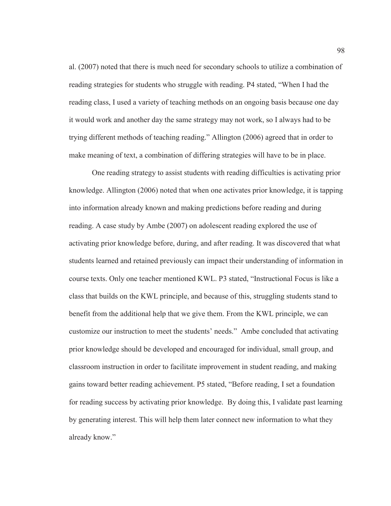al. (2007) noted that there is much need for secondary schools to utilize a combination of reading strategies for students who struggle with reading. P4 stated, "When I had the reading class, I used a variety of teaching methods on an ongoing basis because one day it would work and another day the same strategy may not work, so I always had to be trying different methods of teaching reading." Allington (2006) agreed that in order to make meaning of text, a combination of differing strategies will have to be in place.

One reading strategy to assist students with reading difficulties is activating prior knowledge. Allington (2006) noted that when one activates prior knowledge, it is tapping into information already known and making predictions before reading and during reading. A case study by Ambe (2007) on adolescent reading explored the use of activating prior knowledge before, during, and after reading. It was discovered that what students learned and retained previously can impact their understanding of information in course texts. Only one teacher mentioned KWL. P3 stated, "Instructional Focus is like a class that builds on the KWL principle, and because of this, struggling students stand to benefit from the additional help that we give them. From the KWL principle, we can customize our instruction to meet the students' needs." Ambe concluded that activating prior knowledge should be developed and encouraged for individual, small group, and classroom instruction in order to facilitate improvement in student reading, and making gains toward better reading achievement. P5 stated, "Before reading, I set a foundation for reading success by activating prior knowledge. By doing this, I validate past learning by generating interest. This will help them later connect new information to what they already know."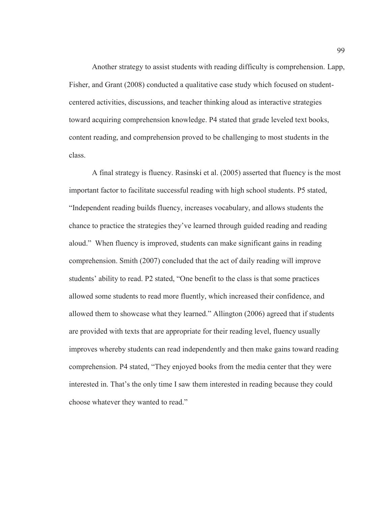Another strategy to assist students with reading difficulty is comprehension. Lapp, Fisher, and Grant (2008) conducted a qualitative case study which focused on studentcentered activities, discussions, and teacher thinking aloud as interactive strategies toward acquiring comprehension knowledge. P4 stated that grade leveled text books, content reading, and comprehension proved to be challenging to most students in the class.

A final strategy is fluency. Rasinski et al. (2005) asserted that fluency is the most important factor to facilitate successful reading with high school students. P5 stated, "Independent reading builds fluency, increases vocabulary, and allows students the chance to practice the strategies they've learned through guided reading and reading aloud." When fluency is improved, students can make significant gains in reading comprehension. Smith (2007) concluded that the act of daily reading will improve students' ability to read. P2 stated, "One benefit to the class is that some practices allowed some students to read more fluently, which increased their confidence, and allowed them to showcase what they learned." Allington (2006) agreed that if students are provided with texts that are appropriate for their reading level, fluency usually improves whereby students can read independently and then make gains toward reading comprehension. P4 stated, "They enjoyed books from the media center that they were interested in. That's the only time I saw them interested in reading because they could choose whatever they wanted to read."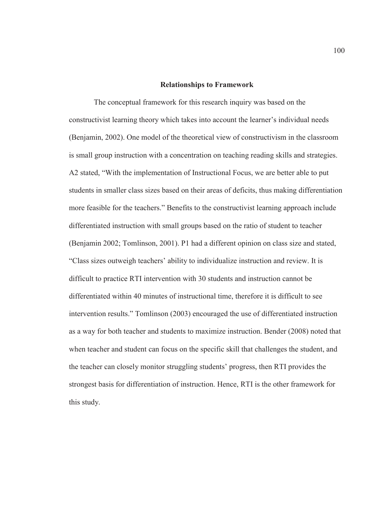#### **Relationships to Framework**

 The conceptual framework for this research inquiry was based on the constructivist learning theory which takes into account the learner's individual needs (Benjamin, 2002). One model of the theoretical view of constructivism in the classroom is small group instruction with a concentration on teaching reading skills and strategies. A2 stated, "With the implementation of Instructional Focus, we are better able to put students in smaller class sizes based on their areas of deficits, thus making differentiation more feasible for the teachers." Benefits to the constructivist learning approach include differentiated instruction with small groups based on the ratio of student to teacher (Benjamin 2002; Tomlinson, 2001). P1 had a different opinion on class size and stated, "Class sizes outweigh teachers' ability to individualize instruction and review. It is difficult to practice RTI intervention with 30 students and instruction cannot be differentiated within 40 minutes of instructional time, therefore it is difficult to see intervention results." Tomlinson (2003) encouraged the use of differentiated instruction as a way for both teacher and students to maximize instruction. Bender (2008) noted that when teacher and student can focus on the specific skill that challenges the student, and the teacher can closely monitor struggling students' progress, then RTI provides the strongest basis for differentiation of instruction. Hence, RTI is the other framework for this study.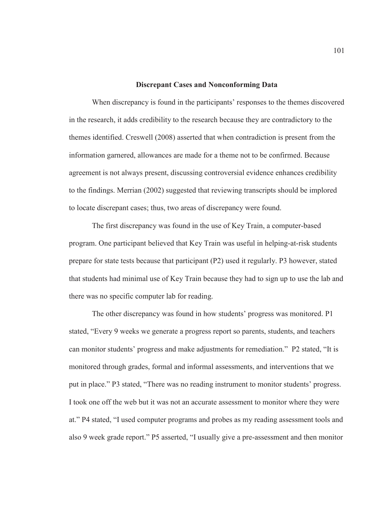### **Discrepant Cases and Nonconforming Data**

 When discrepancy is found in the participants' responses to the themes discovered in the research, it adds credibility to the research because they are contradictory to the themes identified. Creswell (2008) asserted that when contradiction is present from the information garnered, allowances are made for a theme not to be confirmed. Because agreement is not always present, discussing controversial evidence enhances credibility to the findings. Merrian (2002) suggested that reviewing transcripts should be implored to locate discrepant cases; thus, two areas of discrepancy were found.

 The first discrepancy was found in the use of Key Train, a computer-based program. One participant believed that Key Train was useful in helping-at-risk students prepare for state tests because that participant (P2) used it regularly. P3 however, stated that students had minimal use of Key Train because they had to sign up to use the lab and there was no specific computer lab for reading.

The other discrepancy was found in how students' progress was monitored. P1 stated, "Every 9 weeks we generate a progress report so parents, students, and teachers can monitor students' progress and make adjustments for remediation." P2 stated, "It is monitored through grades, formal and informal assessments, and interventions that we put in place." P3 stated, "There was no reading instrument to monitor students' progress. I took one off the web but it was not an accurate assessment to monitor where they were at." P4 stated, "I used computer programs and probes as my reading assessment tools and also 9 week grade report." P5 asserted, "I usually give a pre-assessment and then monitor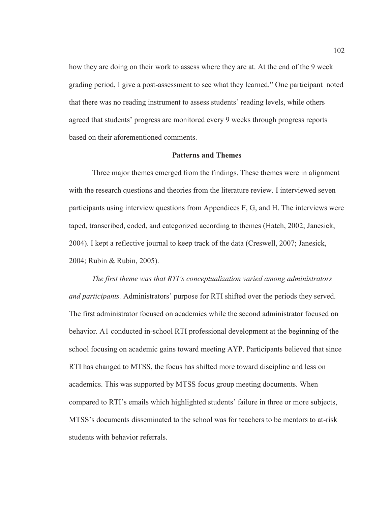how they are doing on their work to assess where they are at. At the end of the 9 week grading period, I give a post-assessment to see what they learned." One participant noted that there was no reading instrument to assess students' reading levels, while others agreed that students' progress are monitored every 9 weeks through progress reports based on their aforementioned comments.

# **Patterns and Themes**

Three major themes emerged from the findings. These themes were in alignment with the research questions and theories from the literature review. I interviewed seven participants using interview questions from Appendices F, G, and H. The interviews were taped, transcribed, coded, and categorized according to themes (Hatch, 2002; Janesick, 2004). I kept a reflective journal to keep track of the data (Creswell, 2007; Janesick, 2004; Rubin & Rubin, 2005).

*The first theme was that RTI's conceptualization varied among administrators and participants.* Administrators' purpose for RTI shifted over the periods they served. The first administrator focused on academics while the second administrator focused on behavior. A1 conducted in-school RTI professional development at the beginning of the school focusing on academic gains toward meeting AYP. Participants believed that since RTI has changed to MTSS, the focus has shifted more toward discipline and less on academics. This was supported by MTSS focus group meeting documents. When compared to RTI's emails which highlighted students' failure in three or more subjects, MTSS's documents disseminated to the school was for teachers to be mentors to at-risk students with behavior referrals.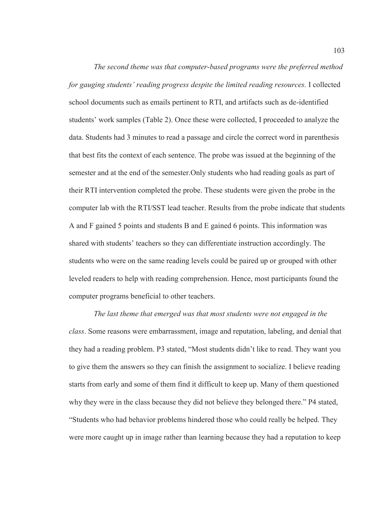*The second theme was that computer-based programs were the preferred method for gauging students' reading progress despite the limited reading resources.* I collected school documents such as emails pertinent to RTI, and artifacts such as de-identified students' work samples (Table 2). Once these were collected, I proceeded to analyze the data. Students had 3 minutes to read a passage and circle the correct word in parenthesis that best fits the context of each sentence. The probe was issued at the beginning of the semester and at the end of the semester.Only students who had reading goals as part of their RTI intervention completed the probe. These students were given the probe in the computer lab with the RTI/SST lead teacher. Results from the probe indicate that students A and F gained 5 points and students B and E gained 6 points. This information was shared with students' teachers so they can differentiate instruction accordingly. The students who were on the same reading levels could be paired up or grouped with other leveled readers to help with reading comprehension. Hence, most participants found the computer programs beneficial to other teachers.

*The last theme that emerged was that most students were not engaged in the class*. Some reasons were embarrassment, image and reputation, labeling, and denial that they had a reading problem. P3 stated, "Most students didn't like to read. They want you to give them the answers so they can finish the assignment to socialize. I believe reading starts from early and some of them find it difficult to keep up. Many of them questioned why they were in the class because they did not believe they belonged there." P4 stated, "Students who had behavior problems hindered those who could really be helped. They were more caught up in image rather than learning because they had a reputation to keep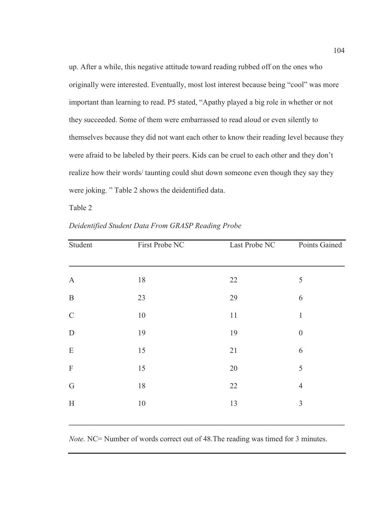up. After a while, this negative attitude toward reading rubbed off on the ones who originally were interested. Eventually, most lost interest because being "cool" was more important than learning to read. P5 stated, "Apathy played a big role in whether or not they succeeded. Some of them were embarrassed to read aloud or even silently to themselves because they did not want each other to know their reading level because they were afraid to be labeled by their peers. Kids can be cruel to each other and they don't realize how their words/ taunting could shut down someone even though they say they were joking. " Table 2 shows the deidentified data.

Table 2

| Student               | First Probe NC | Last Probe NC | Points Gained    |
|-----------------------|----------------|---------------|------------------|
|                       |                |               |                  |
| $\boldsymbol{\rm{A}}$ | $18\,$         | 22            | $\mathfrak s$    |
| $\, {\bf B}$          | 23             | 29            | 6                |
| $\mathsf C$           | $10\,$         | 11            | $\,1\,$          |
| ${\bf D}$             | 19             | 19            | $\boldsymbol{0}$ |
| ${\bf E}$             | 15             | 21            | 6                |
| $\mathbf F$           | 15             | 20            | 5                |
| $\mathsf G$           | 18             | 22            | $\overline{4}$   |
| $\mathbf H$           | $10\,$         | 13            | $\mathfrak{Z}$   |
|                       |                |               |                  |

*Deidentified Student Data From GRASP Reading Probe* 

*Note.* NC= Number of words correct out of 48. The reading was timed for 3 minutes.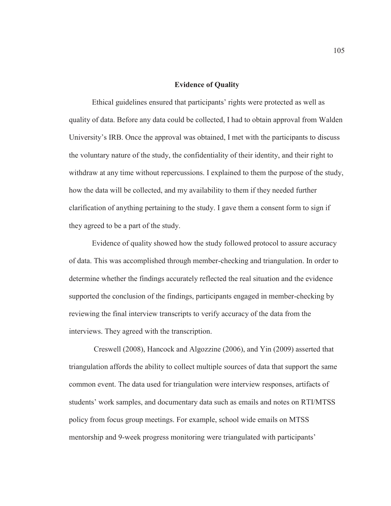### **Evidence of Quality**

Ethical guidelines ensured that participants' rights were protected as well as quality of data. Before any data could be collected, I had to obtain approval from Walden University's IRB. Once the approval was obtained, I met with the participants to discuss the voluntary nature of the study, the confidentiality of their identity, and their right to withdraw at any time without repercussions. I explained to them the purpose of the study, how the data will be collected, and my availability to them if they needed further clarification of anything pertaining to the study. I gave them a consent form to sign if they agreed to be a part of the study.

 Evidence of quality showed how the study followed protocol to assure accuracy of data. This was accomplished through member-checking and triangulation. In order to determine whether the findings accurately reflected the real situation and the evidence supported the conclusion of the findings, participants engaged in member-checking by reviewing the final interview transcripts to verify accuracy of the data from the interviews. They agreed with the transcription.

 Creswell (2008), Hancock and Algozzine (2006), and Yin (2009) asserted that triangulation affords the ability to collect multiple sources of data that support the same common event. The data used for triangulation were interview responses, artifacts of students' work samples, and documentary data such as emails and notes on RTI/MTSS policy from focus group meetings. For example, school wide emails on MTSS mentorship and 9-week progress monitoring were triangulated with participants'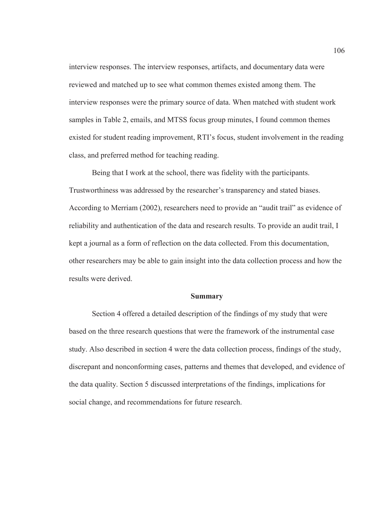interview responses. The interview responses, artifacts, and documentary data were reviewed and matched up to see what common themes existed among them. The interview responses were the primary source of data. When matched with student work samples in Table 2, emails, and MTSS focus group minutes, I found common themes existed for student reading improvement, RTI's focus, student involvement in the reading class, and preferred method for teaching reading.

Being that I work at the school, there was fidelity with the participants. Trustworthiness was addressed by the researcher's transparency and stated biases. According to Merriam (2002), researchers need to provide an "audit trail" as evidence of reliability and authentication of the data and research results. To provide an audit trail, I kept a journal as a form of reflection on the data collected. From this documentation, other researchers may be able to gain insight into the data collection process and how the results were derived.

#### **Summary**

Section 4 offered a detailed description of the findings of my study that were based on the three research questions that were the framework of the instrumental case study. Also described in section 4 were the data collection process, findings of the study, discrepant and nonconforming cases, patterns and themes that developed, and evidence of the data quality. Section 5 discussed interpretations of the findings, implications for social change, and recommendations for future research.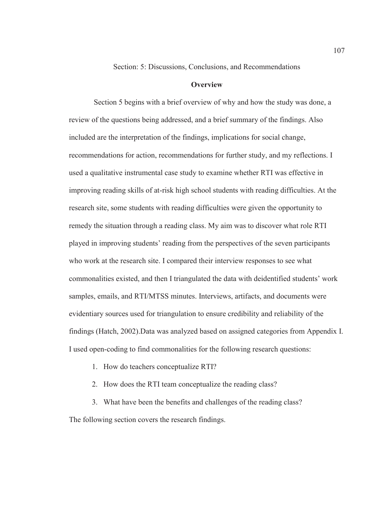Section: 5: Discussions, Conclusions, and Recommendations

# **Overview**

 Section 5 begins with a brief overview of why and how the study was done, a review of the questions being addressed, and a brief summary of the findings. Also included are the interpretation of the findings, implications for social change, recommendations for action, recommendations for further study, and my reflections. I used a qualitative instrumental case study to examine whether RTI was effective in improving reading skills of at-risk high school students with reading difficulties. At the research site, some students with reading difficulties were given the opportunity to remedy the situation through a reading class. My aim was to discover what role RTI played in improving students' reading from the perspectives of the seven participants who work at the research site. I compared their interview responses to see what commonalities existed, and then I triangulated the data with deidentified students' work samples, emails, and RTI/MTSS minutes. Interviews, artifacts, and documents were evidentiary sources used for triangulation to ensure credibility and reliability of the findings (Hatch, 2002).Data was analyzed based on assigned categories from Appendix I. I used open-coding to find commonalities for the following research questions:

- 1. How do teachers conceptualize RTI?
- 2. How does the RTI team conceptualize the reading class?
- 3. What have been the benefits and challenges of the reading class?

The following section covers the research findings.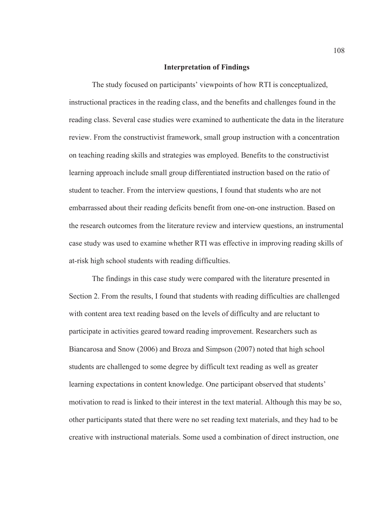### **Interpretation of Findings**

The study focused on participants' viewpoints of how RTI is conceptualized, instructional practices in the reading class, and the benefits and challenges found in the reading class. Several case studies were examined to authenticate the data in the literature review. From the constructivist framework, small group instruction with a concentration on teaching reading skills and strategies was employed. Benefits to the constructivist learning approach include small group differentiated instruction based on the ratio of student to teacher. From the interview questions, I found that students who are not embarrassed about their reading deficits benefit from one-on-one instruction. Based on the research outcomes from the literature review and interview questions, an instrumental case study was used to examine whether RTI was effective in improving reading skills of at-risk high school students with reading difficulties.

The findings in this case study were compared with the literature presented in Section 2. From the results, I found that students with reading difficulties are challenged with content area text reading based on the levels of difficulty and are reluctant to participate in activities geared toward reading improvement. Researchers such as Biancarosa and Snow (2006) and Broza and Simpson (2007) noted that high school students are challenged to some degree by difficult text reading as well as greater learning expectations in content knowledge. One participant observed that students' motivation to read is linked to their interest in the text material. Although this may be so, other participants stated that there were no set reading text materials, and they had to be creative with instructional materials. Some used a combination of direct instruction, one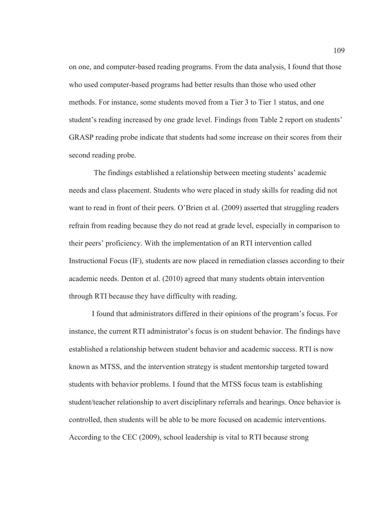on one, and computer-based reading programs. From the data analysis, I found that those who used computer-based programs had better results than those who used other methods. For instance, some students moved from a Tier 3 to Tier 1 status, and one student's reading increased by one grade level. Findings from Table 2 report on students' GRASP reading probe indicate that students had some increase on their scores from their second reading probe.

 The findings established a relationship between meeting students' academic needs and class placement. Students who were placed in study skills for reading did not want to read in front of their peers. O'Brien et al. (2009) asserted that struggling readers refrain from reading because they do not read at grade level, especially in comparison to their peers' proficiency. With the implementation of an RTI intervention called Instructional Focus (IF), students are now placed in remediation classes according to their academic needs. Denton et al. (2010) agreed that many students obtain intervention through RTI because they have difficulty with reading.

I found that administrators differed in their opinions of the program's focus. For instance, the current RTI administrator's focus is on student behavior. The findings have established a relationship between student behavior and academic success. RTI is now known as MTSS, and the intervention strategy is student mentorship targeted toward students with behavior problems. I found that the MTSS focus team is establishing student/teacher relationship to avert disciplinary referrals and hearings. Once behavior is controlled, then students will be able to be more focused on academic interventions. According to the CEC (2009), school leadership is vital to RTI because strong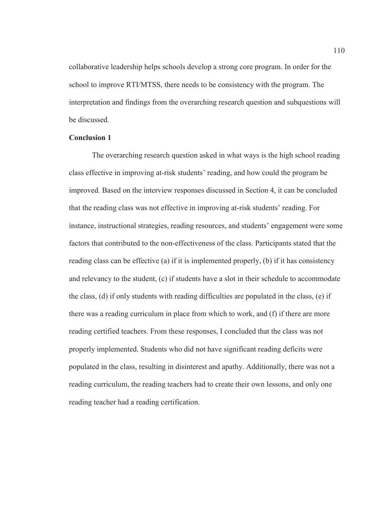collaborative leadership helps schools develop a strong core program. In order for the school to improve RTI/MTSS, there needs to be consistency with the program. The interpretation and findings from the overarching research question and subquestions will be discussed.

# **Conclusion 1**

The overarching research question asked in what ways is the high school reading class effective in improving at-risk students' reading, and how could the program be improved. Based on the interview responses discussed in Section 4, it can be concluded that the reading class was not effective in improving at-risk students' reading. For instance, instructional strategies, reading resources, and students' engagement were some factors that contributed to the non-effectiveness of the class. Participants stated that the reading class can be effective (a) if it is implemented properly, (b) if it has consistency and relevancy to the student, (c) if students have a slot in their schedule to accommodate the class, (d) if only students with reading difficulties are populated in the class, (e) if there was a reading curriculum in place from which to work, and (f) if there are more reading certified teachers. From these responses, I concluded that the class was not properly implemented. Students who did not have significant reading deficits were populated in the class, resulting in disinterest and apathy. Additionally, there was not a reading curriculum, the reading teachers had to create their own lessons, and only one reading teacher had a reading certification.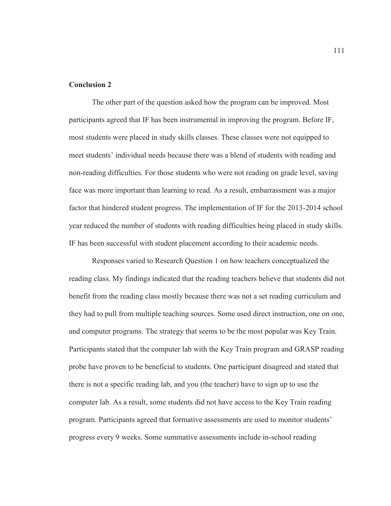# **Conclusion 2**

The other part of the question asked how the program can be improved. Most participants agreed that IF has been instrumental in improving the program. Before IF, most students were placed in study skills classes. These classes were not equipped to meet students' individual needs because there was a blend of students with reading and non-reading difficulties. For those students who were not reading on grade level, saving face was more important than learning to read. As a result, embarrassment was a major factor that hindered student progress. The implementation of IF for the 2013-2014 school year reduced the number of students with reading difficulties being placed in study skills. IF has been successful with student placement according to their academic needs.

 Responses varied to Research Question 1 on how teachers conceptualized the reading class. My findings indicated that the reading teachers believe that students did not benefit from the reading class mostly because there was not a set reading curriculum and they had to pull from multiple teaching sources. Some used direct instruction, one on one, and computer programs. The strategy that seems to be the most popular was Key Train. Participants stated that the computer lab with the Key Train program and GRASP reading probe have proven to be beneficial to students. One participant disagreed and stated that there is not a specific reading lab, and you (the teacher) have to sign up to use the computer lab. As a result, some students did not have access to the Key Train reading program. Participants agreed that formative assessments are used to monitor students' progress every 9 weeks. Some summative assessments include in-school reading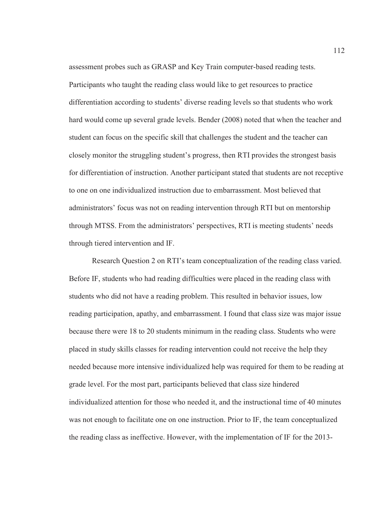assessment probes such as GRASP and Key Train computer-based reading tests. Participants who taught the reading class would like to get resources to practice differentiation according to students' diverse reading levels so that students who work hard would come up several grade levels. Bender (2008) noted that when the teacher and student can focus on the specific skill that challenges the student and the teacher can closely monitor the struggling student's progress, then RTI provides the strongest basis for differentiation of instruction. Another participant stated that students are not receptive to one on one individualized instruction due to embarrassment. Most believed that administrators' focus was not on reading intervention through RTI but on mentorship through MTSS. From the administrators' perspectives, RTI is meeting students' needs through tiered intervention and IF.

Research Question 2 on RTI's team conceptualization of the reading class varied. Before IF, students who had reading difficulties were placed in the reading class with students who did not have a reading problem. This resulted in behavior issues, low reading participation, apathy, and embarrassment. I found that class size was major issue because there were 18 to 20 students minimum in the reading class. Students who were placed in study skills classes for reading intervention could not receive the help they needed because more intensive individualized help was required for them to be reading at grade level. For the most part, participants believed that class size hindered individualized attention for those who needed it, and the instructional time of 40 minutes was not enough to facilitate one on one instruction. Prior to IF, the team conceptualized the reading class as ineffective. However, with the implementation of IF for the 2013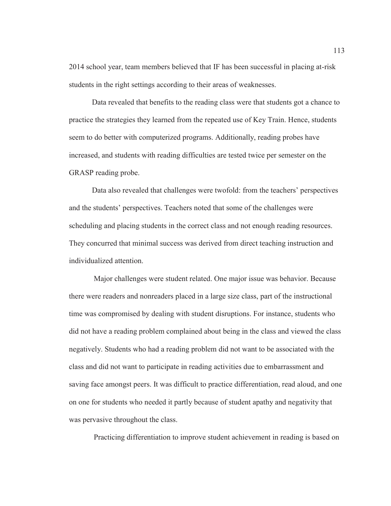2014 school year, team members believed that IF has been successful in placing at-risk students in the right settings according to their areas of weaknesses.

Data revealed that benefits to the reading class were that students got a chance to practice the strategies they learned from the repeated use of Key Train. Hence, students seem to do better with computerized programs. Additionally, reading probes have increased, and students with reading difficulties are tested twice per semester on the GRASP reading probe.

Data also revealed that challenges were twofold: from the teachers' perspectives and the students' perspectives. Teachers noted that some of the challenges were scheduling and placing students in the correct class and not enough reading resources. They concurred that minimal success was derived from direct teaching instruction and individualized attention.

 Major challenges were student related. One major issue was behavior. Because there were readers and nonreaders placed in a large size class, part of the instructional time was compromised by dealing with student disruptions. For instance, students who did not have a reading problem complained about being in the class and viewed the class negatively. Students who had a reading problem did not want to be associated with the class and did not want to participate in reading activities due to embarrassment and saving face amongst peers. It was difficult to practice differentiation, read aloud, and one on one for students who needed it partly because of student apathy and negativity that was pervasive throughout the class.

Practicing differentiation to improve student achievement in reading is based on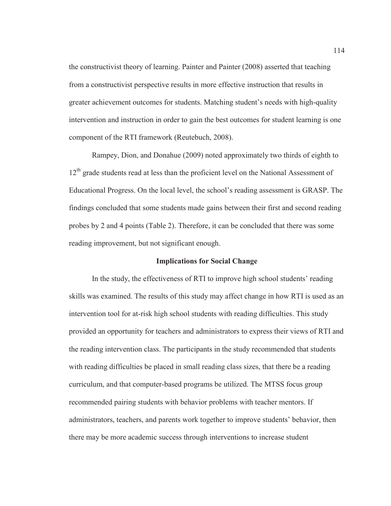the constructivist theory of learning. Painter and Painter (2008) asserted that teaching from a constructivist perspective results in more effective instruction that results in greater achievement outcomes for students. Matching student's needs with high-quality intervention and instruction in order to gain the best outcomes for student learning is one component of the RTI framework (Reutebuch, 2008).

Rampey, Dion, and Donahue (2009) noted approximately two thirds of eighth to  $12<sup>th</sup>$  grade students read at less than the proficient level on the National Assessment of Educational Progress. On the local level, the school's reading assessment is GRASP. The findings concluded that some students made gains between their first and second reading probes by 2 and 4 points (Table 2). Therefore, it can be concluded that there was some reading improvement, but not significant enough.

# **Implications for Social Change**

In the study, the effectiveness of RTI to improve high school students' reading skills was examined. The results of this study may affect change in how RTI is used as an intervention tool for at-risk high school students with reading difficulties. This study provided an opportunity for teachers and administrators to express their views of RTI and the reading intervention class. The participants in the study recommended that students with reading difficulties be placed in small reading class sizes, that there be a reading curriculum, and that computer-based programs be utilized. The MTSS focus group recommended pairing students with behavior problems with teacher mentors. If administrators, teachers, and parents work together to improve students' behavior, then there may be more academic success through interventions to increase student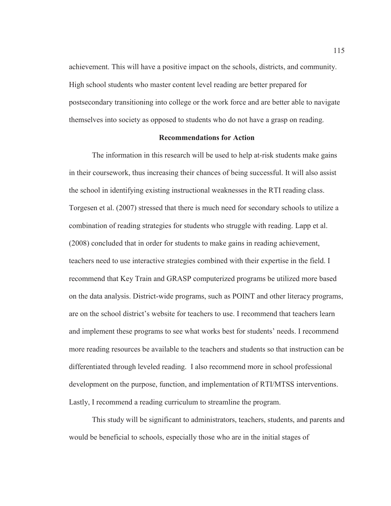achievement. This will have a positive impact on the schools, districts, and community. High school students who master content level reading are better prepared for postsecondary transitioning into college or the work force and are better able to navigate themselves into society as opposed to students who do not have a grasp on reading.

## **Recommendations for Action**

The information in this research will be used to help at-risk students make gains in their coursework, thus increasing their chances of being successful. It will also assist the school in identifying existing instructional weaknesses in the RTI reading class. Torgesen et al. (2007) stressed that there is much need for secondary schools to utilize a combination of reading strategies for students who struggle with reading. Lapp et al. (2008) concluded that in order for students to make gains in reading achievement, teachers need to use interactive strategies combined with their expertise in the field. I recommend that Key Train and GRASP computerized programs be utilized more based on the data analysis. District-wide programs, such as POINT and other literacy programs, are on the school district's website for teachers to use. I recommend that teachers learn and implement these programs to see what works best for students' needs. I recommend more reading resources be available to the teachers and students so that instruction can be differentiated through leveled reading. I also recommend more in school professional development on the purpose, function, and implementation of RTI/MTSS interventions. Lastly, I recommend a reading curriculum to streamline the program.

This study will be significant to administrators, teachers, students, and parents and would be beneficial to schools, especially those who are in the initial stages of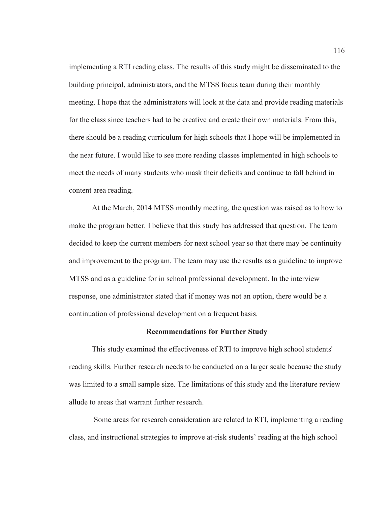implementing a RTI reading class. The results of this study might be disseminated to the building principal, administrators, and the MTSS focus team during their monthly meeting. I hope that the administrators will look at the data and provide reading materials for the class since teachers had to be creative and create their own materials. From this, there should be a reading curriculum for high schools that I hope will be implemented in the near future. I would like to see more reading classes implemented in high schools to meet the needs of many students who mask their deficits and continue to fall behind in content area reading.

At the March, 2014 MTSS monthly meeting, the question was raised as to how to make the program better. I believe that this study has addressed that question. The team decided to keep the current members for next school year so that there may be continuity and improvement to the program. The team may use the results as a guideline to improve MTSS and as a guideline for in school professional development. In the interview response, one administrator stated that if money was not an option, there would be a continuation of professional development on a frequent basis.

# **Recommendations for Further Study**

This study examined the effectiveness of RTI to improve high school students' reading skills. Further research needs to be conducted on a larger scale because the study was limited to a small sample size. The limitations of this study and the literature review allude to areas that warrant further research.

 Some areas for research consideration are related to RTI, implementing a reading class, and instructional strategies to improve at-risk students' reading at the high school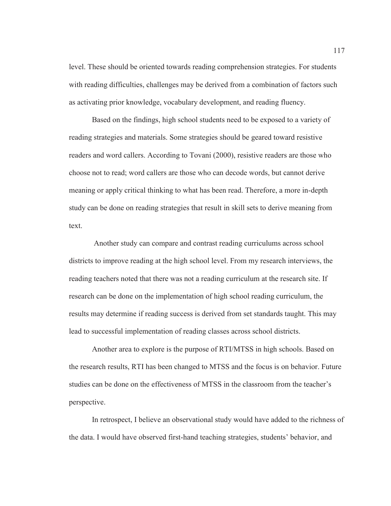level. These should be oriented towards reading comprehension strategies. For students with reading difficulties, challenges may be derived from a combination of factors such as activating prior knowledge, vocabulary development, and reading fluency.

 Based on the findings, high school students need to be exposed to a variety of reading strategies and materials. Some strategies should be geared toward resistive readers and word callers. According to Tovani (2000), resistive readers are those who choose not to read; word callers are those who can decode words, but cannot derive meaning or apply critical thinking to what has been read. Therefore, a more in-depth study can be done on reading strategies that result in skill sets to derive meaning from text.

 Another study can compare and contrast reading curriculums across school districts to improve reading at the high school level. From my research interviews, the reading teachers noted that there was not a reading curriculum at the research site. If research can be done on the implementation of high school reading curriculum, the results may determine if reading success is derived from set standards taught. This may lead to successful implementation of reading classes across school districts.

 Another area to explore is the purpose of RTI/MTSS in high schools. Based on the research results, RTI has been changed to MTSS and the focus is on behavior. Future studies can be done on the effectiveness of MTSS in the classroom from the teacher's perspective.

 In retrospect, I believe an observational study would have added to the richness of the data. I would have observed first-hand teaching strategies, students' behavior, and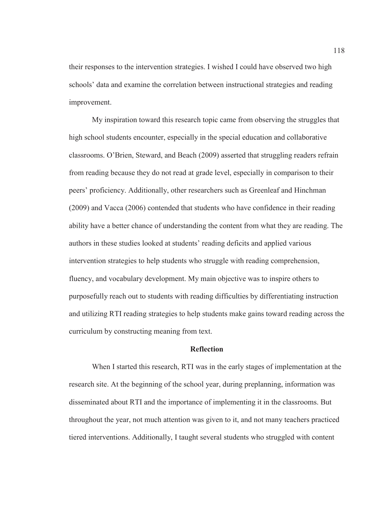their responses to the intervention strategies. I wished I could have observed two high schools' data and examine the correlation between instructional strategies and reading improvement.

My inspiration toward this research topic came from observing the struggles that high school students encounter, especially in the special education and collaborative classrooms. O'Brien, Steward, and Beach (2009) asserted that struggling readers refrain from reading because they do not read at grade level, especially in comparison to their peers' proficiency. Additionally, other researchers such as Greenleaf and Hinchman (2009) and Vacca (2006) contended that students who have confidence in their reading ability have a better chance of understanding the content from what they are reading. The authors in these studies looked at students' reading deficits and applied various intervention strategies to help students who struggle with reading comprehension, fluency, and vocabulary development. My main objective was to inspire others to purposefully reach out to students with reading difficulties by differentiating instruction and utilizing RTI reading strategies to help students make gains toward reading across the curriculum by constructing meaning from text.

# **Reflection**

When I started this research, RTI was in the early stages of implementation at the research site. At the beginning of the school year, during preplanning, information was disseminated about RTI and the importance of implementing it in the classrooms. But throughout the year, not much attention was given to it, and not many teachers practiced tiered interventions. Additionally, I taught several students who struggled with content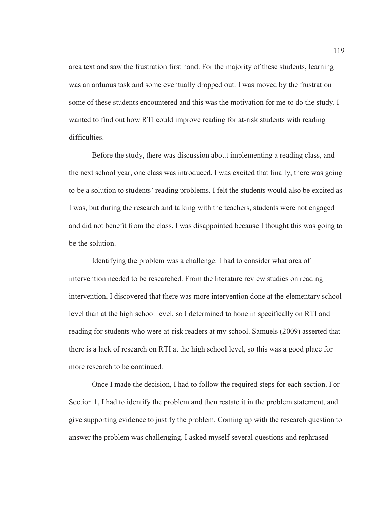area text and saw the frustration first hand. For the majority of these students, learning was an arduous task and some eventually dropped out. I was moved by the frustration some of these students encountered and this was the motivation for me to do the study. I wanted to find out how RTI could improve reading for at-risk students with reading difficulties.

Before the study, there was discussion about implementing a reading class, and the next school year, one class was introduced. I was excited that finally, there was going to be a solution to students' reading problems. I felt the students would also be excited as I was, but during the research and talking with the teachers, students were not engaged and did not benefit from the class. I was disappointed because I thought this was going to be the solution.

Identifying the problem was a challenge. I had to consider what area of intervention needed to be researched. From the literature review studies on reading intervention, I discovered that there was more intervention done at the elementary school level than at the high school level, so I determined to hone in specifically on RTI and reading for students who were at-risk readers at my school. Samuels (2009) asserted that there is a lack of research on RTI at the high school level, so this was a good place for more research to be continued.

Once I made the decision, I had to follow the required steps for each section. For Section 1, I had to identify the problem and then restate it in the problem statement, and give supporting evidence to justify the problem. Coming up with the research question to answer the problem was challenging. I asked myself several questions and rephrased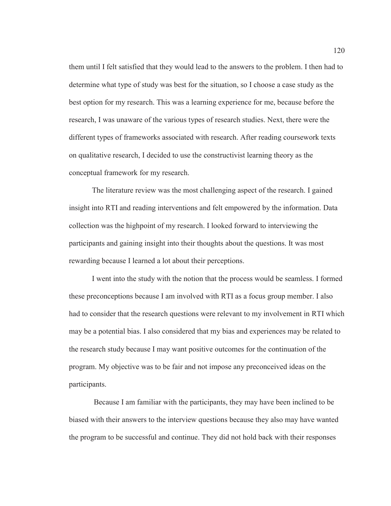them until I felt satisfied that they would lead to the answers to the problem. I then had to determine what type of study was best for the situation, so I choose a case study as the best option for my research. This was a learning experience for me, because before the research, I was unaware of the various types of research studies. Next, there were the different types of frameworks associated with research. After reading coursework texts on qualitative research, I decided to use the constructivist learning theory as the conceptual framework for my research.

The literature review was the most challenging aspect of the research. I gained insight into RTI and reading interventions and felt empowered by the information. Data collection was the highpoint of my research. I looked forward to interviewing the participants and gaining insight into their thoughts about the questions. It was most rewarding because I learned a lot about their perceptions.

I went into the study with the notion that the process would be seamless. I formed these preconceptions because I am involved with RTI as a focus group member. I also had to consider that the research questions were relevant to my involvement in RTI which may be a potential bias. I also considered that my bias and experiences may be related to the research study because I may want positive outcomes for the continuation of the program. My objective was to be fair and not impose any preconceived ideas on the participants.

 Because I am familiar with the participants, they may have been inclined to be biased with their answers to the interview questions because they also may have wanted the program to be successful and continue. They did not hold back with their responses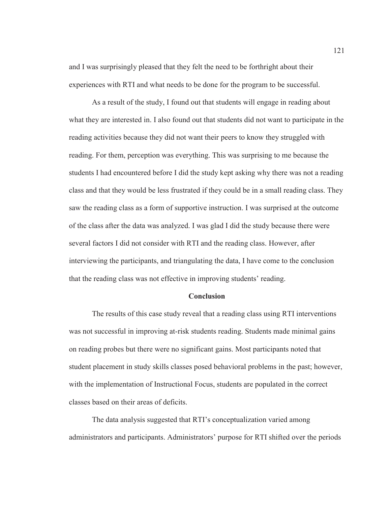and I was surprisingly pleased that they felt the need to be forthright about their experiences with RTI and what needs to be done for the program to be successful.

As a result of the study, I found out that students will engage in reading about what they are interested in. I also found out that students did not want to participate in the reading activities because they did not want their peers to know they struggled with reading. For them, perception was everything. This was surprising to me because the students I had encountered before I did the study kept asking why there was not a reading class and that they would be less frustrated if they could be in a small reading class. They saw the reading class as a form of supportive instruction. I was surprised at the outcome of the class after the data was analyzed. I was glad I did the study because there were several factors I did not consider with RTI and the reading class. However, after interviewing the participants, and triangulating the data, I have come to the conclusion that the reading class was not effective in improving students' reading.

#### **Conclusion**

The results of this case study reveal that a reading class using RTI interventions was not successful in improving at-risk students reading. Students made minimal gains on reading probes but there were no significant gains. Most participants noted that student placement in study skills classes posed behavioral problems in the past; however, with the implementation of Instructional Focus, students are populated in the correct classes based on their areas of deficits.

The data analysis suggested that RTI's conceptualization varied among administrators and participants. Administrators' purpose for RTI shifted over the periods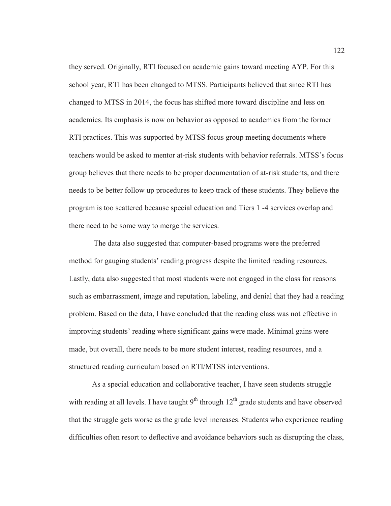they served. Originally, RTI focused on academic gains toward meeting AYP. For this school year, RTI has been changed to MTSS. Participants believed that since RTI has changed to MTSS in 2014, the focus has shifted more toward discipline and less on academics. Its emphasis is now on behavior as opposed to academics from the former RTI practices. This was supported by MTSS focus group meeting documents where teachers would be asked to mentor at-risk students with behavior referrals. MTSS's focus group believes that there needs to be proper documentation of at-risk students, and there needs to be better follow up procedures to keep track of these students. They believe the program is too scattered because special education and Tiers 1 -4 services overlap and there need to be some way to merge the services.

 The data also suggested that computer-based programs were the preferred method for gauging students' reading progress despite the limited reading resources. Lastly, data also suggested that most students were not engaged in the class for reasons such as embarrassment, image and reputation, labeling, and denial that they had a reading problem. Based on the data, I have concluded that the reading class was not effective in improving students' reading where significant gains were made. Minimal gains were made, but overall, there needs to be more student interest, reading resources, and a structured reading curriculum based on RTI/MTSS interventions.

As a special education and collaborative teacher, I have seen students struggle with reading at all levels. I have taught  $9<sup>th</sup>$  through  $12<sup>th</sup>$  grade students and have observed that the struggle gets worse as the grade level increases. Students who experience reading difficulties often resort to deflective and avoidance behaviors such as disrupting the class,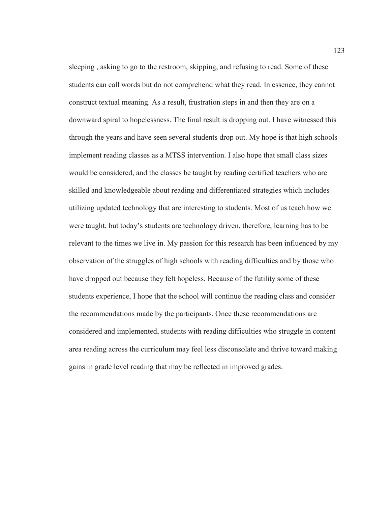sleeping , asking to go to the restroom, skipping, and refusing to read. Some of these students can call words but do not comprehend what they read. In essence, they cannot construct textual meaning. As a result, frustration steps in and then they are on a downward spiral to hopelessness. The final result is dropping out. I have witnessed this through the years and have seen several students drop out. My hope is that high schools implement reading classes as a MTSS intervention. I also hope that small class sizes would be considered, and the classes be taught by reading certified teachers who are skilled and knowledgeable about reading and differentiated strategies which includes utilizing updated technology that are interesting to students. Most of us teach how we were taught, but today's students are technology driven, therefore, learning has to be relevant to the times we live in. My passion for this research has been influenced by my observation of the struggles of high schools with reading difficulties and by those who have dropped out because they felt hopeless. Because of the futility some of these students experience, I hope that the school will continue the reading class and consider the recommendations made by the participants. Once these recommendations are considered and implemented, students with reading difficulties who struggle in content area reading across the curriculum may feel less disconsolate and thrive toward making gains in grade level reading that may be reflected in improved grades.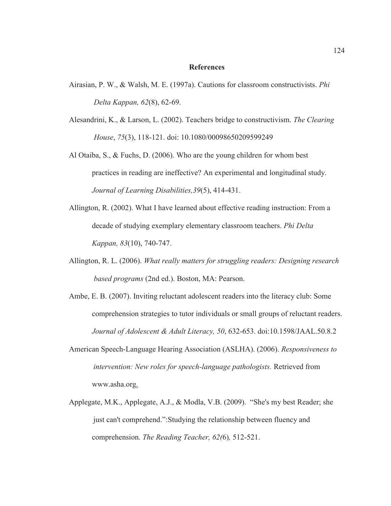#### **References**

- Airasian, P. W., & Walsh, M. E. (1997a). Cautions for classroom constructivists. *Phi Delta Kappan, 62*(8), 62-69.
- Alesandrini, K., & Larson, L. (2002). Teachers bridge to constructivism. *The Clearing House*, *75*(3), 118-121. doi: 10.1080/00098650209599249
- Al Otaiba, S., & Fuchs, D. (2006). Who are the young children for whom best practices in reading are ineffective? An experimental and longitudinal study. *Journal of Learning Disabilities,39*(5), 414-431.
- Allington, R. (2002). What I have learned about effective reading instruction: From a decade of studying exemplary elementary classroom teachers. *Phi Delta Kappan, 83*(10), 740-747.
- Allington, R. L. (2006). *What really matters for struggling readers: Designing research based programs* (2nd ed.). Boston, MA: Pearson.
- Ambe, E. B. (2007). Inviting reluctant adolescent readers into the literacy club: Some comprehension strategies to tutor individuals or small groups of reluctant readers. *Journal of Adolescent & Adult Literacy, 50*, 632-653. doi:10.1598/JAAL.50.8.2
- American Speech-Language Hearing Association (ASLHA). (2006). *Responsiveness to intervention: New roles for speech-language pathologists.* Retrieved from www.asha.org.
- Applegate, M.K., Applegate, A.J., & Modla, V.B. (2009). "She's my best Reader; she just can't comprehend.":Studying the relationship between fluency and comprehension. *The Reading Teacher, 62(*6)*,* 512-521.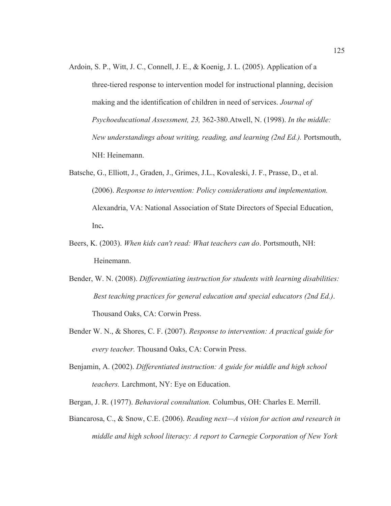- Ardoin, S. P., Witt, J. C., Connell, J. E., & Koenig, J. L. (2005). Application of a three-tiered response to intervention model for instructional planning, decision making and the identification of children in need of services. *Journal of Psychoeducational Assessment, 23,* 362-380.Atwell, N. (1998). *In the middle: New understandings about writing, reading, and learning (2nd Ed.).* Portsmouth, NH: Heinemann.
- Batsche, G., Elliott, J., Graden, J., Grimes, J.L., Kovaleski, J. F., Prasse, D., et al. (2006). *Response to intervention: Policy considerations and implementation.*  Alexandria, VA: National Association of State Directors of Special Education, Inc**.**
- Beers, K. (2003). *When kids can't read: What teachers can do*. Portsmouth, NH: Heinemann.
- Bender, W. N. (2008). *Differentiating instruction for students with learning disabilities: Best teaching practices for general education and special educators (2nd Ed.)*. Thousand Oaks, CA: Corwin Press.
- Bender W. N., & Shores, C. F. (2007). *Response to intervention: A practical guide for every teacher.* Thousand Oaks, CA: Corwin Press.
- Benjamin, A. (2002). *Differentiated instruction: A guide for middle and high school teachers.* Larchmont, NY: Eye on Education.
- Bergan, J. R. (1977). *Behavioral consultation.* Columbus, OH: Charles E. Merrill.
- Biancarosa, C., & Snow, C.E. (2006). *Reading next—A vision for action and research in middle and high school literacy: A report to Carnegie Corporation of New York*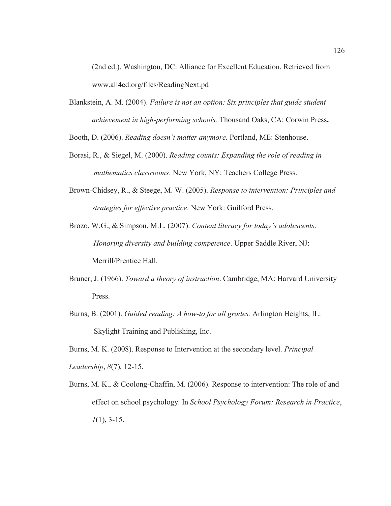(2nd ed.). Washington, DC: Alliance for Excellent Education. Retrieved from www.all4ed.org/files/ReadingNext.pd

Blankstein, A. M. (2004). *Failure is not an option: Six principles that guide student achievement in high-performing schools.* Thousand Oaks, CA: Corwin Press**.** 

Booth, D. (2006). *Reading doesn't matter anymore.* Portland, ME: Stenhouse.

- Borasi, R., & Siegel, M. (2000). *Reading counts: Expanding the role of reading in mathematics classrooms*. New York, NY: Teachers College Press.
- Brown-Chidsey, R., & Steege, M. W. (2005). *Response to intervention: Principles and strategies for effective practice*. New York: Guilford Press.
- Brozo, W.G., & Simpson, M.L. (2007). *Content literacy for today's adolescents: Honoring diversity and building competence*. Upper Saddle River, NJ: Merrill/Prentice Hall.
- Bruner, J. (1966). *Toward a theory of instruction*. Cambridge, MA: Harvard University Press.
- Burns, B. (2001). *Guided reading: A how-to for all grades.* Arlington Heights, IL: Skylight Training and Publishing, Inc.

Burns, M. K. (2008). Response to Intervention at the secondary level. *Principal Leadership*, *8*(7), 12-15.

Burns, M. K., & Coolong-Chaffin, M. (2006). Response to intervention: The role of and effect on school psychology. In *School Psychology Forum: Research in Practice*, *1*(1), 3-15.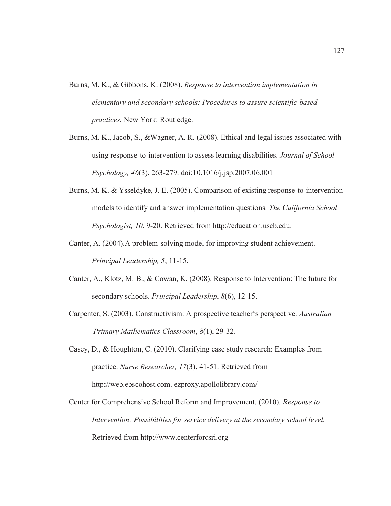- Burns, M. K., & Gibbons, K. (2008). *Response to intervention implementation in elementary and secondary schools: Procedures to assure scientific-based practices.* New York: Routledge.
- Burns, M. K., Jacob, S., &Wagner, A. R. (2008). Ethical and legal issues associated with using response-to-intervention to assess learning disabilities. *Journal of School Psychology, 46*(3), 263-279. doi:10.1016/j.jsp.2007.06.001
- Burns, M. K. & Ysseldyke, J. E. (2005). Comparison of existing response-to-intervention models to identify and answer implementation questions*. The California School Psychologist, 10*, 9-20. Retrieved from http://education.uscb.edu.
- Canter, A. (2004).A problem-solving model for improving student achievement. *Principal Leadership, 5*, 11-15.
- Canter, A., Klotz, M. B., & Cowan, K. (2008). Response to Intervention: The future for secondary schools. *Principal Leadership*, *8*(6), 12-15.
- Carpenter, S. (2003). Constructivism: A prospective teacher's perspective. *Australian Primary Mathematics Classroom*, *8*(1), 29-32.
- Casey, D., & Houghton, C. (2010). Clarifying case study research: Examples from practice. *Nurse Researcher, 17*(3), 41-51. Retrieved from http://web.ebscohost.com. ezproxy.apollolibrary.com/
- Center for Comprehensive School Reform and Improvement. (2010). *Response to Intervention: Possibilities for service delivery at the secondary school level.*  Retrieved from http://www.centerforcsri.org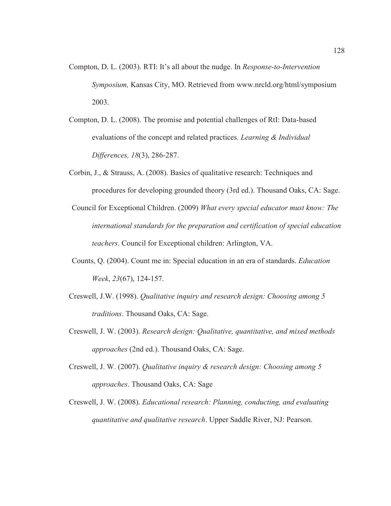- Compton, D. L. (2003). RTI: It's all about the nudge. In *Response-to-Intervention Symposium,* Kansas City, MO. Retrieved from www.nrcld.org/html/symposium 2003.
- Compton, D. L. (2008). The promise and potential challenges of RtI: Data-based evaluations of the concept and related practices. *Learning & Individual Differences, 18*(3), 286-287.
- Corbin, J., & Strauss, A. (2008). Basics of qualitative research: Techniques and procedures for developing grounded theory (3rd ed.). Thousand Oaks, CA: Sage.
- Council for Exceptional Children. (2009) *What every special educator must know: The international standards for the preparation and certification of special education teachers*. Council for Exceptional children: Arlington, VA.
- Counts, Q. (2004). Count me in: Special education in an era of standards. *Education Week*, *23*(67), 124-157.
- Creswell, J.W. (1998). *Qualitative inquiry and research design: Choosing among 5 traditions*. Thousand Oaks, CA: Sage.
- Creswell, J. W. (2003). *Research design: Qualitative, quantitative, and mixed methods approaches* (2nd ed.). Thousand Oaks, CA: Sage.
- Creswell, J. W. (2007). *Qualitative inquiry & research design: Choosing among 5 approaches*. Thousand Oaks, CA: Sage
- Creswell, J. W. (2008). *Educational research: Planning, conducting, and evaluating quantitative and qualitative research*. Upper Saddle River, NJ: Pearson.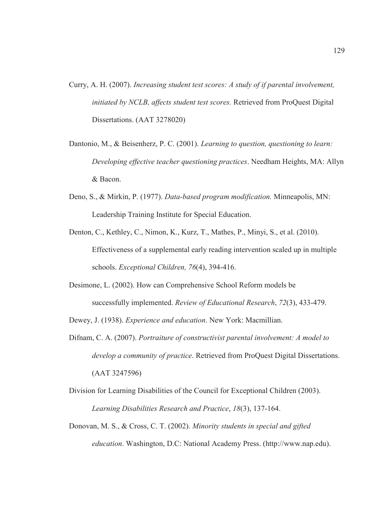- Curry, A. H. (2007). *Increasing student test scores: A study of if parental involvement, initiated by NCLB, affects student test scores.* Retrieved from ProQuest Digital Dissertations. (AAT 3278020)
- Dantonio, M., & Beisenherz, P. C. (2001). *Learning to question, questioning to learn: Developing effective teacher questioning practices*. Needham Heights, MA: Allyn & Bacon.
- Deno, S., & Mirkin, P. (1977). *Data-based program modification.* Minneapolis, MN: Leadership Training Institute for Special Education.
- Denton, C., Kethley, C., Nimon, K., Kurz, T., Mathes, P., Minyi, S., et al. (2010). Effectiveness of a supplemental early reading intervention scaled up in multiple schools. *Exceptional Children, 76*(4), 394-416.
- Desimone, L. (2002). How can Comprehensive School Reform models be successfully implemented. *Review of Educational Research*, *72*(3), 433-479.
- Dewey, J. (1938). *Experience and education*. New York: Macmillian.
- Difnam, C. A. (2007). *Portraiture of constructivist parental involvement: A model to develop a community of practice*. Retrieved from ProQuest Digital Dissertations. (AAT 3247596)
- Division for Learning Disabilities of the Council for Exceptional Children (2003). *Learning Disabilities Research and Practice*, *18*(3), 137-164.
- Donovan, M. S., & Cross, C. T. (2002). *Minority students in special and gifted education*. Washington, D.C: National Academy Press. (http://www.nap.edu).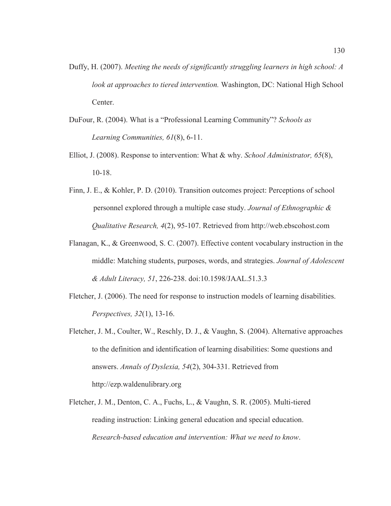- Duffy, H. (2007). *Meeting the needs of significantly struggling learners in high school: A look at approaches to tiered intervention.* Washington, DC: National High School Center.
- DuFour, R. (2004). What is a "Professional Learning Community"? *Schools as Learning Communities, 61*(8), 6-11.
- Elliot, J. (2008). Response to intervention: What & why. *School Administrator, 65*(8), 10-18.
- Finn, J. E., & Kohler, P. D. (2010). Transition outcomes project: Perceptions of school personnel explored through a multiple case study. *Journal of Ethnographic & Qualitative Research, 4*(2), 95-107. Retrieved from http://web.ebscohost.com
- Flanagan, K., & Greenwood, S. C. (2007). Effective content vocabulary instruction in the middle: Matching students, purposes, words, and strategies. *Journal of Adolescent & Adult Literacy, 51*, 226-238. doi:10.1598/JAAL.51.3.3
- Fletcher, J. (2006). The need for response to instruction models of learning disabilities. *Perspectives, 32*(1), 13-16.
- Fletcher, J. M., Coulter, W., Reschly, D. J., & Vaughn, S. (2004). Alternative approaches to the definition and identification of learning disabilities: Some questions and answers. *Annals of Dyslexia, 54*(2), 304-331. Retrieved from http://ezp.waldenulibrary.org
- Fletcher, J. M., Denton, C. A., Fuchs, L., & Vaughn, S. R. (2005). Multi-tiered reading instruction: Linking general education and special education. *Research-based education and intervention: What we need to know*.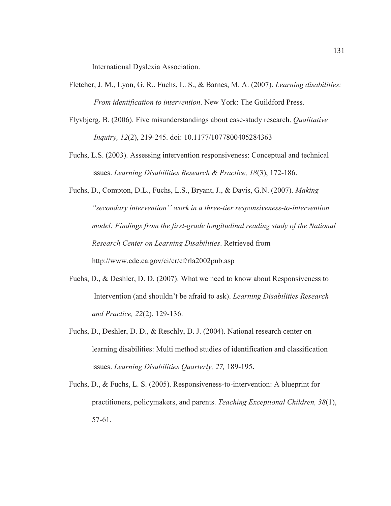International Dyslexia Association.

- Fletcher, J. M., Lyon, G. R., Fuchs, L. S., & Barnes, M. A. (2007). *Learning disabilities: From identification to intervention*. New York: The Guildford Press.
- Flyvbjerg, B. (2006). Five misunderstandings about case-study research. *Qualitative Inquiry, 12*(2), 219-245. doi: 10.1177/1077800405284363
- Fuchs, L.S. (2003). Assessing intervention responsiveness: Conceptual and technical issues. *Learning Disabilities Research & Practice, 18*(3), 172-186.
- Fuchs, D., Compton, D.L., Fuchs, L.S., Bryant, J., & Davis, G.N. (2007). *Making "secondary intervention'' work in a three-tier responsiveness-to-intervention model: Findings from the first-grade longitudinal reading study of the National Research Center on Learning Disabilities*. Retrieved from http://www.cde.ca.gov/ci/cr/cf/rla2002pub.asp
- Fuchs, D., & Deshler, D. D. (2007). What we need to know about Responsiveness to Intervention (and shouldn't be afraid to ask). *Learning Disabilities Research and Practice, 22*(2), 129-136.
- Fuchs, D., Deshler, D. D., & Reschly, D. J. (2004). National research center on learning disabilities: Multi method studies of identification and classification issues. *Learning Disabilities Quarterly, 27,* 189-195**.**
- Fuchs, D., & Fuchs, L. S. (2005). Responsiveness-to-intervention: A blueprint for practitioners, policymakers, and parents. *Teaching Exceptional Children, 38*(1), 57-61.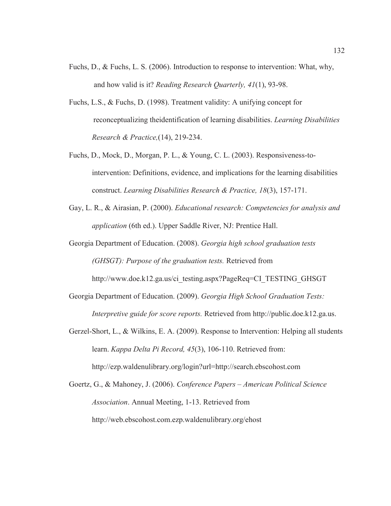- Fuchs, D., & Fuchs, L. S. (2006). Introduction to response to intervention: What, why, and how valid is it? *Reading Research Quarterly, 41*(1), 93-98.
- Fuchs, L.S., & Fuchs, D. (1998). Treatment validity: A unifying concept for reconceptualizing theidentification of learning disabilities. *Learning Disabilities Research & Practice,*(14), 219-234.
- Fuchs, D., Mock, D., Morgan, P. L., & Young, C. L. (2003). Responsiveness-tointervention: Definitions, evidence, and implications for the learning disabilities construct. *Learning Disabilities Research & Practice, 18*(3), 157-171.
- Gay, L. R., & Airasian, P. (2000). *Educational research: Competencies for analysis and application* (6th ed.). Upper Saddle River, NJ: Prentice Hall.
- Georgia Department of Education. (2008). *Georgia high school graduation tests (GHSGT): Purpose of the graduation tests.* Retrieved from http://www.doe.k12.ga.us/ci\_testing.aspx?PageReq=CI\_TESTING\_GHSGT
- Georgia Department of Education. (2009). *Georgia High School Graduation Tests: Interpretive guide for score reports.* Retrieved from http://public.doe.k12.ga.us.
- Gerzel-Short, L., & Wilkins, E. A. (2009). Response to Intervention: Helping all students learn. *Kappa Delta Pi Record, 45*(3), 106-110. Retrieved from: http://ezp.waldenulibrary.org/login?url=http://search.ebscohost.com
- Goertz, G., & Mahoney, J. (2006). *Conference Papers – American Political Science Association*. Annual Meeting, 1-13. Retrieved from http://web.ebscohost.com.ezp.waldenulibrary.org/ehost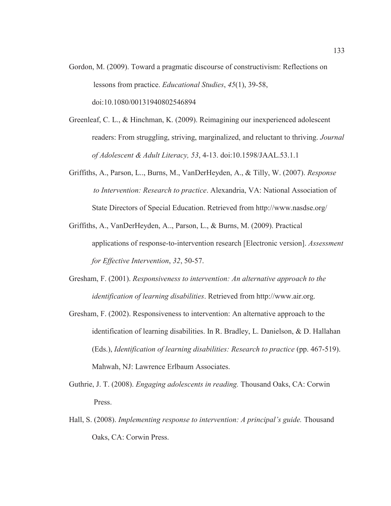- Gordon, M. (2009). Toward a pragmatic discourse of constructivism: Reflections on lessons from practice. *Educational Studies*, *45*(1), 39-58, doi:10.1080/00131940802546894
- Greenleaf, C. L., & Hinchman, K. (2009). Reimagining our inexperienced adolescent readers: From struggling, striving, marginalized, and reluctant to thriving. *Journal of Adolescent & Adult Literacy, 53*, 4-13. doi:10.1598/JAAL.53.1.1
- Griffiths, A., Parson, L.., Burns, M., VanDerHeyden, A., & Tilly, W. (2007). *Response to Intervention: Research to practice*. Alexandria, VA: National Association of State Directors of Special Education. Retrieved from http://www.nasdse.org/
- Griffiths, A., VanDerHeyden, A.., Parson, L., & Burns, M. (2009). Practical applications of response-to-intervention research [Electronic version]. *Assessment for Effective Intervention*, *32*, 50-57.
- Gresham, F. (2001). *Responsiveness to intervention: An alternative approach to the identification of learning disabilities*. Retrieved from http://www.air.org.
- Gresham, F. (2002). Responsiveness to intervention: An alternative approach to the identification of learning disabilities. In R. Bradley, L. Danielson, & D. Hallahan (Eds.), *Identification of learning disabilities: Research to practice* (pp. 467-519). Mahwah, NJ: Lawrence Erlbaum Associates.
- Guthrie, J. T. (2008). *Engaging adolescents in reading.* Thousand Oaks, CA: Corwin Press.
- Hall, S. (2008). *Implementing response to intervention: A principal's guide.* Thousand Oaks, CA: Corwin Press.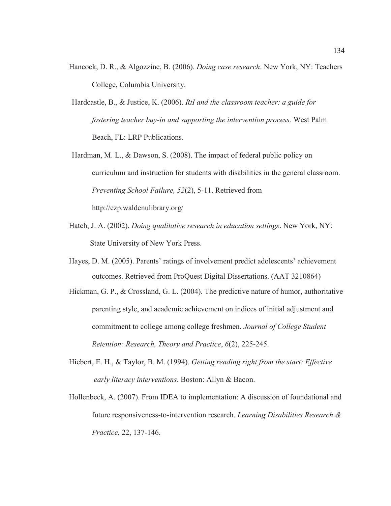- Hancock, D. R., & Algozzine, B. (2006). *Doing case research*. New York, NY: Teachers College, Columbia University.
- Hardcastle, B., & Justice, K. (2006). *RtI and the classroom teacher: a guide for fostering teacher buy-in and supporting the intervention process.* West Palm Beach, FL: LRP Publications.
- Hardman, M. L., & Dawson, S. (2008). The impact of federal public policy on curriculum and instruction for students with disabilities in the general classroom. *Preventing School Failure, 52*(2), 5-11. Retrieved from http://ezp.waldenulibrary.org/
- Hatch, J. A. (2002). *Doing qualitative research in education settings*. New York, NY: State University of New York Press.
- Hayes, D. M. (2005). Parents' ratings of involvement predict adolescents' achievement outcomes. Retrieved from ProQuest Digital Dissertations. (AAT 3210864)
- Hickman, G. P., & Crossland, G. L. (2004). The predictive nature of humor, authoritative parenting style, and academic achievement on indices of initial adjustment and commitment to college among college freshmen. *Journal of College Student Retention: Research, Theory and Practice*, *6*(2), 225-245.
- Hiebert, E. H., & Taylor, B. M. (1994). *Getting reading right from the start: Effective early literacy interventions*. Boston: Allyn & Bacon.
- Hollenbeck, A. (2007). From IDEA to implementation: A discussion of foundational and future responsiveness-to-intervention research. *Learning Disabilities Research & Practice*, 22, 137-146.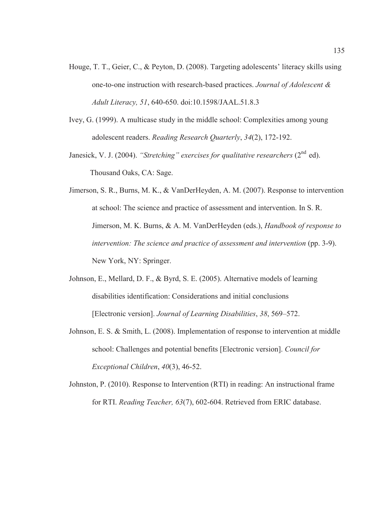- Houge, T. T., Geier, C., & Peyton, D. (2008). Targeting adolescents' literacy skills using one-to-one instruction with research-based practices. *Journal of Adolescent & Adult Literacy, 51*, 640-650. doi:10.1598/JAAL.51.8.3
- Ivey, G. (1999). A multicase study in the middle school: Complexities among young adolescent readers. *Reading Research Quarterly*, *34*(2), 172-192.
- Janesick, V. J. (2004). *"Stretching" exercises for qualitative researchers* (2<sup>nd</sup> ed). Thousand Oaks, CA: Sage.
- Jimerson, S. R., Burns, M. K., & VanDerHeyden, A. M. (2007). Response to intervention at school: The science and practice of assessment and intervention. In S. R. Jimerson, M. K. Burns, & A. M. VanDerHeyden (eds.), *Handbook of response to intervention: The science and practice of assessment and intervention (pp. 3-9).* New York, NY: Springer.
- Johnson, E., Mellard, D. F., & Byrd, S. E. (2005). Alternative models of learning disabilities identification: Considerations and initial conclusions [Electronic version]. *Journal of Learning Disabilities*, *38*, 569–572.
- Johnson, E. S. & Smith, L. (2008). Implementation of response to intervention at middle school: Challenges and potential benefits [Electronic version]. *Council for Exceptional Children*, *40*(3), 46-52.
- Johnston, P. (2010). Response to Intervention (RTI) in reading: An instructional frame for RTI. *Reading Teacher, 63*(7), 602-604. Retrieved from ERIC database.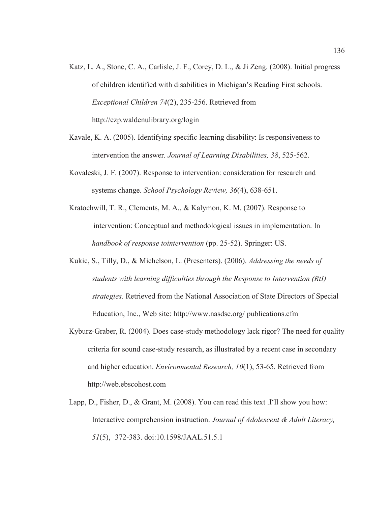- Katz, L. A., Stone, C. A., Carlisle, J. F., Corey, D. L., & Ji Zeng. (2008). Initial progress of children identified with disabilities in Michigan's Reading First schools. *Exceptional Children 74*(2), 235-256. Retrieved from http://ezp.waldenulibrary.org/login
- Kavale, K. A. (2005). Identifying specific learning disability: Is responsiveness to intervention the answer*. Journal of Learning Disabilities, 38*, 525-562.
- Kovaleski, J. F. (2007). Response to intervention: consideration for research and systems change. *School Psychology Review, 36*(4), 638-651.
- Kratochwill, T. R., Clements, M. A., & Kalymon, K. M. (2007). Response to intervention: Conceptual and methodological issues in implementation. In *handbook of response tointervention* (pp. 25-52). Springer: US.
- Kukic, S., Tilly, D., & Michelson, L. (Presenters). (2006). *Addressing the needs of students with learning difficulties through the Response to Intervention (RtI) strategies.* Retrieved from the National Association of State Directors of Special Education, Inc., Web site: http://www.nasdse.org/ publications.cfm
- Kyburz-Graber, R. (2004). Does case-study methodology lack rigor? The need for quality criteria for sound case-study research, as illustrated by a recent case in secondary and higher education. *Environmental Research, 10*(1), 53-65. Retrieved from http://web.ebscohost.com
- Lapp, D., Fisher, D., & Grant, M. (2008). You can read this text .I'll show you how: Interactive comprehension instruction. *Journal of Adolescent & Adult Literacy, 51*(5), 372-383. doi:10.1598/JAAL.51.5.1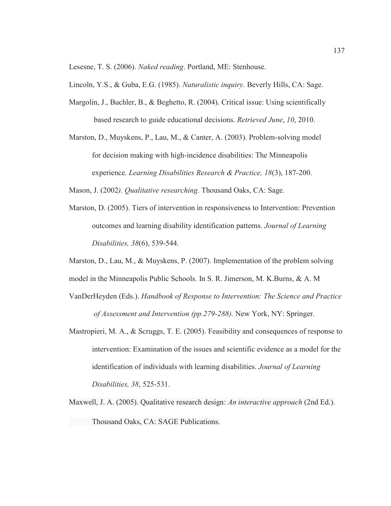Lesesne, T. S. (2006). *Naked reading*. Portland, ME: Stenhouse.

Lincoln, Y.S., & Guba, E.G. (1985). *Naturalistic inquiry.* Beverly Hills, CA: Sage.

- Margolin, J., Buchler, B., & Beghetto, R. (2004). Critical issue: Using scientifically based research to guide educational decisions. *Retrieved June*, *10*, 2010.
- Marston, D., Muyskens, P., Lau, M., & Canter, A. (2003). Problem-solving model for decision making with high-incidence disabilities: The Minneapolis experience*. Learning Disabilities Research & Practice, 18*(3), 187-200.

Mason, J. (2002*). Qualitative researching*. Thousand Oaks, CA: Sage.

Marston, D. (2005). Tiers of intervention in responsiveness to Intervention: Prevention outcomes and learning disability identification patterns. *Journal of Learning Disabilities, 38*(6), 539-544.

Marston, D., Lau, M., & Muyskens, P. (2007). Implementation of the problem solving

model in the Minneapolis Public Schools. In S. R. Jimerson, M. K.Burns, & A. M

- VanDerHeyden (Eds.). *Handbook of Response to Intervention: The Science and Practice of Assessment and Intervention (pp.279-288).* New York, NY: Springer.
- Mastropieri, M. A., & Scruggs, T. E. (2005). Feasibility and consequences of response to intervention: Examination of the issues and scientific evidence as a model for the identification of individuals with learning disabilities. *Journal of Learning Disabilities, 38*, 525-531.
- Maxwell, J. A. (2005). Qualitative research design: *An interactive approach* (2nd Ed.). Thousand Oaks, CA: SAGE Publications.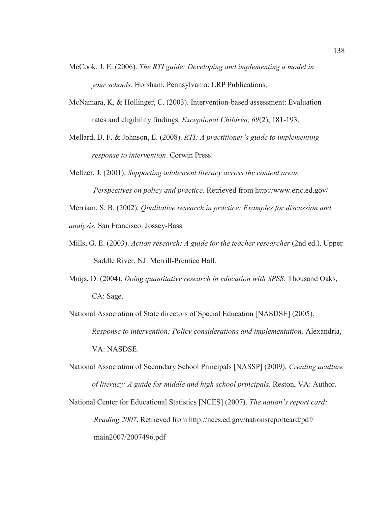- McCook, J. E. (2006). *The RTI guide: Developing and implementing a model in your schools*. Horsham, Pennsylvania: LRP Publications.
- McNamara, K, & Hollinger, C. (2003). Intervention-based assessment: Evaluation rates and eligibility findings. *Exceptional Children, 69*(2), 181-193.
- Mellard, D. F. & Johnson, E. (2008). *RTI: A practitioner's guide to implementing response to intervention*. Corwin Press.
- Meltzer, J. (2001). *Supporting adolescent literacy across the content areas: Perspectives on policy and practice*. Retrieved from http://www.eric.ed.gov/

Merriam, S. B. (2002)*. Qualitative research in practice: Examples for discussion and analysis.* San Francisco: Jossey-Bass

- Mills, G. E. (2003). *Action research: A guide for the teacher researcher* (2nd ed.). Upper Saddle River, NJ: Merrill-Prentice Hall.
- Muijs, D. (2004). *Doing quantitative research in education with SPSS*. Thousand Oaks, CA: Sage.

National Association of State directors of Special Education [NASDSE] (2005). *Response to intervention: Policy considerations and implementation*. Alexandria, VA: NASDSE.

National Association of Secondary School Principals [NASSP] (2009). *Creating aculture of literacy: A guide for middle and high school principals.* Reston, VA: Author.

National Center for Educational Statistics [NCES] (2007). *The nation's report card: Reading 2007*. Retrieved from http://nces.ed.gov/nationsreportcard/pdf/ main2007/2007496.pdf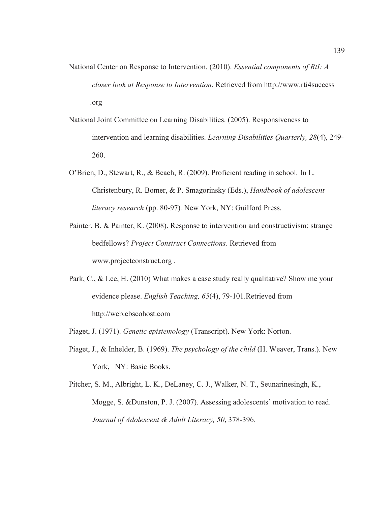- National Center on Response to Intervention. (2010). *Essential components of RtI: A closer look at Response to Intervention*. Retrieved from http://www.rti4success .org
- National Joint Committee on Learning Disabilities. (2005). Responsiveness to intervention and learning disabilities. *Learning Disabilities Quarterly, 28*(4), 249- 260.
- O'Brien, D., Stewart, R., & Beach, R. (2009). Proficient reading in school*.* In L. Christenbury, R. Bomer, & P. Smagorinsky (Eds.), *Handbook of adolescent literacy research* (pp. 80-97)*.* New York, NY: Guilford Press.
- Painter, B. & Painter, K. (2008). Response to intervention and constructivism: strange bedfellows? *Project Construct Connections*. Retrieved from www.projectconstruct.org .
- Park, C., & Lee, H. (2010) What makes a case study really qualitative? Show me your evidence please. *English Teaching, 65*(4), 79-101.Retrieved from http://web.ebscohost.com
- Piaget, J. (1971). *Genetic epistemology* (Transcript). New York: Norton.
- Piaget, J., & Inhelder, B. (1969). *The psychology of the child* (H. Weaver, Trans.). New York, NY: Basic Books.
- Pitcher, S. M., Albright, L. K., DeLaney, C. J., Walker, N. T., Seunarinesingh, K., Mogge, S. &Dunston, P. J. (2007). Assessing adolescents' motivation to read. *Journal of Adolescent & Adult Literacy, 50*, 378-396.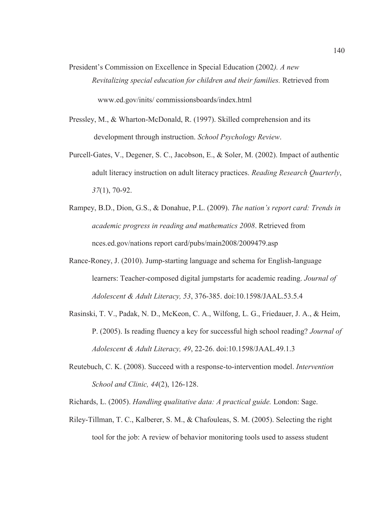- President's Commission on Excellence in Special Education (2002*). A new Revitalizing special education for children and their families.* Retrieved from www.ed.gov/inits/ commissionsboards/index.html
- Pressley, M., & Wharton-McDonald, R. (1997). Skilled comprehension and its development through instruction. *School Psychology Review*.
- Purcell-Gates, V., Degener, S. C., Jacobson, E., & Soler, M. (2002). Impact of authentic adult literacy instruction on adult literacy practices. *Reading Research Quarterly*, *37*(1), 70-92.
- Rampey, B.D., Dion, G.S., & Donahue, P.L. (2009). *The nation's report card: Trends in academic progress in reading and mathematics 2008*. Retrieved from nces.ed.gov/nations report card/pubs/main2008/2009479.asp
- Rance-Roney, J. (2010). Jump-starting language and schema for English-language learners: Teacher-composed digital jumpstarts for academic reading. *Journal of Adolescent & Adult Literacy, 53*, 376-385. doi:10.1598/JAAL.53.5.4
- Rasinski, T. V., Padak, N. D., McKeon, C. A., Wilfong, L. G., Friedauer, J. A., & Heim, P. (2005). Is reading fluency a key for successful high school reading? *Journal of Adolescent & Adult Literacy, 49*, 22-26. doi:10.1598/JAAL.49.1.3
- Reutebuch, C. K. (2008). Succeed with a response-to-intervention model. *Intervention School and Clinic, 44*(2), 126-128.

Richards, L. (2005). *Handling qualitative data: A practical guide.* London: Sage.

Riley-Tillman, T. C., Kalberer, S. M., & Chafouleas, S. M. (2005). Selecting the right tool for the job: A review of behavior monitoring tools used to assess student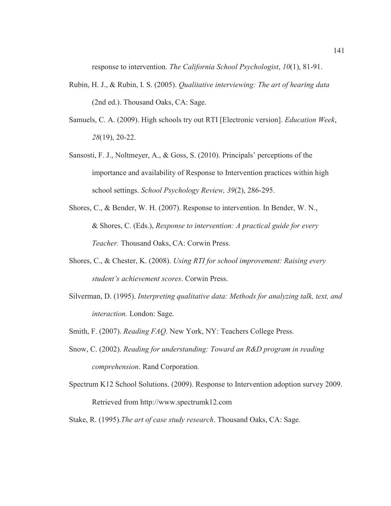response to intervention. *The California School Psychologist*, *10*(1), 81-91.

- Rubin, H. J., & Rubin, I. S. (2005). *Qualitative interviewing: The art of hearing data*  (2nd ed.). Thousand Oaks, CA: Sage.
- Samuels, C. A. (2009). High schools try out RTI [Electronic version]. *Education Week*, *28*(19), 20-22.
- Sansosti, F. J., Noltmeyer, A., & Goss, S. (2010). Principals' perceptions of the importance and availability of Response to Intervention practices within high school settings. *School Psychology Review, 39*(2), 286-295.
- Shores, C., & Bender, W. H. (2007). Response to intervention. In Bender, W. N., & Shores, C. (Eds.), *Response to intervention: A practical guide for every Teacher.* Thousand Oaks, CA: Corwin Press.
- Shores, C., & Chester, K. (2008). *Using RTI for school improvement: Raising every student's achievement scores*. Corwin Press.
- Silverman, D. (1995). *Interpreting qualitative data: Methods for analyzing talk, text, and interaction.* London: Sage.
- Smith, F. (2007). *Reading FAQ*. New York, NY: Teachers College Press.
- Snow, C. (2002). *Reading for understanding: Toward an R&D program in reading comprehension*. Rand Corporation.
- Spectrum K12 School Solutions. (2009). Response to Intervention adoption survey 2009. Retrieved from http://www.spectrumk12.com
- Stake, R. (1995).*The art of case study research*. Thousand Oaks, CA: Sage.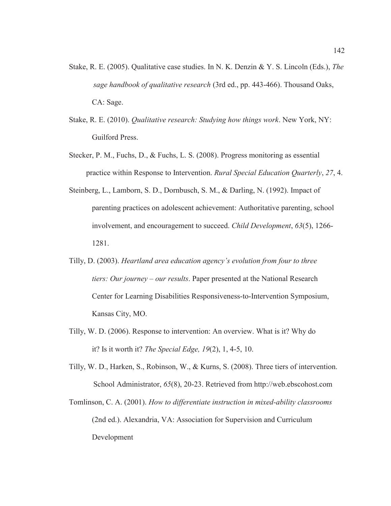- Stake, R. E. (2005). Qualitative case studies. In N. K. Denzin & Y. S. Lincoln (Eds.), *The sage handbook of qualitative research* (3rd ed., pp. 443-466). Thousand Oaks, CA: Sage.
- Stake, R. E. (2010). *Qualitative research: Studying how things work*. New York, NY: Guilford Press.
- Stecker, P. M., Fuchs, D., & Fuchs, L. S. (2008). Progress monitoring as essential practice within Response to Intervention. *Rural Special Education Quarterly*, *27*, 4.
- Steinberg, L., Lamborn, S. D., Dornbusch, S. M., & Darling, N. (1992). Impact of parenting practices on adolescent achievement: Authoritative parenting, school involvement, and encouragement to succeed. *Child Development*, *63*(5), 1266- 1281.
- Tilly, D. (2003). *Heartland area education agency's evolution from four to three tiers: Our journey – our results*. Paper presented at the National Research Center for Learning Disabilities Responsiveness-to-Intervention Symposium, Kansas City, MO.
- Tilly, W. D. (2006). Response to intervention: An overview. What is it? Why do it? Is it worth it? *The Special Edge, 19*(2), 1, 4-5, 10.
- Tilly, W. D., Harken, S., Robinson, W., & Kurns, S. (2008). Three tiers of intervention. School Administrator, *65*(8), 20-23. Retrieved from http://web.ebscohost.com
- Tomlinson, C. A. (2001). *How to differentiate instruction in mixed-ability classrooms*  (2nd ed.). Alexandria, VA: Association for Supervision and Curriculum Development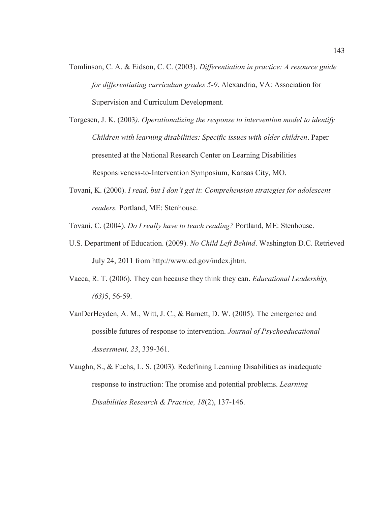- Tomlinson, C. A. & Eidson, C. C. (2003). *Differentiation in practice: A resource guide for differentiating curriculum grades 5-9*. Alexandria, VA: Association for Supervision and Curriculum Development.
- Torgesen, J. K. (2003*). Operationalizing the response to intervention model to identify Children with learning disabilities: Specific issues with older children*. Paper presented at the National Research Center on Learning Disabilities Responsiveness-to-Intervention Symposium, Kansas City, MO.
- Tovani, K. (2000). *I read, but I don't get it: Comprehension strategies for adolescent readers.* Portland, ME: Stenhouse.

Tovani, C. (2004). *Do I really have to teach reading?* Portland, ME: Stenhouse.

- U.S. Department of Education. (2009). *No Child Left Behind*. Washington D.C. Retrieved July 24, 2011 from http://www.ed.gov/index.jhtm.
- Vacca, R. T. (2006). They can because they think they can. *Educational Leadership, (63)*5, 56-59.
- VanDerHeyden, A. M., Witt, J. C., & Barnett, D. W. (2005). The emergence and possible futures of response to intervention. *Journal of Psychoeducational Assessment, 23*, 339-361.
- Vaughn, S., & Fuchs, L. S. (2003). Redefining Learning Disabilities as inadequate response to instruction: The promise and potential problems. *Learning Disabilities Research & Practice, 18*(2), 137-146.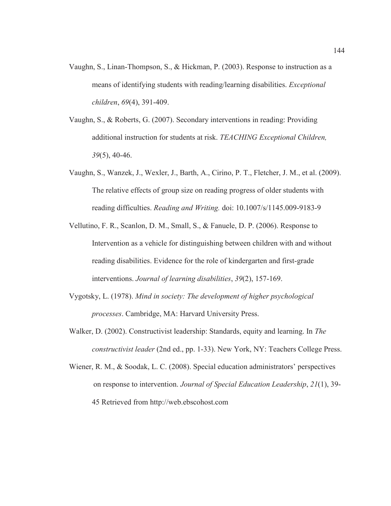- Vaughn, S., Linan-Thompson, S., & Hickman, P. (2003). Response to instruction as a means of identifying students with reading/learning disabilities. *Exceptional children*, *69*(4), 391-409.
- Vaughn, S., & Roberts, G. (2007). Secondary interventions in reading: Providing additional instruction for students at risk. *TEACHING Exceptional Children, 39*(5), 40-46.
- Vaughn, S., Wanzek, J., Wexler, J., Barth, A., Cirino, P. T., Fletcher, J. M., et al. (2009). The relative effects of group size on reading progress of older students with reading difficulties. *Reading and Writing.* doi: 10.1007/s/1145.009-9183-9
- Vellutino, F. R., Scanlon, D. M., Small, S., & Fanuele, D. P. (2006). Response to Intervention as a vehicle for distinguishing between children with and without reading disabilities. Evidence for the role of kindergarten and first-grade interventions. *Journal of learning disabilities*, *39*(2), 157-169.
- Vygotsky, L. (1978). *Mind in society: The development of higher psychological processes*. Cambridge, MA: Harvard University Press.
- Walker, D. (2002). Constructivist leadership: Standards, equity and learning. In *The constructivist leader* (2nd ed., pp. 1-33). New York, NY: Teachers College Press.
- Wiener, R. M., & Soodak, L. C. (2008). Special education administrators' perspectives on response to intervention. *Journal of Special Education Leadership*, *21*(1), 39- 45 Retrieved from http://web.ebscohost.com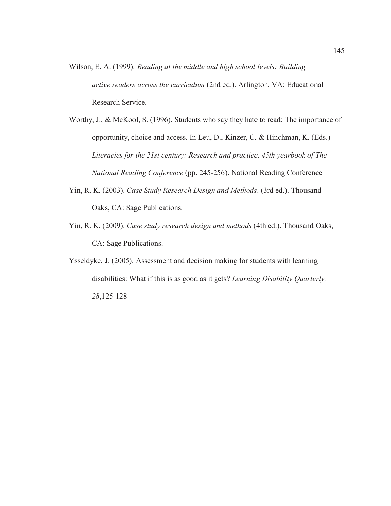- Wilson, E. A. (1999). *Reading at the middle and high school levels: Building active readers across the curriculum* (2nd ed.). Arlington, VA: Educational Research Service.
- Worthy, J., & McKool, S. (1996). Students who say they hate to read: The importance of opportunity, choice and access. In Leu, D., Kinzer, C. & Hinchman, K. (Eds.) *Literacies for the 21st century: Research and practice. 45th yearbook of The National Reading Conference* (pp. 245-256). National Reading Conference
- Yin, R. K. (2003). *Case Study Research Design and Methods*. (3rd ed.). Thousand Oaks, CA: Sage Publications.
- Yin, R. K. (2009). *Case study research design and methods* (4th ed.). Thousand Oaks, CA: Sage Publications.
- Ysseldyke, J. (2005). Assessment and decision making for students with learning disabilities: What if this is as good as it gets? *Learning Disability Quarterly, 28*,125-128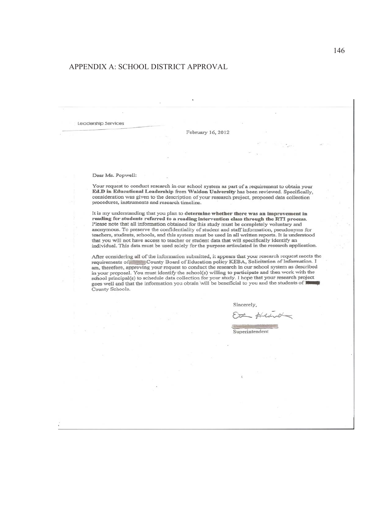#### APPENDIX A: SCHOOL DISTRICT APPROVAL

Leadership Services

February 16, 2012

Dear Ms. Popwell:

Your request to conduct research in our school system as part of a requirement to obtain your Ed.D in Educational Leadership from Waldon University has been reviewed. Specifically, consideration was given to the description of your research project, proposed data collection procedures, instruments and research timeline.

It is my understanding that you plan to determine whether there was an improvement in reading for students referred to a reading intervention class through the RTI process. Please note that all information obtained for this study must be completely voluntary and anonymous. To preserve the confidentiality of student and staff information, pseudonyms for teachers, students, schools, and this system must be used in all written reports. It is understood that you will not have access to teacher or student data that will specifically identify an individual. This data must be used solely for the purpose articulated in the research application.

After considering all of the information submitted, it appears that your research request meets the Frequirements of the monimum sound of Education policy KEBA, Solicitation of Information. I<br>am, therefore, approving your request to conduct the research in our school system as described<br>in your proposal. You must identif school principal(s) to schedule data collection for your study. I hope that your research project school principal(s) to schedule data collection for your study. I hope that your research projections and that the information you obtain will be beneficial to you and the students of County Schools.

Sincerely.

Superintendent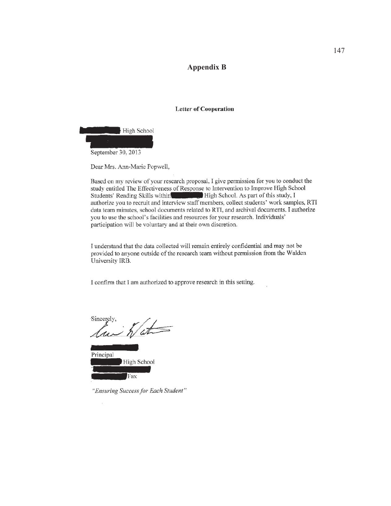#### **Appendix B**

#### **Letter of Cooperation**



Dear Mrs. Ann-Marie Popwell,

Based on my review of your research proposal, I give permission for you to conduct the study entitled The Effectiveness of Response to Intervention to Improve High School High School. As part of this study, I Students' Reading Skills within authorize you to recruit and interview staff members, collect students' work samples, RTI data team minutes, school documents related to RTI, and archival documents. I authorize you to use the school's facilities and resources for your research. Individuals' participation will be voluntary and at their own discretion.

I understand that the data collected will remain entirely confidential and may not be provided to anyone outside of the research team without permission from the Walden University IRB.

I confirm that I am authorized to approve research in this setting.

Sincerely,  $\frac{1}{\hbar}\frac{1}{\Delta t}$ u

Principal High School Fax

 $\overline{\mathbf{y}}$ 

"Ensuring Success for Each Student"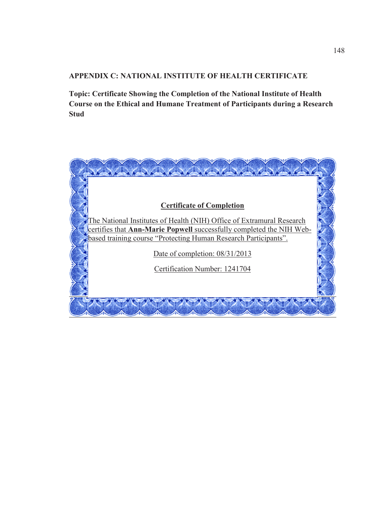# **APPENDIX C: NATIONAL INSTITUTE OF HEALTH CERTIFICATE**

**Topic: Certificate Showing the Completion of the National Institute of Health Course on the Ethical and Humane Treatment of Participants during a Research Stud** 

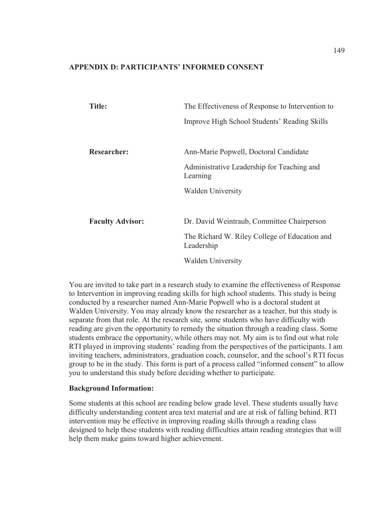#### **APPENDIX D: PARTICIPANTS' INFORMED CONSENT**

| Title:                  | The Effectiveness of Response to Intervention to            |
|-------------------------|-------------------------------------------------------------|
|                         | Improve High School Students' Reading Skills                |
|                         |                                                             |
| <b>Researcher:</b>      | Ann-Marie Popwell, Doctoral Candidate                       |
|                         | Administrative Leadership for Teaching and<br>Learning      |
|                         | <b>Walden University</b>                                    |
|                         |                                                             |
| <b>Faculty Advisor:</b> | Dr. David Weintraub, Committee Chairperson                  |
|                         | The Richard W. Riley College of Education and<br>Leadership |
|                         | <b>Walden University</b>                                    |

You are invited to take part in a research study to examine the effectiveness of Response to Intervention in improving reading skills for high school students. This study is being conducted by a researcher named Ann-Marie Popwell who is a doctoral student at Walden University. You may already know the researcher as a teacher, but this study is separate from that role. At the research site, some students who have difficulty with reading are given the opportunity to remedy the situation through a reading class. Some students embrace the opportunity, while others may not. My aim is to find out what role RTI played in improving students' reading from the perspectives of the participants. I am inviting teachers, administrators, graduation coach, counselor, and the school's RTI focus group to be in the study. This form is part of a process called "informed consent" to allow you to understand this study before deciding whether to participate.

#### **Background Information:**

Some students at this school are reading below grade level. These students usually have difficulty understanding content area text material and are at risk of falling behind. RTI intervention may be effective in improving reading skills through a reading class designed to help these students with reading difficulties attain reading strategies that will help them make gains toward higher achievement.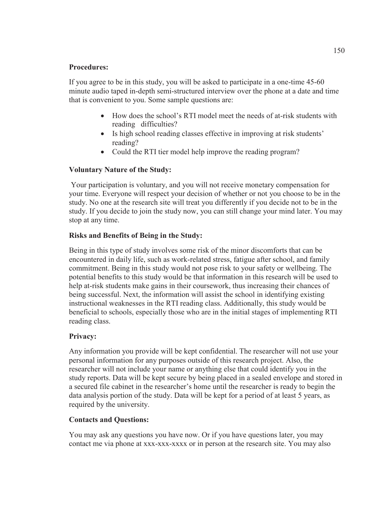## **Procedures:**

If you agree to be in this study, you will be asked to participate in a one-time 45-60 minute audio taped in-depth semi-structured interview over the phone at a date and time that is convenient to you. Some sample questions are:

- How does the school's RTI model meet the needs of at-risk students with reading difficulties?
- Is high school reading classes effective in improving at risk students' reading?
- Could the RTI tier model help improve the reading program?

# **Voluntary Nature of the Study:**

 Your participation is voluntary, and you will not receive monetary compensation for your time. Everyone will respect your decision of whether or not you choose to be in the study. No one at the research site will treat you differently if you decide not to be in the study. If you decide to join the study now, you can still change your mind later. You may stop at any time.

# **Risks and Benefits of Being in the Study:**

Being in this type of study involves some risk of the minor discomforts that can be encountered in daily life, such as work-related stress, fatigue after school, and family commitment. Being in this study would not pose risk to your safety or wellbeing. The potential benefits to this study would be that information in this research will be used to help at-risk students make gains in their coursework, thus increasing their chances of being successful. Next, the information will assist the school in identifying existing instructional weaknesses in the RTI reading class. Additionally, this study would be beneficial to schools, especially those who are in the initial stages of implementing RTI reading class.

# **Privacy:**

Any information you provide will be kept confidential. The researcher will not use your personal information for any purposes outside of this research project. Also, the researcher will not include your name or anything else that could identify you in the study reports. Data will be kept secure by being placed in a sealed envelope and stored in a secured file cabinet in the researcher's home until the researcher is ready to begin the data analysis portion of the study. Data will be kept for a period of at least 5 years, as required by the university.

# **Contacts and Questions:**

You may ask any questions you have now. Or if you have questions later, you may contact me via phone at xxx-xxx-xxxx or in person at the research site. You may also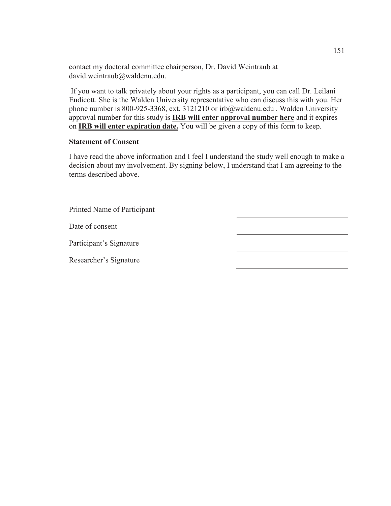contact my doctoral committee chairperson, Dr. David Weintraub at david.weintraub@waldenu.edu.

 If you want to talk privately about your rights as a participant, you can call Dr. Leilani Endicott. She is the Walden University representative who can discuss this with you. Her phone number is 800-925-3368, ext. 3121210 or irb@waldenu.edu . Walden University approval number for this study is **IRB will enter approval number here** and it expires on **IRB will enter expiration date.** You will be given a copy of this form to keep.

## **Statement of Consent**

I have read the above information and I feel I understand the study well enough to make a decision about my involvement. By signing below, I understand that I am agreeing to the terms described above.

| Printed Name of Participant |  |
|-----------------------------|--|
| Date of consent             |  |
| Participant's Signature     |  |
| Researcher's Signature      |  |
|                             |  |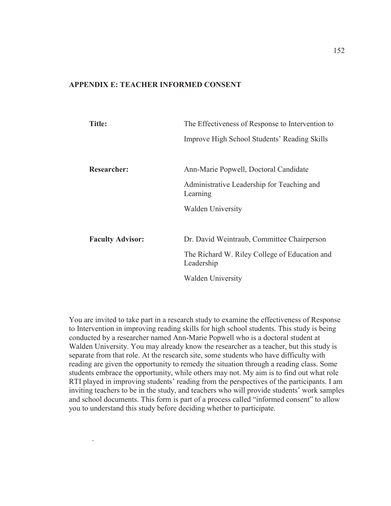## **APPENDIX E: TEACHER INFORMED CONSENT**

| Title:                  | The Effectiveness of Response to Intervention to            |
|-------------------------|-------------------------------------------------------------|
|                         | Improve High School Students' Reading Skills                |
|                         |                                                             |
| <b>Researcher:</b>      | Ann-Marie Popwell, Doctoral Candidate                       |
|                         | Administrative Leadership for Teaching and<br>Learning      |
|                         | <b>Walden University</b>                                    |
|                         |                                                             |
| <b>Faculty Advisor:</b> | Dr. David Weintraub, Committee Chairperson                  |
|                         | The Richard W. Riley College of Education and<br>Leadership |
|                         | <b>Walden University</b>                                    |

You are invited to take part in a research study to examine the effectiveness of Response to Intervention in improving reading skills for high school students. This study is being conducted by a researcher named Ann-Marie Popwell who is a doctoral student at Walden University. You may already know the researcher as a teacher, but this study is separate from that role. At the research site, some students who have difficulty with reading are given the opportunity to remedy the situation through a reading class. Some students embrace the opportunity, while others may not. My aim is to find out what role RTI played in improving students' reading from the perspectives of the participants. I am inviting teachers to be in the study, and teachers who will provide students' work samples and school documents. This form is part of a process called "informed consent" to allow you to understand this study before deciding whether to participate.

.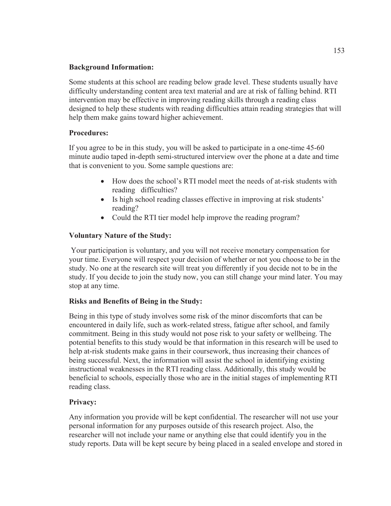## **Background Information:**

Some students at this school are reading below grade level. These students usually have difficulty understanding content area text material and are at risk of falling behind. RTI intervention may be effective in improving reading skills through a reading class designed to help these students with reading difficulties attain reading strategies that will help them make gains toward higher achievement.

## **Procedures:**

If you agree to be in this study, you will be asked to participate in a one-time 45-60 minute audio taped in-depth semi-structured interview over the phone at a date and time that is convenient to you. Some sample questions are:

- How does the school's RTI model meet the needs of at-risk students with reading difficulties?
- Is high school reading classes effective in improving at risk students' reading?
- Could the RTI tier model help improve the reading program?

# **Voluntary Nature of the Study:**

 Your participation is voluntary, and you will not receive monetary compensation for your time. Everyone will respect your decision of whether or not you choose to be in the study. No one at the research site will treat you differently if you decide not to be in the study. If you decide to join the study now, you can still change your mind later. You may stop at any time.

# **Risks and Benefits of Being in the Study:**

Being in this type of study involves some risk of the minor discomforts that can be encountered in daily life, such as work-related stress, fatigue after school, and family commitment. Being in this study would not pose risk to your safety or wellbeing. The potential benefits to this study would be that information in this research will be used to help at-risk students make gains in their coursework, thus increasing their chances of being successful. Next, the information will assist the school in identifying existing instructional weaknesses in the RTI reading class. Additionally, this study would be beneficial to schools, especially those who are in the initial stages of implementing RTI reading class.

# **Privacy:**

Any information you provide will be kept confidential. The researcher will not use your personal information for any purposes outside of this research project. Also, the researcher will not include your name or anything else that could identify you in the study reports. Data will be kept secure by being placed in a sealed envelope and stored in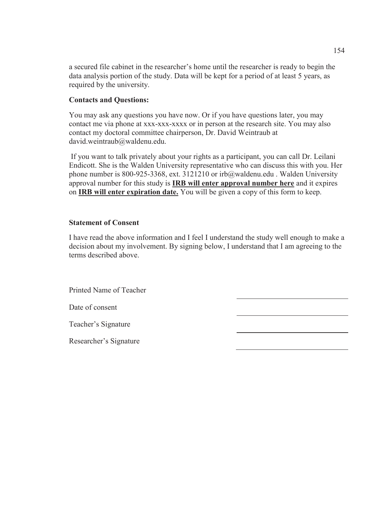a secured file cabinet in the researcher's home until the researcher is ready to begin the data analysis portion of the study. Data will be kept for a period of at least 5 years, as required by the university.

## **Contacts and Questions:**

You may ask any questions you have now. Or if you have questions later, you may contact me via phone at xxx-xxx-xxxx or in person at the research site. You may also contact my doctoral committee chairperson, Dr. David Weintraub at david.weintraub@waldenu.edu.

 If you want to talk privately about your rights as a participant, you can call Dr. Leilani Endicott. She is the Walden University representative who can discuss this with you. Her phone number is 800-925-3368, ext. 3121210 or irb@waldenu.edu . Walden University approval number for this study is **IRB will enter approval number here** and it expires on **IRB will enter expiration date.** You will be given a copy of this form to keep.

#### **Statement of Consent**

I have read the above information and I feel I understand the study well enough to make a decision about my involvement. By signing below, I understand that I am agreeing to the terms described above.

Printed Name of Teacher

Date of consent

Teacher's Signature

Researcher's Signature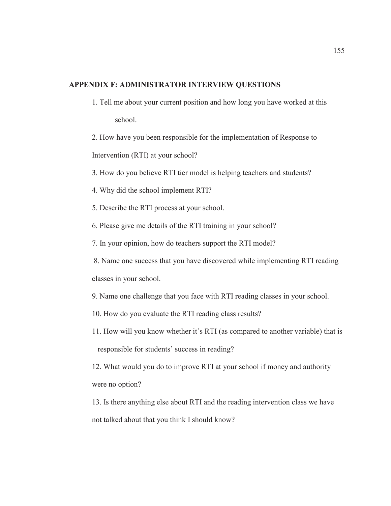## **APPENDIX F: ADMINISTRATOR INTERVIEW QUESTIONS**

1. Tell me about your current position and how long you have worked at this school.

2. How have you been responsible for the implementation of Response to Intervention (RTI) at your school?

- 3. How do you believe RTI tier model is helping teachers and students?
- 4. Why did the school implement RTI?
- 5. Describe the RTI process at your school.
- 6. Please give me details of the RTI training in your school?
- 7. In your opinion, how do teachers support the RTI model?

 8. Name one success that you have discovered while implementing RTI reading classes in your school.

9. Name one challenge that you face with RTI reading classes in your school.

- 10. How do you evaluate the RTI reading class results?
- 11. How will you know whether it's RTI (as compared to another variable) that is responsible for students' success in reading?

12. What would you do to improve RTI at your school if money and authority were no option?

13. Is there anything else about RTI and the reading intervention class we have not talked about that you think I should know?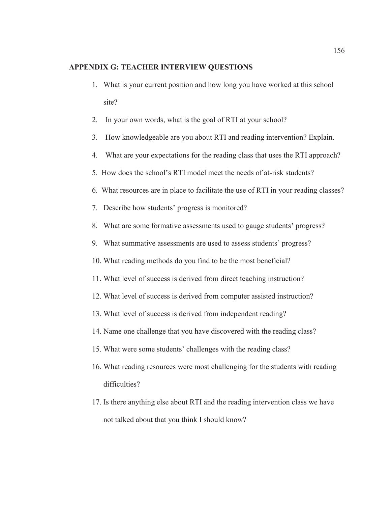#### **APPENDIX G: TEACHER INTERVIEW QUESTIONS**

- 1. What is your current position and how long you have worked at this school site?
- 2. In your own words, what is the goal of RTI at your school?
- 3. How knowledgeable are you about RTI and reading intervention? Explain.
- 4. What are your expectations for the reading class that uses the RTI approach?
- 5. How does the school's RTI model meet the needs of at-risk students?
- 6. What resources are in place to facilitate the use of RTI in your reading classes?
- 7. Describe how students' progress is monitored?
- 8. What are some formative assessments used to gauge students' progress?
- 9. What summative assessments are used to assess students' progress?
- 10. What reading methods do you find to be the most beneficial?
- 11. What level of success is derived from direct teaching instruction?
- 12. What level of success is derived from computer assisted instruction?
- 13. What level of success is derived from independent reading?
- 14. Name one challenge that you have discovered with the reading class?
- 15. What were some students' challenges with the reading class?
- 16. What reading resources were most challenging for the students with reading difficulties?
- 17. Is there anything else about RTI and the reading intervention class we have not talked about that you think I should know?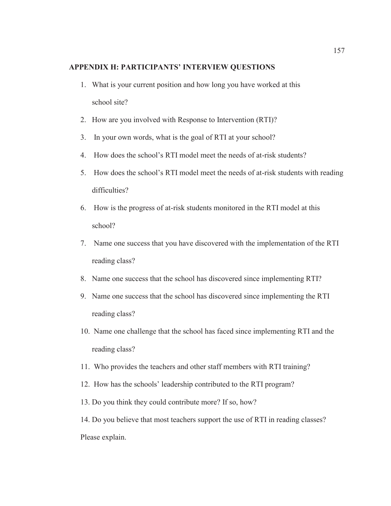#### **APPENDIX H: PARTICIPANTS' INTERVIEW QUESTIONS**

- 1. What is your current position and how long you have worked at this school site?
- 2. How are you involved with Response to Intervention (RTI)?
- 3. In your own words, what is the goal of RTI at your school?
- 4. How does the school's RTI model meet the needs of at-risk students?
- 5. How does the school's RTI model meet the needs of at-risk students with reading difficulties?
- 6. How is the progress of at-risk students monitored in the RTI model at this school?
- 7. Name one success that you have discovered with the implementation of the RTI reading class?
- 8. Name one success that the school has discovered since implementing RTI?
- 9. Name one success that the school has discovered since implementing the RTI reading class?
- 10. Name one challenge that the school has faced since implementing RTI and the reading class?
- 11. Who provides the teachers and other staff members with RTI training?
- 12. How has the schools' leadership contributed to the RTI program?
- 13. Do you think they could contribute more? If so, how?

14. Do you believe that most teachers support the use of RTI in reading classes? Please explain.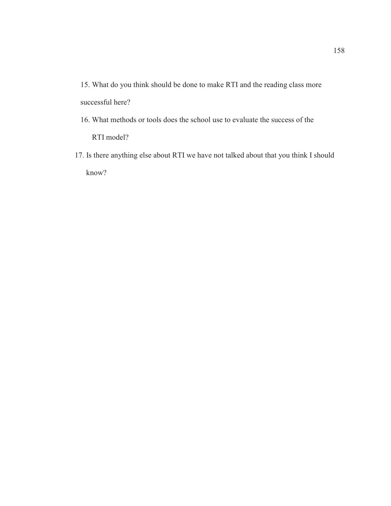- 15. What do you think should be done to make RTI and the reading class more successful here?
- 16. What methods or tools does the school use to evaluate the success of the RTI model?
- 17. Is there anything else about RTI we have not talked about that you think I should know?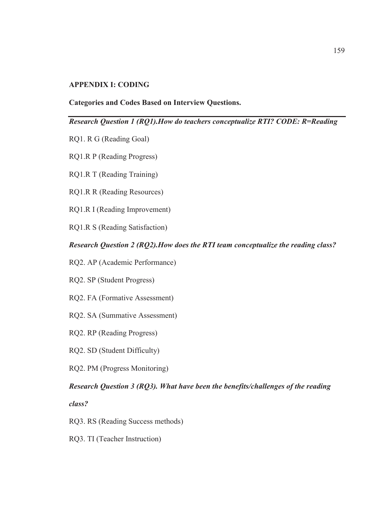#### **APPENDIX I: CODING**

#### **Categories and Codes Based on Interview Questions.**

#### *Research Question 1 (RQ1).How do teachers conceptualize RTI? CODE: R=Reading*

- RQ1. R G (Reading Goal)
- RQ1.R P (Reading Progress)
- RQ1.R T (Reading Training)
- RQ1.R R (Reading Resources)
- RQ1.R I (Reading Improvement)
- RQ1.R S (Reading Satisfaction)

#### *Research Question 2 (RQ2).How does the RTI team conceptualize the reading class?*

- RQ2. AP (Academic Performance)
- RQ2. SP (Student Progress)
- RQ2. FA (Formative Assessment)
- RQ2. SA (Summative Assessment)
- RQ2. RP (Reading Progress)
- RQ2. SD (Student Difficulty)
- RQ2. PM (Progress Monitoring)

#### *Research Question 3 (RQ3). What have been the benefits/challenges of the reading*

*class?* 

- RQ3. RS (Reading Success methods)
- RQ3. TI (Teacher Instruction)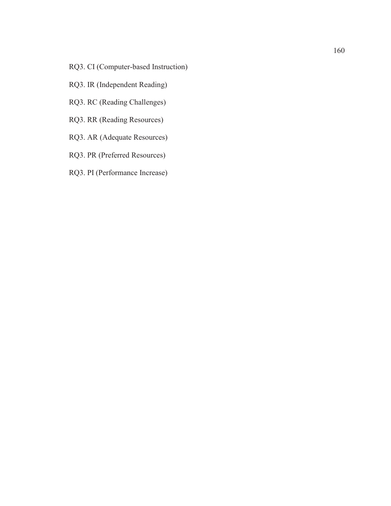- RQ3. CI (Computer-based Instruction)
- RQ3. IR (Independent Reading)
- RQ3. RC (Reading Challenges)
- RQ3. RR (Reading Resources)
- RQ3. AR (Adequate Resources)
- RQ3. PR (Preferred Resources)
- RQ3. PI (Performance Increase)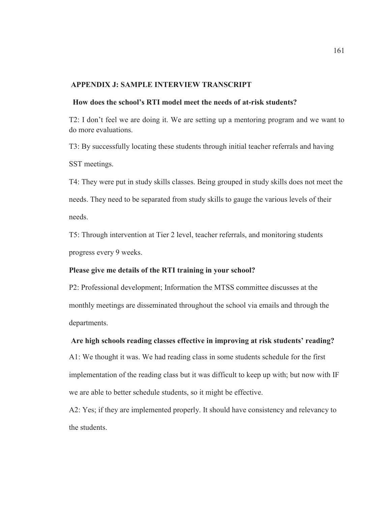#### **APPENDIX J: SAMPLE INTERVIEW TRANSCRIPT**

#### **How does the school's RTI model meet the needs of at-risk students?**

T2: I don't feel we are doing it. We are setting up a mentoring program and we want to do more evaluations.

T3: By successfully locating these students through initial teacher referrals and having SST meetings.

T4: They were put in study skills classes. Being grouped in study skills does not meet the needs. They need to be separated from study skills to gauge the various levels of their needs.

T5: Through intervention at Tier 2 level, teacher referrals, and monitoring students progress every 9 weeks.

#### **Please give me details of the RTI training in your school?**

P2: Professional development; Information the MTSS committee discusses at the monthly meetings are disseminated throughout the school via emails and through the departments.

#### **Are high schools reading classes effective in improving at risk students' reading?**

A1: We thought it was. We had reading class in some students schedule for the first implementation of the reading class but it was difficult to keep up with; but now with IF we are able to better schedule students, so it might be effective.

A2: Yes; if they are implemented properly. It should have consistency and relevancy to the students.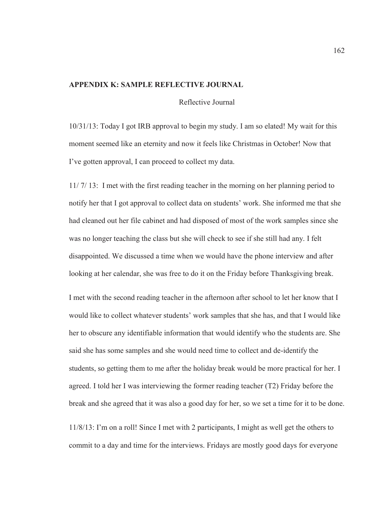#### **APPENDIX K: SAMPLE REFLECTIVE JOURNAL**

Reflective Journal

10/31/13: Today I got IRB approval to begin my study. I am so elated! My wait for this moment seemed like an eternity and now it feels like Christmas in October! Now that I've gotten approval, I can proceed to collect my data.

11/ 7/ 13: I met with the first reading teacher in the morning on her planning period to notify her that I got approval to collect data on students' work. She informed me that she had cleaned out her file cabinet and had disposed of most of the work samples since she was no longer teaching the class but she will check to see if she still had any. I felt disappointed. We discussed a time when we would have the phone interview and after looking at her calendar, she was free to do it on the Friday before Thanksgiving break.

I met with the second reading teacher in the afternoon after school to let her know that I would like to collect whatever students' work samples that she has, and that I would like her to obscure any identifiable information that would identify who the students are. She said she has some samples and she would need time to collect and de-identify the students, so getting them to me after the holiday break would be more practical for her. I agreed. I told her I was interviewing the former reading teacher (T2) Friday before the break and she agreed that it was also a good day for her, so we set a time for it to be done.

11/8/13: I'm on a roll! Since I met with 2 participants, I might as well get the others to commit to a day and time for the interviews. Fridays are mostly good days for everyone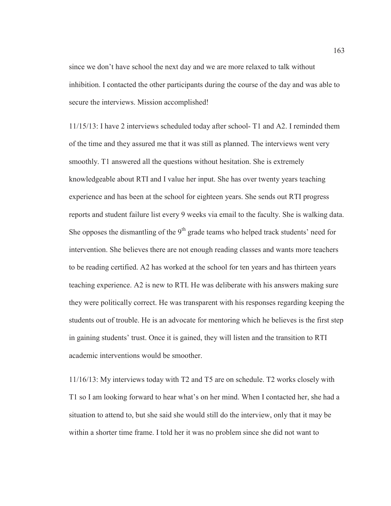since we don't have school the next day and we are more relaxed to talk without inhibition. I contacted the other participants during the course of the day and was able to secure the interviews. Mission accomplished!

11/15/13: I have 2 interviews scheduled today after school- T1 and A2. I reminded them of the time and they assured me that it was still as planned. The interviews went very smoothly. T1 answered all the questions without hesitation. She is extremely knowledgeable about RTI and I value her input. She has over twenty years teaching experience and has been at the school for eighteen years. She sends out RTI progress reports and student failure list every 9 weeks via email to the faculty. She is walking data. She opposes the dismantling of the  $9<sup>th</sup>$  grade teams who helped track students' need for intervention. She believes there are not enough reading classes and wants more teachers to be reading certified. A2 has worked at the school for ten years and has thirteen years teaching experience. A2 is new to RTI. He was deliberate with his answers making sure they were politically correct. He was transparent with his responses regarding keeping the students out of trouble. He is an advocate for mentoring which he believes is the first step in gaining students' trust. Once it is gained, they will listen and the transition to RTI academic interventions would be smoother.

11/16/13: My interviews today with T2 and T5 are on schedule. T2 works closely with T1 so I am looking forward to hear what's on her mind. When I contacted her, she had a situation to attend to, but she said she would still do the interview, only that it may be within a shorter time frame. I told her it was no problem since she did not want to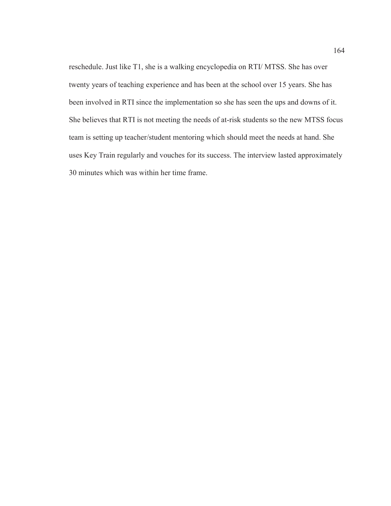reschedule. Just like T1, she is a walking encyclopedia on RTI/ MTSS. She has over twenty years of teaching experience and has been at the school over 15 years. She has been involved in RTI since the implementation so she has seen the ups and downs of it. She believes that RTI is not meeting the needs of at-risk students so the new MTSS focus team is setting up teacher/student mentoring which should meet the needs at hand. She uses Key Train regularly and vouches for its success. The interview lasted approximately 30 minutes which was within her time frame.